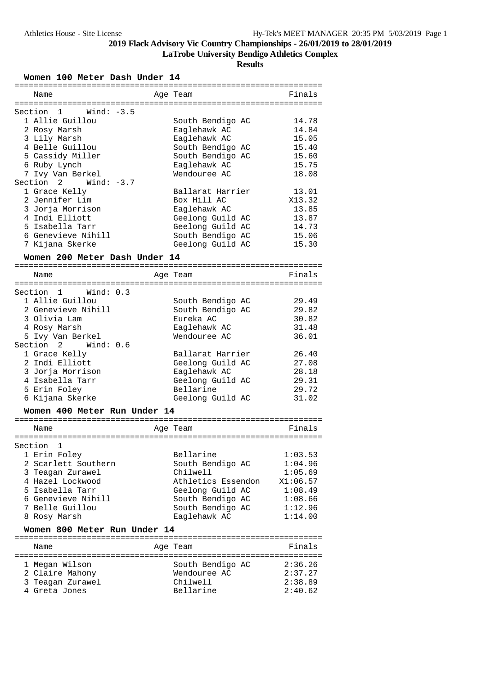**LaTrobe University Bendigo Athletics Complex**

**Results**

**Women 100 Meter Dash Under 14**

| ===============                           |                    |          |
|-------------------------------------------|--------------------|----------|
| Name                                      | Age Team           | Finals   |
|                                           |                    |          |
| Wind: $-3.5$<br>Section<br>$\overline{1}$ |                    |          |
| 1 Allie Guillou                           |                    | 14.78    |
|                                           | South Bendigo AC   |          |
| 2 Rosy Marsh                              | Eaglehawk AC       | 14.84    |
| 3 Lily Marsh                              | Eaglehawk AC       | 15.05    |
| 4 Belle Guillou                           | South Bendigo AC   | 15.40    |
| 5 Cassidy Miller                          | South Bendigo AC   | 15.60    |
| 6 Ruby Lynch                              | Eaglehawk AC       | 15.75    |
| 7 Ivy Van Berkel                          | Wendouree AC       | 18.08    |
| Section 2<br>Wind: -3.7                   |                    |          |
| 1 Grace Kelly                             | Ballarat Harrier   | 13.01    |
| 2 Jennifer Lim                            | Box Hill AC        | X13.32   |
| 3 Jorja Morrison                          | Eaglehawk AC       | 13.85    |
| 4 Indi Elliott                            | Geelong Guild AC   | 13.87    |
| 5 Isabella Tarr                           | Geelong Guild AC   | 14.73    |
| 6 Genevieve Nihill                        | South Bendigo AC   | 15.06    |
|                                           | Geelong Guild AC   | 15.30    |
| 7 Kijana Skerke                           |                    |          |
| Women 200 Meter Dash Under 14             |                    |          |
|                                           |                    |          |
| Name                                      | Age Team           | Finals   |
|                                           |                    |          |
| Section 1<br>Wind: 0.3                    |                    |          |
| 1 Allie Guillou                           | South Bendigo AC   | 29.49    |
| 2 Genevieve Nihill                        | South Bendigo AC   | 29.82    |
| 3 Olivia Lam                              | Eureka AC          | 30.82    |
| 4 Rosy Marsh                              | Eaglehawk AC       | 31.48    |
|                                           | Wendouree AC       | 36.01    |
| 5 Ivy Van Berkel                          |                    |          |
| Section 2 Wind: 0.6                       |                    |          |
| 1 Grace Kelly                             | Ballarat Harrier   | 26.40    |
| 2 Indi Elliott                            | Geelong Guild AC   | 27.08    |
| 3 Jorja Morrison                          | Eaglehawk AC       | 28.18    |
| 4 Isabella Tarr                           | Geelong Guild AC   | 29.31    |
| 5 Erin Foley                              | Bellarine          | 29.72    |
| 6 Kijana Skerke                           | Geelong Guild AC   | 31.02    |
| Women 400 Meter Run Under 14              |                    |          |
|                                           |                    |          |
|                                           |                    |          |
| Name                                      | Age Team           | Finals   |
|                                           |                    |          |
| Section<br>1                              |                    |          |
| 1 Erin Foley                              | Bellarine          | 1:03.53  |
| 2 Scarlett Southern                       | South Bendigo AC   | 1:04.96  |
| 3 Teagan Zurawel                          | Chilwell           | 1:05.69  |
| 4 Hazel Lockwood                          | Athletics Essendon | X1:06.57 |
| 5 Isabella Tarr                           | Geelong Guild AC   | 1:08.49  |
| 6 Genevieve Nihill                        | South Bendigo AC   | 1:08.66  |
| 7 Belle Guillou                           | South Bendigo AC   | 1:12.96  |
| 8 Rosy Marsh                              | Eaglehawk AC       | 1:14.00  |
|                                           |                    |          |
| Women 800 Meter Run Under 14              |                    |          |
| Name                                      | Age Team           | Finals   |
|                                           |                    |          |
| 1 Megan Wilson                            | South Bendigo AC   | 2:36.26  |
| 2 Claire Mahony                           | Wendouree AC       | 2:37.27  |
| 3 Teagan Zurawel                          | Chilwell           | 2:38.89  |
| 4 Greta Jones                             | Bellarine          | 2:40.62  |
|                                           |                    |          |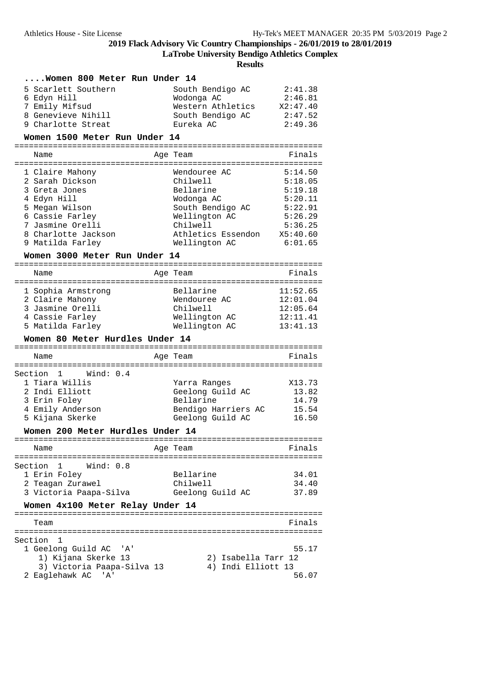**LaTrobe University Bendigo Athletics Complex**

| Women 800 Meter Run Under 14                              |                     |          |
|-----------------------------------------------------------|---------------------|----------|
| 5 Scarlett Southern                                       | South Bendigo AC    | 2:41.38  |
|                                                           |                     |          |
| 6 Edyn Hill                                               | Wodonga AC          | 2:46.81  |
| 7 Emily Mifsud                                            | Western Athletics   | X2:47.40 |
| 8 Genevieve Nihill                                        | South Bendigo AC    | 2:47.52  |
| 9 Charlotte Streat                                        | Eureka AC           | 2:49.36  |
|                                                           |                     |          |
| Women 1500 Meter Run Under 14                             |                     |          |
| Name                                                      | Age Team            | Finals   |
|                                                           |                     |          |
| 1 Claire Mahony                                           | Wendouree AC        | 5:14.50  |
| 2 Sarah Dickson                                           | Chilwell            | 5:18.05  |
| 3 Greta Jones                                             | Bellarine           | 5:19.18  |
|                                                           |                     |          |
| 4 Edyn Hill                                               | Wodonga AC          | 5:20.11  |
| 5 Megan Wilson                                            | South Bendigo AC    | 5:22.91  |
| 6 Cassie Farley                                           | Wellington AC       | 5:26.29  |
| 7 Jasmine Orelli                                          | Chilwell            | 5:36.25  |
| 8 Charlotte Jackson                                       | Athletics Essendon  | X5:40.60 |
| 9 Matilda Farley                                          | Wellington AC       | 6:01.65  |
|                                                           |                     |          |
| Women 3000 Meter Run Under 14                             |                     |          |
| Name                                                      | Age Team            | Finals   |
|                                                           |                     |          |
| 1 Sophia Armstrong                                        | Bellarine           | 11:52.65 |
| 2 Claire Mahony                                           | Wendouree AC        | 12:01.04 |
| 3 Jasmine Orelli                                          | Chilwell            | 12:05.64 |
| 4 Cassie Farley                                           | Wellington AC       | 12:11.41 |
| 5 Matilda Farley                                          | Wellington AC       | 13:41.13 |
|                                                           |                     |          |
| Women 80 Meter Hurdles Under 14                           |                     |          |
| Name                                                      | Age Team            | Finals   |
|                                                           |                     |          |
|                                                           |                     |          |
|                                                           |                     |          |
| 1 Wind: 0.4                                               |                     |          |
| 1 Tiara Willis                                            | Yarra Ranges        | X13.73   |
| 2 Indi Elliott                                            | Geelong Guild AC    | 13.82    |
| 3 Erin Foley                                              | Bellarine           | 14.79    |
| 4 Emily Anderson                                          | Bendigo Harriers AC | 15.54    |
| 5 Kijana Skerke                                           | Geelong Guild AC    | 16.50    |
| Women 200 Meter Hurdles Under 14                          |                     |          |
|                                                           |                     |          |
| Name                                                      | Age Team            | Finals   |
|                                                           |                     |          |
| Wind: 0.8<br>1                                            |                     |          |
| 1 Erin Foley                                              | Bellarine           | 34.01    |
| 2 Teagan Zurawel                                          | Chilwell            | 34.40    |
| 3 Victoria Paapa-Silva                                    | Geelong Guild AC    | 37.89    |
|                                                           |                     |          |
| Women 4x100 Meter Relay Under 14                          |                     |          |
| Team                                                      |                     | Finals   |
|                                                           |                     |          |
| 1                                                         |                     |          |
| 1 Geelong Guild AC<br>'A'                                 |                     | 55.17    |
| 1) Kijana Skerke 13                                       | 2) Isabella Tarr 12 |          |
| 3) Victoria Paapa-Silva 13                                | 4) Indi Elliott 13  |          |
| Section<br>Section<br>Section<br>2 Eaglehawk AC<br>'' A ' |                     | 56.07    |
|                                                           |                     |          |
|                                                           |                     |          |
|                                                           |                     |          |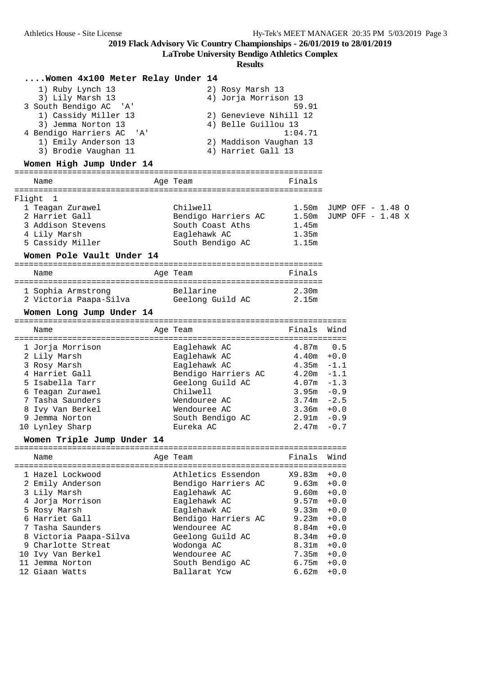**LaTrobe University Bendigo Athletics Complex**

|          | Women 4x100 Meter Relay Under 14<br>1) Ruby Lynch 13<br>3) Lily Marsh 13<br>3 South Bendigo AC 'A'<br>1) Cassidy Miller 13<br>3) Jemma Norton 13<br>4 Bendigo Harriers AC<br>' A '<br>1) Emily Anderson 13<br>3) Brodie Vaughan 11<br>Women High Jump Under 14<br>Name | Age Team                                                                                   | 2) Rosy Marsh 13<br>4) Jorja Morrison 13<br>4) Belle Guillou 13<br>4) Harriet Gall 13 | 59.91<br>2) Genevieve Nihill 12<br>1:04.71<br>2) Maddison Vaughan 13<br>Finals                                                                  |                            |  |  |
|----------|------------------------------------------------------------------------------------------------------------------------------------------------------------------------------------------------------------------------------------------------------------------------|--------------------------------------------------------------------------------------------|---------------------------------------------------------------------------------------|-------------------------------------------------------------------------------------------------------------------------------------------------|----------------------------|--|--|
|          |                                                                                                                                                                                                                                                                        |                                                                                            |                                                                                       |                                                                                                                                                 |                            |  |  |
| Flight 1 | 1 Teagan Zurawel<br>2 Harriet Gall<br>3 Addison Stevens<br>4 Lily Marsh<br>5 Cassidy Miller                                                                                                                                                                            | Chilwell<br>Eaglehawk AC                                                                   | Bendigo Harriers AC<br>South Coast Aths<br>South Bendigo AC                           | 1.50m JUMP OFF - 1.48 O<br>1.50m JUMP OFF - 1.48 X<br>1.45m<br>1.35m<br>1.15m                                                                   |                            |  |  |
|          | Women Pole Vault Under 14                                                                                                                                                                                                                                              |                                                                                            |                                                                                       |                                                                                                                                                 |                            |  |  |
|          | Name                                                                                                                                                                                                                                                                   | Age Team                                                                                   |                                                                                       | Finals                                                                                                                                          |                            |  |  |
|          |                                                                                                                                                                                                                                                                        |                                                                                            |                                                                                       |                                                                                                                                                 |                            |  |  |
|          | 1 Sophia Armstrong                                                                                                                                                                                                                                                     | Bellarine                                                                                  |                                                                                       | 2.30m                                                                                                                                           |                            |  |  |
|          | 2 Victoria Paapa-Silva           Geelong Guild AC                                                                                                                                                                                                                      |                                                                                            |                                                                                       | 2.15m                                                                                                                                           |                            |  |  |
|          | Women Long Jump Under 14                                                                                                                                                                                                                                               |                                                                                            |                                                                                       |                                                                                                                                                 |                            |  |  |
|          | Name                                                                                                                                                                                                                                                                   | Age Team                                                                                   |                                                                                       | Finals                                                                                                                                          | Wind                       |  |  |
|          |                                                                                                                                                                                                                                                                        |                                                                                            |                                                                                       |                                                                                                                                                 |                            |  |  |
|          | 1 Jorja Morrison<br>2 Lily Marsh                                                                                                                                                                                                                                       | Eaglehawk AC<br>Eaglehawk AC                                                               |                                                                                       | 4.87m<br>$4.40m + 0.0$                                                                                                                          | 0.5                        |  |  |
|          | 3 Rosy Marsh                                                                                                                                                                                                                                                           | Eaglehawk AC                                                                               |                                                                                       | $4.35m - 1.1$                                                                                                                                   |                            |  |  |
|          | 4 Harriet Gall                                                                                                                                                                                                                                                         |                                                                                            |                                                                                       | Bendigo Harriers AC 4.20m -1.1                                                                                                                  |                            |  |  |
|          | 5 Isabella Tarr                                                                                                                                                                                                                                                        |                                                                                            | Geelong Guild AC                                                                      | $4.07m - 1.3$                                                                                                                                   |                            |  |  |
|          | 6 Teagan Zurawel                                                                                                                                                                                                                                                       | Chilwell                                                                                   |                                                                                       | $3.95m - 0.9$                                                                                                                                   |                            |  |  |
|          | 7 Tasha Saunders                                                                                                                                                                                                                                                       | Wendouree AC                                                                               |                                                                                       | $3.74m - 2.5$                                                                                                                                   |                            |  |  |
|          | 8 Ivy Van Berkel                                                                                                                                                                                                                                                       | Wendouree AC                                                                               |                                                                                       | $3.36m + 0.0$                                                                                                                                   |                            |  |  |
|          | 9 Jemma Norton                                                                                                                                                                                                                                                         |                                                                                            | South Bendigo AC                                                                      | $2.91m - 0.9$                                                                                                                                   |                            |  |  |
|          | 10 Lynley Sharp                                                                                                                                                                                                                                                        | Eureka AC                                                                                  |                                                                                       | 2.47m                                                                                                                                           | $-0.7$                     |  |  |
|          | Women Triple Jump Under 14                                                                                                                                                                                                                                             |                                                                                            |                                                                                       |                                                                                                                                                 |                            |  |  |
|          | ==============================<br>Name                                                                                                                                                                                                                                 | Age Team                                                                                   |                                                                                       | =====================================<br>Finals                                                                                                 | Wind                       |  |  |
|          | 1 Hazel Lockwood<br>2 Emily Anderson<br>3 Lily Marsh<br>4 Jorja Morrison<br>5 Rosy Marsh<br>6 Harriet Gall<br>7 Tasha Saunders<br>8 Victoria Paapa-Silva<br>9 Charlotte Streat<br>10 Ivy Van Berkel                                                                    | Eaglehawk AC<br>Eaglehawk AC<br>Eaglehawk AC<br>Wendouree AC<br>Wodonga AC<br>Wendouree AC | Athletics Essendon<br>Bendigo Harriers AC<br>Bendigo Harriers AC<br>Geelong Guild AC  | X9.83m<br>$9.63m + 0.0$<br>$9.60m + 0.0$<br>$9.57m + 0.0$<br>$9.33m + 0.0$<br>$9.23m + 0.0$<br>8.84m<br>8.34m<br>$8.31m + 0.0$<br>$7.35m + 0.0$ | $+0.0$<br>$+0.0$<br>$+0.0$ |  |  |
|          | 11 Jemma Norton                                                                                                                                                                                                                                                        |                                                                                            | South Bendigo AC                                                                      | $6.75m + 0.0$                                                                                                                                   |                            |  |  |
|          | 12 Giaan Watts                                                                                                                                                                                                                                                         | Ballarat Ycw                                                                               |                                                                                       | $6.62m + 0.0$                                                                                                                                   |                            |  |  |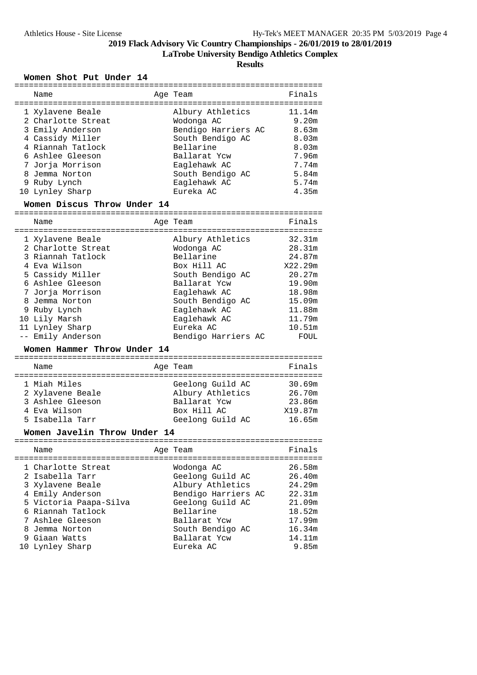**LaTrobe University Bendigo Athletics Complex**

**Results**

#### **Women Shot Put Under 14**

|  | Name                                                                                                                                                                                             | Age Team                                                                                                                                                                | Finals                                                                                  |
|--|--------------------------------------------------------------------------------------------------------------------------------------------------------------------------------------------------|-------------------------------------------------------------------------------------------------------------------------------------------------------------------------|-----------------------------------------------------------------------------------------|
|  | 1 Xylavene Beale<br>2 Charlotte Streat<br>3 Emily Anderson<br>4 Cassidy Miller<br>4 Riannah Tatlock<br>6 Ashlee Gleeson<br>7 Jorja Morrison<br>8 Jemma Norton<br>9 Ruby Lynch<br>10 Lynley Sharp | Albury Athletics<br>Wodonga AC<br>Bendigo Harriers AC<br>South Bendigo AC<br>Bellarine<br>Ballarat Ycw<br>Eaglehawk AC<br>South Bendigo AC<br>Eaglehawk AC<br>Eureka AC | 11.14m<br>9.20m<br>8.63m<br>8.03m<br>8.03m<br>7.96m<br>7.74m<br>5.84m<br>5.74m<br>4.35m |
|  |                                                                                                                                                                                                  |                                                                                                                                                                         |                                                                                         |

#### **Women Discus Throw Under 14**

| Name                                                                                                                                                                                                          | Age Team                                                                                                                                                                        | Finals                                                                                                      |
|---------------------------------------------------------------------------------------------------------------------------------------------------------------------------------------------------------------|---------------------------------------------------------------------------------------------------------------------------------------------------------------------------------|-------------------------------------------------------------------------------------------------------------|
| 1 Xylavene Beale<br>2 Charlotte Streat<br>3 Riannah Tatlock<br>4 Eva Wilson<br>5 Cassidy Miller<br>6 Ashlee Gleeson<br>7 Jorja Morrison<br>8 Jemma Norton<br>9 Ruby Lynch<br>10 Lily Marsh<br>11 Lynley Sharp | Albury Athletics<br>Wodonga AC<br>Bellarine<br>Box Hill AC<br>South Bendigo AC<br>Ballarat Ycw<br>Eaglehawk AC<br>South Bendigo AC<br>Eaglehawk AC<br>Eaglehawk AC<br>Eureka AC | 32.31m<br>28.31m<br>24.87m<br>X22.29m<br>20.27m<br>19.90m<br>18.98m<br>15.09m<br>11.88m<br>11.79m<br>10.51m |
| -- Emily Anderson                                                                                                                                                                                             | Bendigo Harriers AC                                                                                                                                                             | FOUL                                                                                                        |

#### **Women Hammer Throw Under 14**

| Name             | Age Team         | Finals  |
|------------------|------------------|---------|
|                  |                  |         |
| 1 Miah Miles     | Geelong Guild AC | 30.69m  |
| 2 Xylavene Beale | Albury Athletics | 26.70m  |
| 3 Ashlee Gleeson | Ballarat Ycw     | 23.86m  |
| 4 Eva Wilson     | Box Hill AC      | X19.87m |
| 5 Isabella Tarr  | Geelong Guild AC | 16.65m  |

#### **Women Javelin Throw Under 14**

| Name                                                                                                                         | Age Team                                                                                                   | Finals                                                   |
|------------------------------------------------------------------------------------------------------------------------------|------------------------------------------------------------------------------------------------------------|----------------------------------------------------------|
| 1 Charlotte Streat<br>2 Isabella Tarr<br>3 Xylavene Beale<br>4 Emily Anderson<br>5 Victoria Paapa-Silva<br>6 Riannah Tatlock | Wodonga AC<br>Geelong Guild AC<br>Albury Athletics<br>Bendigo Harriers AC<br>Geelong Guild AC<br>Bellarine | 26.58m<br>26.40m<br>24.29m<br>22.31m<br>21.09m<br>18.52m |
| 7 Ashlee Gleeson                                                                                                             | Ballarat Ycw                                                                                               | 17.99m                                                   |
| 8 Jemma Norton                                                                                                               | South Bendigo AC                                                                                           | 16.34m                                                   |
| 9 Giaan Watts                                                                                                                | Ballarat Yow                                                                                               | 14.11m                                                   |
| 10 Lynley Sharp                                                                                                              | Eureka AC                                                                                                  | 9.85m                                                    |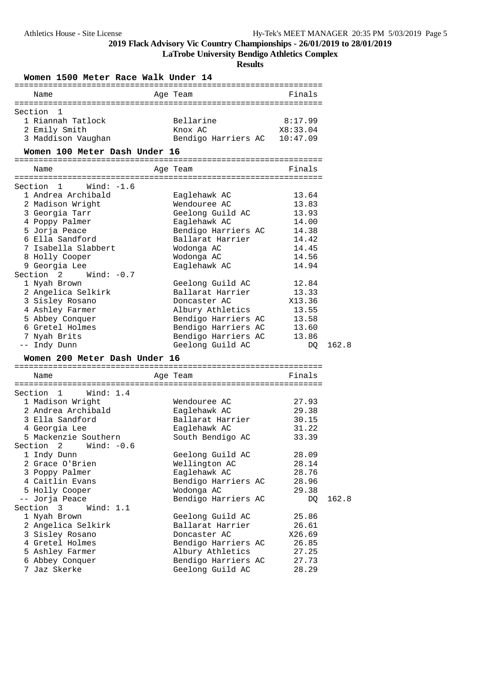**LaTrobe University Bendigo Athletics Complex**

|                                    |  |              | Women 1500 Meter Race Walk Under 14 |          |                                      |                |       |
|------------------------------------|--|--------------|-------------------------------------|----------|--------------------------------------|----------------|-------|
| Name                               |  |              |                                     | Age Team |                                      | Finals         |       |
|                                    |  |              |                                     |          |                                      |                |       |
| Section 1                          |  |              |                                     |          |                                      |                |       |
| 1 Riannah Tatlock                  |  |              |                                     |          | Bellarine                            | 8:17.99        |       |
| 2 Emily Smith                      |  |              |                                     | Knox AC  |                                      | X8:33.04       |       |
| 3 Maddison Vaughan                 |  |              |                                     |          | Bendigo Harriers AC 10:47.09         |                |       |
|                                    |  |              | Women 100 Meter Dash Under 16       |          |                                      |                |       |
|                                    |  |              |                                     |          |                                      |                |       |
| Name                               |  |              |                                     | Age Team |                                      | Finals         |       |
|                                    |  |              |                                     |          |                                      |                |       |
| Section 1                          |  | Wind: -1.6   |                                     |          |                                      |                |       |
| 1 Andrea Archibald                 |  |              |                                     |          | Eaglehawk AC                         | 13.64          |       |
| 2 Madison Wright                   |  |              |                                     |          | Wendouree AC                         | 13.83<br>13.93 |       |
| 3 Georgia Tarr                     |  |              |                                     |          | Geelong Guild AC                     |                |       |
| 4 Poppy Palmer<br>5 Jorja Peace    |  |              |                                     |          | Eaglehawk AC<br>Bendigo Harriers AC  | 14.00<br>14.38 |       |
| 6 Ella Sandford                    |  |              |                                     |          | Ballarat Harrier                     | 14.42          |       |
| 7 Isabella Slabbert                |  |              |                                     |          | Wodonga AC                           | 14.45          |       |
| 8 Holly Cooper                     |  |              |                                     |          | Wodonga AC                           | 14.56          |       |
| 9 Georgia Lee                      |  |              |                                     |          | Eaglehawk AC                         | 14.94          |       |
| Section $2$ Wind: $-0.7$           |  |              |                                     |          |                                      |                |       |
| 1 Nyah Brown                       |  |              |                                     |          | Geelong Guild AC                     | 12.84          |       |
| 2 Angelica Selkirk                 |  |              |                                     |          | Ballarat Harrier                     | 13.33          |       |
| 3 Sisley Rosano                    |  |              |                                     |          | Doncaster AC                         | X13.36         |       |
| 4 Ashley Farmer                    |  |              |                                     |          | Albury Athletics                     | 13.55          |       |
| 5 Abbey Conquer                    |  |              |                                     |          | Bendigo Harriers AC                  | 13.58          |       |
| 6 Gretel Holmes                    |  |              |                                     |          | Bendigo Harriers AC                  | 13.60          |       |
| 7 Nyah Brits                       |  |              |                                     |          | Bendigo Harriers AC                  | 13.86          |       |
| -- Indy Dunn                       |  |              |                                     |          | Geelong Guild AC                     | DQ             | 162.8 |
|                                    |  |              | Women 200 Meter Dash Under 16       |          |                                      |                |       |
|                                    |  |              |                                     |          |                                      |                |       |
| Name                               |  |              |                                     | Age Team |                                      | Finals         |       |
|                                    |  |              |                                     |          |                                      |                |       |
| Section 1                          |  | Wind: 1.4    |                                     |          |                                      |                |       |
| 1 Madison Wright                   |  |              |                                     |          | Wendouree AC                         | 27.93          |       |
| 2 Andrea Archibald                 |  |              |                                     |          | Eaglehawk AC                         | 29.38          |       |
| 3 Ella Sandford                    |  |              |                                     |          | Ballarat Harrier                     | 30.15          |       |
| 4 Georgia Lee                      |  |              |                                     |          | Eaglehawk AC                         | 31.22          |       |
| 5 Mackenzie Southern               |  |              |                                     |          | South Bendigo AC                     | 33.39          |       |
| Section 2                          |  | Wind: $-0.6$ |                                     |          |                                      |                |       |
| 1 Indy Dunn                        |  |              |                                     |          | Geelong Guild AC                     | 28.09          |       |
| 2 Grace O'Brien                    |  |              |                                     |          | Wellington AC                        | 28.14          |       |
| 3 Poppy Palmer                     |  |              |                                     |          | Eaglehawk AC                         | 28.76          |       |
| 4 Caitlin Evans                    |  |              |                                     |          | Bendigo Harriers AC                  | 28.96          |       |
| 5 Holly Cooper                     |  |              |                                     |          | Wodonga AC                           | 29.38          |       |
| -- Jorja Peace<br>Section 3        |  | Wind: $1.1$  |                                     |          | Bendigo Harriers AC                  | DQ             | 162.8 |
|                                    |  |              |                                     |          |                                      |                |       |
| 1 Nyah Brown                       |  |              |                                     |          | Geelong Guild AC<br>Ballarat Harrier | 25.86          |       |
| 2 Angelica Selkirk                 |  |              |                                     |          | Doncaster AC                         | 26.61          |       |
| 3 Sisley Rosano                    |  |              |                                     |          | Bendigo Harriers AC                  | X26.69         |       |
| 4 Gretel Holmes<br>5 Ashley Farmer |  |              |                                     |          | Albury Athletics                     | 26.85<br>27.25 |       |
| 6 Abbey Conquer                    |  |              |                                     |          | Bendigo Harriers AC                  | 27.73          |       |
| 7 Jaz Skerke                       |  |              |                                     |          | Geelong Guild AC                     | 28.29          |       |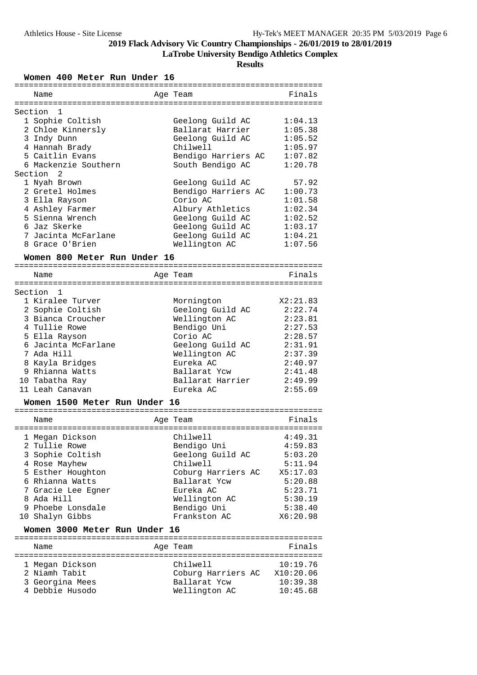**LaTrobe University Bendigo Athletics Complex**

**Results**

**Women 400 Meter Run Under 16**

| Section<br>1                         |                                   |                     |
|--------------------------------------|-----------------------------------|---------------------|
| 1 Sophie Coltish                     | Geelong Guild AC                  | 1:04.13             |
| 2 Chloe Kinnersly                    | Ballarat Harrier                  | 1:05.38             |
| 3 Indy Dunn                          | Geelong Guild AC                  | 1:05.52             |
| 4 Hannah Brady                       | Chilwell                          | 1:05.97             |
| 5 Caitlin Evans                      | Bendigo Harriers AC               | 1:07.82             |
| 6 Mackenzie Southern                 | South Bendigo AC                  | 1:20.78             |
| Section<br>2                         |                                   |                     |
| 1 Nyah Brown                         | Geelong Guild AC                  | 57.92               |
| 2 Gretel Holmes                      | Bendigo Harriers AC               | 1:00.73             |
| 3 Ella Rayson                        | Corio AC                          | 1:01.58             |
| 4 Ashley Farmer                      | Albury Athletics                  | 1:02.34             |
| 5 Sienna Wrench                      | Geelong Guild AC                  | 1:02.52             |
| 6 Jaz Skerke                         | Geelong Guild AC                  | 1:03.17             |
| 7 Jacinta McFarlane                  | Geelong Guild AC                  | 1:04.21             |
| 8 Grace O'Brien                      | Wellington AC                     | 1:07.56             |
| Women 800 Meter Run Under 16         |                                   |                     |
|                                      |                                   |                     |
| Name                                 | Age Team                          | Finals              |
|                                      |                                   |                     |
| Section<br>1                         |                                   |                     |
| 1 Kiralee Turver                     | Mornington                        | X2:21.83            |
| 2 Sophie Coltish                     | Geelong Guild AC                  | 2:22.74             |
| 3 Bianca Croucher                    | Wellington AC                     | 2:23.81             |
| 4 Tullie Rowe                        | Bendigo Uni                       | 2:27.53             |
| 5 Ella Rayson<br>6 Jacinta McFarlane | Corio AC                          | 2:28.57             |
| 7 Ada Hill                           | Geelong Guild AC<br>Wellington AC | 2:31.91<br>2:37.39  |
|                                      | Eureka AC                         |                     |
| 8 Kayla Bridges<br>9 Rhianna Watts   | Ballarat Ycw                      | 2:40.97<br>2:41.48  |
| 10 Tabatha Ray                       | Ballarat Harrier                  | 2:49.99             |
| 11 Leah Canavan                      | Eureka AC                         | 2:55.69             |
|                                      |                                   |                     |
| Women 1500 Meter Run Under 16        |                                   |                     |
| Name                                 | Age Team                          | Finals              |
|                                      |                                   |                     |
| 1 Megan Dickson                      | Chilwell                          | 4:49.31             |
| 2 Tullie Rowe                        | Bendigo Uni                       | 4:59.83             |
| 3 Sophie Coltish                     | Geelong Guild AC                  | 5:03.20             |
| 4 Rose Mayhew                        | Chilwell                          | 5:11.94             |
| 5 Esther Houghton                    | Coburg Harriers AC                | X5:17.03            |
| 6 Rhianna Watts                      | Ballarat Ycw                      | 5:20.88             |
| 7 Gracie Lee Egner                   | Eureka AC                         | 5:23.71             |
| 8 Ada Hill                           | Wellington AC                     | 5:30.19             |
| 9 Phoebe Lonsdale                    | Bendigo Uni<br>Frankston AC       | 5:38.40<br>X6:20.98 |
| 10 Shalyn Gibbs                      |                                   |                     |
| Women 3000 Meter Run Under 16        |                                   |                     |
| Name                                 |                                   |                     |
|                                      |                                   | Finals              |
|                                      | Age Team                          |                     |
| 1 Megan Dickson                      | Chilwell                          | 10:19.76            |
| 2 Niamh Tabit                        | Coburg Harriers AC                | X10:20.06           |
| 3 Georgina Mees                      | Ballarat Ycw                      | 10:39.38            |
| 4 Debbie Husodo                      | Wellington AC                     | 10:45.68            |

================================================================ Name **Age Team** Age Team Finals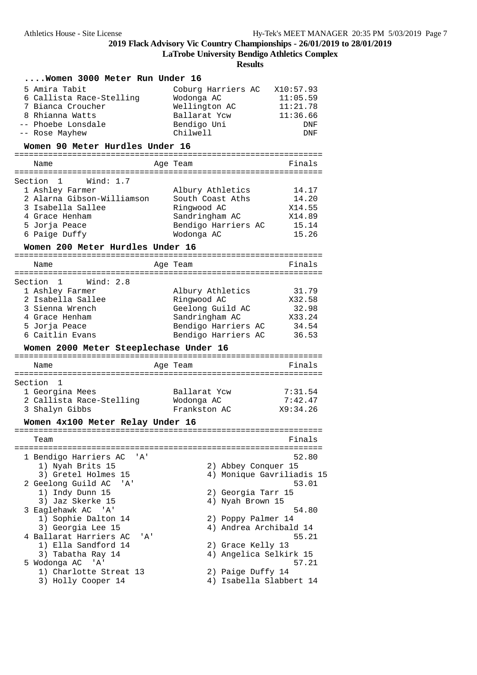**LaTrobe University Bendigo Athletics Complex**

| Women 3000 Meter Run Under 16                |                                              |                |
|----------------------------------------------|----------------------------------------------|----------------|
| 5 Amira Tabit                                | Coburg Harriers AC                           | X10:57.93      |
| 6 Callista Race-Stelling                     | Wodonga AC                                   | 11:05.59       |
| 7 Bianca Croucher                            | Wellington AC                                | 11:21.78       |
| 8 Rhianna Watts                              | Ballarat Ycw                                 | 11:36.66       |
| -- Phoebe Lonsdale                           | Bendigo Uni                                  | <b>DNF</b>     |
| -- Rose Mayhew                               | Chilwell                                     | DNF            |
| Women 90 Meter Hurdles Under 16              |                                              |                |
| Name                                         | Age Team                                     | Finals         |
| Wind: $1.7$<br>Section 1                     |                                              |                |
| 1 Ashley Farmer                              | Albury Athletics                             | 14.17          |
| 2 Alarna Gibson-Williamson                   | South Coast Aths                             | 14.20          |
| 3 Isabella Sallee                            | Ringwood AC                                  | X14.55         |
| 4 Grace Henham                               | Sandringham AC                               | X14.89         |
| 5 Jorja Peace                                | Bendigo Harriers AC                          | 15.14          |
| 6 Paige Duffy                                | Wodonga AC                                   | 15.26          |
| Women 200 Meter Hurdles Under 16             |                                              |                |
| Name                                         | Age Team                                     | Finals         |
|                                              |                                              |                |
| Section 1 Wind: 2.8                          |                                              |                |
| 1 Ashley Farmer                              | Albury Athletics                             | 31.79          |
| 2 Isabella Sallee                            | Ringwood AC                                  | X32.58         |
| 3 Sienna Wrench                              | Geelong Guild AC                             | 32.98          |
| 4 Grace Henham                               | Sandringham AC                               | X33.24         |
| 5 Jorja Peace<br>6 Caitlin Evans             | Bendigo Harriers AC<br>Bendigo Harriers AC   | 34.54<br>36.53 |
| Women 2000 Meter Steeplechase Under 16       |                                              |                |
|                                              |                                              |                |
| Name                                         | Age Team                                     | Finals         |
| Section 1                                    |                                              |                |
| 1 Georgina Mees                              | Ballarat Ycw                                 | 7:31.54        |
| 2 Callista Race-Stelling                     | Wodonga AC                                   | 7:42.47        |
| 3 Shalyn Gibbs                               | Frankston AC                                 | X9:34.26       |
| Women 4x100 Meter Relay Under 16             |                                              |                |
| Team                                         |                                              | Finals         |
|                                              |                                              |                |
| 1 Bendigo Harriers AC<br>'A'                 |                                              | 52.80          |
| 1) Nyah Brits 15                             | 2) Abbey Conquer 15                          |                |
| 3) Gretel Holmes 15                          | 4) Monique Gavriliadis 15                    |                |
| 2 Geelong Guild AC<br>' A '                  |                                              | 53.01          |
| 1) Indy Dunn 15                              | 2) Georgia Tarr 15                           |                |
| 3) Jaz Skerke 15                             | 4) Nyah Brown 15                             |                |
| 3 Eaglehawk AC 'A'                           |                                              | 54.80          |
| 1) Sophie Dalton 14                          | 2) Poppy Palmer 14                           |                |
| 3) Georgia Lee 15                            | 4) Andrea Archibald 14                       |                |
| 4 Ballarat Harriers AC<br>' A '              |                                              | 55.21          |
| 1) Ella Sandford 14                          | 2) Grace Kelly 13                            |                |
| 3) Tabatha Ray 14                            | 4) Angelica Selkirk 15                       |                |
| 5 Wodonga AC<br>$^{\prime}$ A $^{\prime}$    |                                              | 57.21          |
| 1) Charlotte Streat 13<br>3) Holly Cooper 14 | 2) Paige Duffy 14<br>4) Isabella Slabbert 14 |                |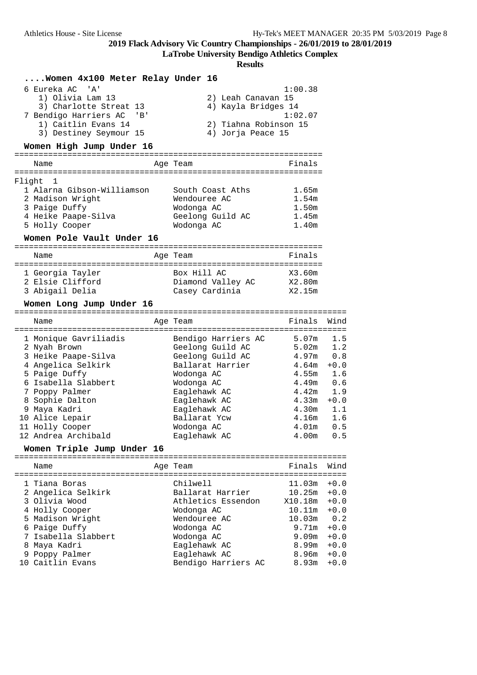**LaTrobe University Bendigo Athletics Complex**

|        | Women 4x100 Meter Relay Under 16    |                          |                                      |                                        |            |
|--------|-------------------------------------|--------------------------|--------------------------------------|----------------------------------------|------------|
|        | 6 Eureka AC 'A'                     |                          |                                      | 1:00.38                                |            |
|        | 1) Olivia Lam 13                    |                          | 2) Leah Canavan 15                   |                                        |            |
|        | 3) Charlotte Streat 13              |                          | 4) Kayla Bridges 14                  |                                        |            |
|        | 7 Bendigo Harriers AC 'B'           |                          |                                      | 1:02.07                                |            |
|        | 1) Caitlin Evans 14                 |                          | 2) Tiahna Robinson 15                |                                        |            |
|        | 3) Destiney Seymour 15              |                          | 4) Jorja Peace 15                    |                                        |            |
|        | Women High Jump Under 16            |                          |                                      |                                        |            |
|        |                                     |                          |                                      |                                        |            |
|        | Name                                | Age Team                 |                                      | Finals                                 |            |
| Flight | 1                                   |                          |                                      |                                        |            |
|        | 1 Alarna Gibson-Williamson          |                          | South Coast Aths                     | 1.65m                                  |            |
|        | 2 Madison Wright                    | Wendouree AC             |                                      | 1.54m                                  |            |
|        | 3 Paige Duffy                       | Wodonga AC               |                                      | 1.50m                                  |            |
|        | 4 Heike Paape-Silva                 |                          | Geelong Guild AC                     | 1.45m                                  |            |
|        | 5 Holly Cooper                      | Wodonga AC               |                                      | 1.40m                                  |            |
|        | Women Pole Vault Under 16           |                          |                                      |                                        |            |
|        | Name                                | Age Team                 |                                      | Finals                                 |            |
|        |                                     |                          |                                      |                                        |            |
|        | 1 Georgia Tayler                    | Box Hill AC              |                                      | X3.60m                                 |            |
|        | 2 Elsie Clifford                    |                          | Diamond Valley AC                    | X2.80m                                 |            |
|        | 3 Abigail Delia                     | Casey Cardinia           |                                      | X2.15m                                 |            |
|        | Women Long Jump Under 16            |                          |                                      |                                        |            |
|        | Name                                | Age Team                 |                                      | Finals                                 | Wind       |
|        |                                     |                          |                                      |                                        |            |
|        | 1 Monique Gavriliadis               |                          | Bendigo Harriers AC                  | 5.07m                                  | 1.5        |
|        | 2 Nyah Brown                        |                          | Geelong Guild AC                     | 5.02m                                  | 1.2<br>0.8 |
|        | 3 Heike Paape-Silva                 |                          | Geelong Guild AC<br>Ballarat Harrier | 4.97m<br>4.64m                         | $+0.0$     |
|        | 4 Angelica Selkirk<br>5 Paige Duffy |                          |                                      | 4.55m                                  | 1.6        |
|        | 6 Isabella Slabbert                 | Wodonga AC<br>Wodonga AC |                                      | 4.49m                                  | 0.6        |
|        | 7 Poppy Palmer                      | Eaglehawk AC             |                                      | 4.42m                                  | 1.9        |
|        | 8 Sophie Dalton                     | Eaglehawk AC             |                                      | 4.33 <sub>m</sub>                      | $+0.0$     |
|        | 9 Maya Kadri                        | Eaglehawk AC             |                                      | 4.30m                                  | 1.1        |
|        | 10 Alice Lepair                     | Ballarat Ycw             |                                      | 4.16m                                  | 1.6        |
|        | 11 Holly Cooper                     | Wodonga AC               |                                      | 4.01m                                  | 0.5        |
|        | 12 Andrea Archibald                 | Eaglehawk AC             |                                      | 4.00m                                  | 0.5        |
|        | Women Triple Jump Under 16          |                          |                                      |                                        |            |
|        | ================================    |                          |                                      | ====================================== |            |
|        | Name                                | Age Team                 |                                      | Finals                                 | Wind       |
|        | 1 Tiana Boras                       | Chilwell                 |                                      | 11.03m                                 | $+0.0$     |
|        | 2 Angelica Selkirk                  | Ballarat Harrier         |                                      | 10.25m                                 | $+0.0$     |
|        | 3 Olivia Wood                       |                          | Athletics Essendon                   | X10.18m                                | $+0.0$     |
|        | 4 Holly Cooper                      | Wodonga AC               |                                      | 10.11m                                 | $+0.0$     |
|        | 5 Madison Wright                    | Wendouree AC             |                                      | 10.03m                                 | 0.2        |
|        | 6 Paige Duffy                       | Wodonga AC               |                                      | 9.71m                                  | $+0.0$     |
|        | 7 Isabella Slabbert                 | Wodonga AC               |                                      | 9.09m                                  | $+0.0$     |
|        | 8 Maya Kadri                        | Eaglehawk AC             |                                      | 8.99m                                  | $+0.0$     |
|        | 9 Poppy Palmer                      | Eaglehawk AC             |                                      | 8.96m                                  | $+0.0$     |
|        | 10 Caitlin Evans                    |                          | Bendigo Harriers AC                  | 8.93m                                  | $+0.0$     |
|        |                                     |                          |                                      |                                        |            |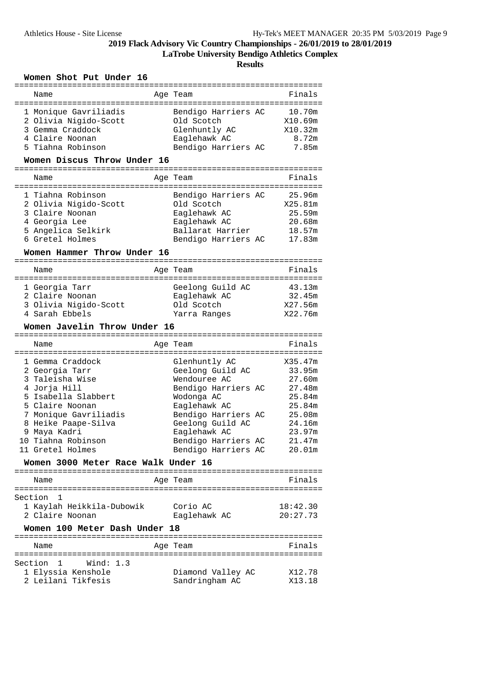**LaTrobe University Bendigo Athletics Complex**

**Results**

### **Women Shot Put Under 16**

| Name                                                                                                                                                                                                                      | Age Team                                                                                                                                                                                                               | Finals                                                                                            |
|---------------------------------------------------------------------------------------------------------------------------------------------------------------------------------------------------------------------------|------------------------------------------------------------------------------------------------------------------------------------------------------------------------------------------------------------------------|---------------------------------------------------------------------------------------------------|
| 1 Monique Gavriliadis<br>2 Olivia Nigido-Scott<br>3 Gemma Craddock<br>4 Claire Noonan<br>5 Tiahna Robinson                                                                                                                | Bendigo Harriers AC<br>Old Scotch<br>Glenhuntly AC<br>Eaglehawk AC<br>Bendigo Harriers AC                                                                                                                              | 10.70m<br>X10.69m<br>X10.32m<br>8.72m<br>7.85m                                                    |
| Women Discus Throw Under 16                                                                                                                                                                                               |                                                                                                                                                                                                                        |                                                                                                   |
| Name                                                                                                                                                                                                                      | Age Team                                                                                                                                                                                                               | Finals                                                                                            |
| 1 Tiahna Robinson<br>2 Olivia Nigido-Scott<br>3 Claire Noonan<br>4 Georgia Lee<br>5 Angelica Selkirk<br>6 Gretel Holmes<br>Women Hammer Throw Under 16                                                                    | Bendigo Harriers AC<br>Old Scotch<br>Eaglehawk AC<br>Eaglehawk AC<br>Ballarat Harrier<br>Bendigo Harriers AC                                                                                                           | 25.96m<br>X25.81m<br>25.59m<br>20.68m<br>18.57m<br>17.83m                                         |
| Name                                                                                                                                                                                                                      | Age Team                                                                                                                                                                                                               | Finals                                                                                            |
| 1 Georgia Tarr<br>2 Claire Noonan<br>3 Olivia Nigido-Scott<br>4 Sarah Ebbels<br>Women Javelin Throw Under 16                                                                                                              | Geelong Guild AC<br>Eaglehawk AC<br>Old Scotch<br>Yarra Ranges                                                                                                                                                         | 43.13m<br>32.45m<br>X27.56m<br>X22.76m                                                            |
|                                                                                                                                                                                                                           |                                                                                                                                                                                                                        |                                                                                                   |
| Name                                                                                                                                                                                                                      | Age Team                                                                                                                                                                                                               | Finals                                                                                            |
| 1 Gemma Craddock<br>2 Georgia Tarr<br>3 Taleisha Wise<br>4 Jorja Hill<br>5 Isabella Slabbert<br>5 Claire Noonan<br>7 Monique Gavriliadis<br>8 Heike Paape-Silva<br>9 Maya Kadri<br>10 Tiahna Robinson<br>11 Gretel Holmes | Glenhuntly AC<br>Geelong Guild AC<br>Wendouree AC<br>Bendigo Harriers AC<br>Wodonga AC<br>Eaglehawk AC<br>Bendigo Harriers AC<br>Geelong Guild AC<br>Eaglehawk AC<br>Bendigo Harriers AC<br>Bendigo Harriers AC 20.01m | X35.47m<br>33.95m<br>27.60m<br>27.48m<br>25.84m<br>25.84m<br>25.08m<br>24.16m<br>23.97m<br>21.47m |
| Women 3000 Meter Race Walk Under 16                                                                                                                                                                                       |                                                                                                                                                                                                                        |                                                                                                   |
| Name                                                                                                                                                                                                                      | Age Team                                                                                                                                                                                                               | Finals                                                                                            |
| Section<br>1<br>1 Kaylah Heikkila-Dubowik<br>2 Claire Noonan                                                                                                                                                              | Corio AC<br>Eaglehawk AC                                                                                                                                                                                               | 18:42.30<br>20:27.73                                                                              |
| Women 100 Meter Dash Under 18                                                                                                                                                                                             |                                                                                                                                                                                                                        |                                                                                                   |
| Name                                                                                                                                                                                                                      | Age Team                                                                                                                                                                                                               | Finals                                                                                            |
| Section<br>$\mathbf{1}$<br>Wind: $1.3$<br>1 Elyssia Kenshole                                                                                                                                                              |                                                                                                                                                                                                                        |                                                                                                   |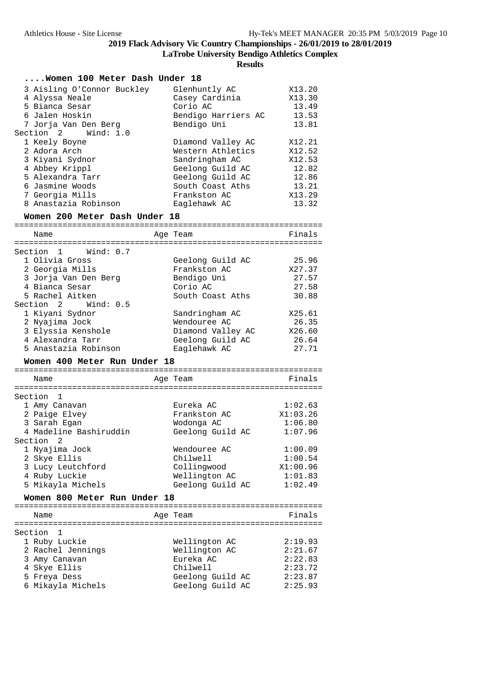**LaTrobe University Bendigo Athletics Complex**

|                                                                                                                                                                                                                                                                                           | <b>Results</b>                                                                                                                                                             |                                                                                                   |
|-------------------------------------------------------------------------------------------------------------------------------------------------------------------------------------------------------------------------------------------------------------------------------------------|----------------------------------------------------------------------------------------------------------------------------------------------------------------------------|---------------------------------------------------------------------------------------------------|
| Women 100 Meter Dash Under 18                                                                                                                                                                                                                                                             |                                                                                                                                                                            |                                                                                                   |
| 3 Aisling O'Connor Buckley<br>4 Alyssa Neale<br>5 Bianca Sesar<br>6 Jalen Hoskin<br>7 Jorja Van Den Berg                                                                                                                                                                                  | Glenhuntly AC<br>Casey Cardinia<br>Corio AC<br>Bendigo Harriers AC<br>Bendigo Uni                                                                                          | X13.20<br>X13.30<br>13.49<br>13.53<br>13.81                                                       |
| Section 2<br>Wind: 1.0<br>1 Keely Boyne<br>2 Adora Arch<br>3 Kiyani Sydnor<br>4 Abbey Krippl<br>5 Alexandra Tarr<br>6 Jasmine Woods<br>7 Georgia Mills<br>8 Anastazia Robinson<br>Women 200 Meter Dash Under 18                                                                           | Diamond Valley AC<br>Western Athletics<br>Sandringham AC<br>Geelong Guild AC<br>Geelong Guild AC<br>South Coast Aths<br>Frankston AC<br>Eaglehawk AC                       | X12.21<br>X12.52<br>X12.53<br>12.82<br>12.86<br>13.21<br>X13.29<br>13.32                          |
|                                                                                                                                                                                                                                                                                           |                                                                                                                                                                            |                                                                                                   |
| Name<br>=======================                                                                                                                                                                                                                                                           | Age Team                                                                                                                                                                   | Finals                                                                                            |
| Section 1<br>Wind: 0.7<br>1 Olivia Gross<br>2 Georgia Mills<br>3 Jorja Van Den Berg<br>4 Bianca Sesar<br>5 Rachel Aitken<br>Section 2<br>Wind: 0.5<br>1 Kiyani Sydnor<br>2 Nyajima Jock<br>3 Elyssia Kenshole<br>4 Alexandra Tarr<br>5 Anastazia Robinson<br>Women 400 Meter Run Under 18 | Geelong Guild AC<br>Frankston AC<br>Bendigo Uni<br>Corio AC<br>South Coast Aths<br>Sandringham AC<br>Wendouree AC<br>Diamond Valley AC<br>Geelong Guild AC<br>Eaglehawk AC | 25.96<br>X27.37<br>27.57<br>27.58<br>30.88<br>X25.61<br>26.35<br>X26.60<br>26.64<br>27.71         |
| Name                                                                                                                                                                                                                                                                                      | Age Team                                                                                                                                                                   | Finals                                                                                            |
| Section<br>1<br>1 Amy Canavan<br>2 Paige Elvey<br>3 Sarah Egan<br>4 Madeline Bashiruddin<br>Section<br>2<br>1 Nyajima Jock<br>2 Skye Ellis<br>3 Lucy Leutchford<br>4 Ruby Luckie<br>5 Mikayla Michels                                                                                     | Eureka AC<br>Frankston AC<br>Wodonga AC<br>Geelong Guild AC<br>Wendouree AC<br>Chilwell<br>Collingwood<br>Wellington AC<br>Geelong Guild AC                                | 1:02.63<br>X1:03.26<br>1:06.80<br>1:07.96<br>1:00.09<br>1:00.54<br>X1:00.96<br>1:01.83<br>1:02.49 |
| Women 800 Meter Run Under 18                                                                                                                                                                                                                                                              |                                                                                                                                                                            |                                                                                                   |
| Name                                                                                                                                                                                                                                                                                      | Age Team                                                                                                                                                                   | Finals                                                                                            |
| Section<br>1                                                                                                                                                                                                                                                                              |                                                                                                                                                                            |                                                                                                   |

| Section l         |                  |         |
|-------------------|------------------|---------|
| 1 Ruby Luckie     | Wellington AC    | 2:19.93 |
| 2 Rachel Jennings | Wellington AC    | 2:21.67 |
| 3 Amy Canavan     | Eureka AC        | 2:22.83 |
| 4 Skye Ellis      | Chilwell         | 2:23.72 |
| 5 Freya Dess      | Geelong Guild AC | 2:23.87 |
| 6 Mikayla Michels | Geelong Guild AC | 2:25.93 |
|                   |                  |         |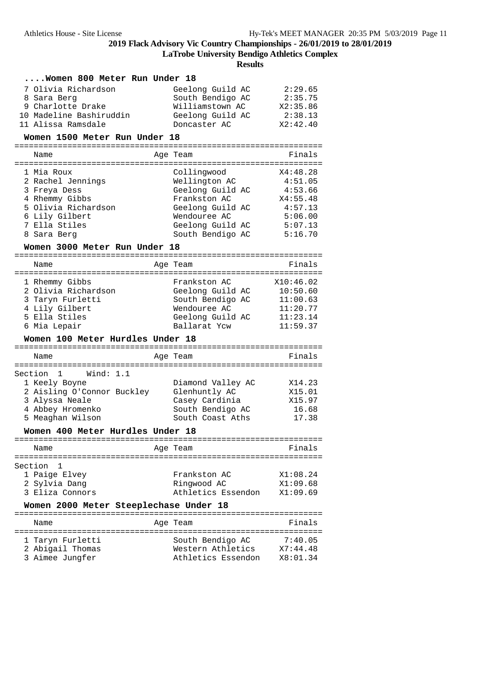**LaTrobe University Bendigo Athletics Complex**

**Results**

#### **....Women 800 Meter Run Under 18**

| 7 Olivia Richardson     | Geelong Guild AC | 2:29.65  |
|-------------------------|------------------|----------|
| 8 Sara Berg             | South Bendigo AC | 2:35.75  |
| 9 Charlotte Drake       | Williamstown AC  | X2:35.86 |
| 10 Madeline Bashiruddin | Geelong Guild AC | 2:38.13  |
| 11 Alissa Ramsdale      | Doncaster AC     | X2:42.40 |

#### **Women 1500 Meter Run Under 18**

================================================================

| Name                | Age Team         | Finals   |
|---------------------|------------------|----------|
| 1 Mia Roux          | Collingwood      | X4:48.28 |
| 2 Rachel Jennings   | Wellington AC    | 4:51.05  |
| 3 Freya Dess        | Geelong Guild AC | 4:53.66  |
| 4 Rhemmy Gibbs      | Frankston AC     | X4:55.48 |
| 5 Olivia Richardson | Geelong Guild AC | 4:57.13  |
| 6 Lily Gilbert      | Wendouree AC     | 5:06.00  |
| 7 Ella Stiles       | Geelong Guild AC | 5:07.13  |
| 8 Sara Berg         | South Bendigo AC | 5:16.70  |

#### **Women 3000 Meter Run Under 18**

| Name                                                                                                                                             | Age Team                                                                                                 | Finals                                                                |
|--------------------------------------------------------------------------------------------------------------------------------------------------|----------------------------------------------------------------------------------------------------------|-----------------------------------------------------------------------|
| 1 Rhemmy Gibbs<br>2 Olivia Richardson<br>3 Taryn Furletti<br>4 Lily Gilbert<br>5 Ella Stiles<br>6 Mia Lepair<br>Women 100 Meter Hurdles Under 18 | Frankston AC<br>Geelong Guild AC<br>South Bendigo AC<br>Wendouree AC<br>Geelong Guild AC<br>Ballarat Ycw | X10:46.02<br>10:50.60<br>11:00.63<br>11:20.77<br>11:23.14<br>11:59.37 |
| Name                                                                                                                                             | Age Team                                                                                                 | Finals                                                                |
| Section 1 Wind: 1.1<br>1 Keely Boyne<br>2 Aisling O'Connor Buckley<br>3 Alyssa Neale<br>4 Abbey Hromenko<br>5 Meaghan Wilson                     | Diamond Valley AC<br>Glenhuntly AC<br>Casey Cardinia<br>South Bendigo AC<br>South Coast Aths             | X14.23<br>X15.01<br>X15.97<br>16.68<br>17.38                          |

#### **Women 400 Meter Hurdles Under 18**

| Name                                                           | Age Team                               | Finals                                                 |
|----------------------------------------------------------------|----------------------------------------|--------------------------------------------------------|
| Section 1<br>1 Paige Elvey<br>2 Sylvia Dang<br>3 Eliza Connors | Frankston AC<br>Ringwood AC            | X1:08.24<br>X1:09.68<br>Athletics Essendon<br>X1:09.69 |
|                                                                | Women 2000 Meter Steeplechase Under 18 |                                                        |

| Name                                                    |  | Age Team                                                    | Finals                          |
|---------------------------------------------------------|--|-------------------------------------------------------------|---------------------------------|
| 1 Taryn Furletti<br>2 Abigail Thomas<br>3 Aimee Jungfer |  | South Bendigo AC<br>Western Athletics<br>Athletics Essendon | 7:40.05<br>X7:44.48<br>X8:01.34 |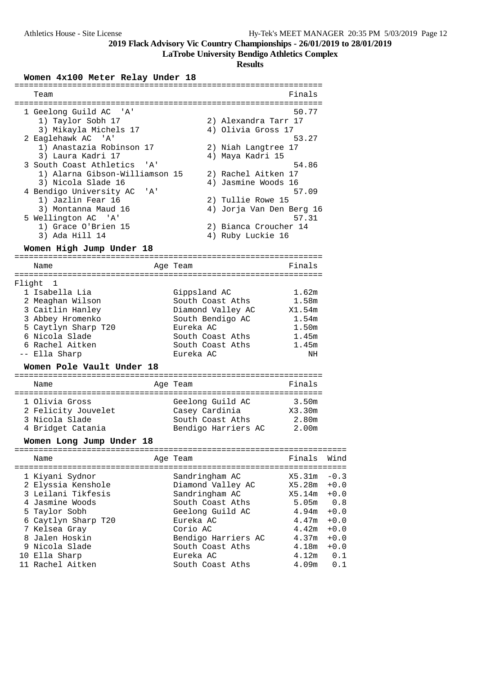**LaTrobe University Bendigo Athletics Complex**

**Results**

#### **Women 4x100 Meter Relay Under 18**

| Team                            | Finals                   |
|---------------------------------|--------------------------|
|                                 |                          |
| 1 Geelong Guild AC 'A'          | 50.77                    |
| 1) Taylor Sobh 17               | 2) Alexandra Tarr 17     |
| 3) Mikayla Michels 17           | 4) Olivia Gross 17       |
| 2 Eaglehawk AC 'A'              | 53.27                    |
| 1) Anastazia Robinson 17        | 2) Niah Langtree 17      |
| 3) Laura Kadri 17               | 4) Maya Kadri 15         |
| 3 South Coast Athletics 'A'     | 54.86                    |
| 1) Alarna Gibson-Williamson 15  | 2) Rachel Aitken 17      |
| 3) Nicola Slade 16              | 4) Jasmine Woods 16      |
| 4 Bendigo University AC<br>. A' | 57.09                    |
| 1) Jazlin Fear 16               | 2) Tullie Rowe 15        |
| 3) Montanna Maud 16             | 4) Jorja Van Den Berg 16 |
| 5 Wellington AC 'A'             | 57.31                    |
| 1) Grace O'Brien 15             | 2) Bianca Croucher 14    |
| 3) Ada Hill 14                  | 4) Ruby Luckie 16        |

#### **Women High Jump Under 18**

================================================================ Name **Age Team Age Team** Finals ================================================================ Flight 1 1 Isabella Lia Gippsland AC 1.62m 2 Meaghan Wilson South Coast Aths 1.58m 3 Caitlin Hanley Diamond Valley AC X1.54m 3 Abbey Hromenko South Bendigo AC 1.54m 5 Caytlyn Sharp T20 Eureka AC 1.50m 6 Nicola Slade South Coast Aths 1.45m 6 Rachel Aitken South Coast Aths 1.45m -- Ella Sharp Eureka AC NH

#### **Women Pole Vault Under 18**

#### ================================================================ Name **Age Team Age Team** Finals ================================================================ 1 Olivia Gross Geelong Guild AC 3.50m 2 Felicity Jouvelet Casey Cardinia X3.30m 3 Nicola Slade South Coast Aths 2.80m 4 Bridget Catania Bendigo Harriers AC 2.00m

#### **Women Long Jump Under 18**

|  | Name                                                                                                                                                      | Age Team                                                                                                                                      | Finals                                                                  | Wind                                                                      |
|--|-----------------------------------------------------------------------------------------------------------------------------------------------------------|-----------------------------------------------------------------------------------------------------------------------------------------------|-------------------------------------------------------------------------|---------------------------------------------------------------------------|
|  | 1 Kiyani Sydnor<br>2 Elyssia Kenshole<br>3 Leilani Tikfesis<br>4 Jasmine Woods<br>5 Taylor Sobh<br>6 Caytlyn Sharp T20<br>7 Kelsea Gray<br>8 Jalen Hoskin | Sandringham AC<br>Diamond Valley AC<br>Sandringham AC<br>South Coast Aths<br>Geelong Guild AC<br>Eureka AC<br>Corio AC<br>Bendigo Harriers AC | X5.31m<br>X5.28m<br>X5.14m<br>5.05m<br>4.94m<br>4.47m<br>4.42m<br>4.37m | $-0.3$<br>$+0.0$<br>$+0.0$<br>0.8<br>$+0.0$<br>$+0.0$<br>$+0.0$<br>$+0.0$ |
|  | 9 Nicola Slade<br>10 Ella Sharp                                                                                                                           | South Coast Aths<br>Eureka AC                                                                                                                 | 4.18m<br>4.12m                                                          | $+0.0$<br>0.1                                                             |
|  | 11 Rachel Aitken                                                                                                                                          | South Coast Aths                                                                                                                              | 4.09m                                                                   | 0.1                                                                       |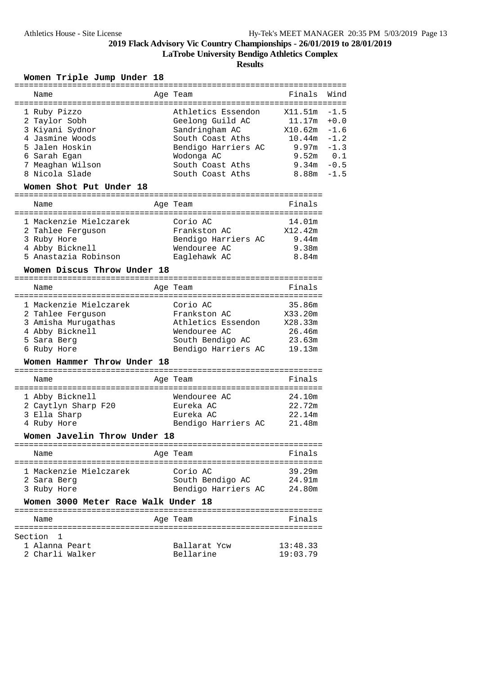**LaTrobe University Bendigo Athletics Complex**

**Results**

### **Women Triple Jump Under 18**

| Name                                | Age Team                   | Finals        | Wind   |
|-------------------------------------|----------------------------|---------------|--------|
|                                     |                            |               |        |
| 1 Ruby Pizzo                        | Athletics Essendon         | X11.51m       | $-1.5$ |
| 2 Taylor Sobh                       | Geelong Guild AC           | 11.17m        | $+0.0$ |
| 3 Kiyani Sydnor                     | Sandringham AC             | X10.62m       | $-1.6$ |
| 4 Jasmine Woods                     | South Coast Aths           | 10.44m        | $-1.2$ |
| 5 Jalen Hoskin                      | Bendigo Harriers AC        | 9.97m         | $-1.3$ |
| 6 Sarah Egan                        | Wodonga AC                 | $9.52m$ $0.1$ |        |
| 7 Meaghan Wilson                    | South Coast Aths           | 9.34m         | $-0.5$ |
| 8 Nicola Slade                      | South Coast Aths           | 8.88m         | $-1.5$ |
|                                     |                            |               |        |
| Women Shot Put Under 18             |                            |               |        |
| Name                                | Age Team                   | Finals        |        |
|                                     |                            |               |        |
| 1 Mackenzie Mielczarek              | Corio AC                   | 14.01m        |        |
| 2 Tahlee Ferguson                   | Frankston AC               | X12.42m       |        |
| 3 Ruby Hore                         | Bendigo Harriers AC        | 9.44m         |        |
| 4 Abby Bicknell                     | Wendouree AC               | 9.38m         |        |
| 5 Anastazia Robinson                | Eaglehawk AC               | 8.84m         |        |
|                                     |                            |               |        |
| Women Discus Throw Under 18         |                            |               |        |
| Name                                | Age Team                   | Finals        |        |
|                                     |                            |               |        |
| 1 Mackenzie Mielczarek              | Corio AC                   | 35.86m        |        |
| 2 Tahlee Ferguson                   | Frankston AC               | X33.20m       |        |
| 3 Amisha Murugathas                 | Athletics Essendon X28.33m |               |        |
| 4 Abby Bicknell                     | Wendouree AC               | 26.46m        |        |
| 5 Sara Berg                         | South Bendigo AC           | 23.63m        |        |
| 6 Ruby Hore                         | Bendigo Harriers AC        | 19.13m        |        |
| Women Hammer Throw Under 18         |                            |               |        |
|                                     |                            |               |        |
| Name                                | Age Team                   | Finals        |        |
| 1 Abby Bicknell                     | Wendouree AC               | 24.10m        |        |
| 2 Caytlyn Sharp F20                 | Eureka AC                  | 22.72m        |        |
| 3 Ella Sharp                        | Eureka AC                  | 22.14m        |        |
| 4 Ruby Hore                         | Bendigo Harriers AC        | 21.48m        |        |
|                                     |                            |               |        |
| Women Javelin Throw Under 18        |                            |               |        |
| Name                                | Aqe Team                   | Finals        |        |
|                                     |                            |               |        |
| 1 Mackenzie Mielczarek              | Corio AC                   | 39.29m        |        |
| 2 Sara Berg                         | South Bendigo AC           | 24.91m        |        |
| 3 Ruby Hore                         | Bendigo Harriers AC        | 24.80m        |        |
| Women 3000 Meter Race Walk Under 18 |                            |               |        |
|                                     |                            |               |        |
| Name                                | Age Team                   | Finals        |        |
| Section<br>1                        |                            |               |        |
| 1 Alanna Peart                      | Ballarat Ycw               | 13:48.33      |        |
| 2 Charli Walker                     | Bellarine                  | 19:03.79      |        |
|                                     |                            |               |        |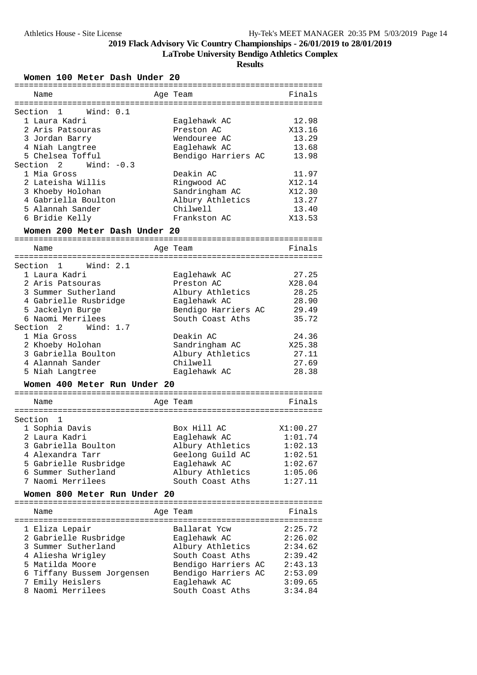**LaTrobe University Bendigo Athletics Complex**

**Results**

**Women 100 Meter Dash Under 20**

| =========                     | ========            | ===================== |
|-------------------------------|---------------------|-----------------------|
| Name                          | Age Team            | Finals                |
|                               |                     |                       |
| Section<br>1<br>Wind: 0.1     |                     |                       |
| 1 Laura Kadri                 | Eaglehawk AC        | 12.98                 |
| 2 Aris Patsouras              | Preston AC          | X13.16                |
| 3 Jordan Barry                | Wendouree AC        | 13.29                 |
| 4 Niah Langtree               | Eaglehawk AC        | 13.68                 |
| 5 Chelsea Tofful              | Bendigo Harriers AC | 13.98                 |
| Section<br>2<br>Wind: $-0.3$  |                     |                       |
| 1 Mia Gross                   | Deakin AC           | 11.97                 |
| 2 Lateisha Willis             | Ringwood AC         | X12.14                |
| 3 Khoeby Holohan              | Sandringham AC      | X12.30                |
| 4 Gabriella Boulton           | Albury Athletics    | 13.27                 |
| 5 Alannah Sander              | Chilwell            | 13.40                 |
| 6 Bridie Kelly                | Frankston AC        | X13.53                |
| Women 200 Meter Dash Under 20 |                     |                       |
| Name                          | Age Team            | Finals                |
|                               |                     |                       |
| Section<br>Wind: 2.1<br>1     |                     |                       |
| 1 Laura Kadri                 | Eaglehawk AC        | 27.25                 |
| 2 Aris Patsouras              | Preston AC          | X28.04                |
| 3 Summer Sutherland           | Albury Athletics    | 28.25                 |
| 4 Gabrielle Rusbridge         | Eaglehawk AC        | 28.90                 |
| 5 Jackelyn Burge              | Bendigo Harriers AC | 29.49                 |
| 6 Naomi Merrilees             | South Coast Aths    | 35.72                 |
| Section<br>2<br>Wind: $1.7$   |                     |                       |
| 1 Mia Gross                   | Deakin AC           | 24.36                 |
| 2 Khoeby Holohan              | Sandringham AC      | X25.38                |
| 3 Gabriella Boulton           | Albury Athletics    | 27.11                 |
| 4 Alannah Sander              | Chilwell            | 27.69                 |
| 5 Niah Langtree               | Eaglehawk AC        | 28.38                 |
|                               |                     |                       |
| Women 400 Meter Run Under 20  |                     |                       |
| Name                          | Age Team            | Finals                |
| ============                  |                     |                       |
| Section<br>1                  |                     |                       |
| 1 Sophia Davis                | Box Hill AC         | X1:00.27              |
| 2 Laura Kadri                 | Eaglehawk AC        | 1:01.74               |
| 3 Gabriella Boulton           | Albury Athletics    | 1:02.13               |
| 4 Alexandra Tarr              | Geelong Guild AC    | 1:02.51               |
| 5 Gabrielle Rusbridge         | Eaglehawk AC        | 1:02.67               |
| 6 Summer Sutherland           | Albury Athletics    | 1:05.06               |
| 7 Naomi Merrilees             | South Coast Aths    | 1:27.11               |
| Women 800 Meter Run Under 20  |                     |                       |
|                               |                     |                       |
| Name                          | Age Team            | Finals                |
|                               | Ballarat Ycw        | 2:25.72               |
| 1 Eliza Lepair                |                     |                       |
| 2 Gabrielle Rusbridge         | Eaglehawk AC        | 2:26.02               |
| 3 Summer Sutherland           | Albury Athletics    | 2:34.62               |
| 4 Aliesha Wrigley             | South Coast Aths    | 2:39.42               |
| 5 Matilda Moore               | Bendigo Harriers AC | 2:43.13               |
| 6 Tiffany Bussem Jorgensen    | Bendigo Harriers AC | 2:53.09               |
| 7 Emily Heislers              | Eaglehawk AC        | 3:09.65               |
| 8 Naomi Merrilees             | South Coast Aths    | 3:34.84               |
|                               |                     |                       |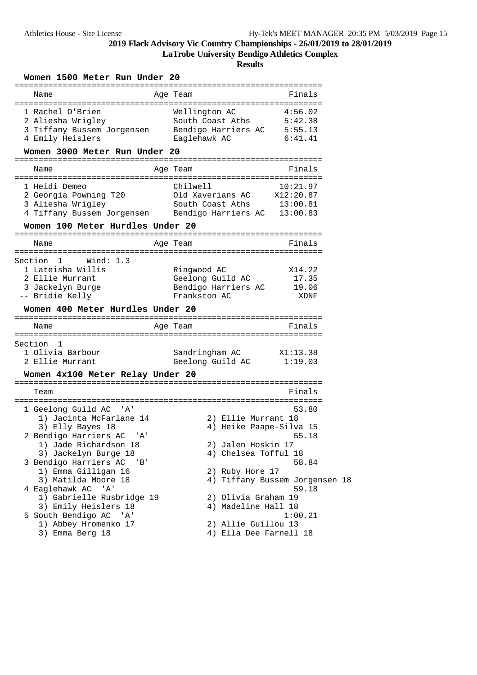**LaTrobe University Bendigo Athletics Complex**

| Women 1500 Meter Run Under 20                                                                                                                  |                                                                                  |                                         |
|------------------------------------------------------------------------------------------------------------------------------------------------|----------------------------------------------------------------------------------|-----------------------------------------|
| Name                                                                                                                                           | Age Team                                                                         | Finals                                  |
| 1 Rachel O'Brien<br>2 Aliesha Wrigley<br>3 Tiffany Bussem Jorgensen<br>4 Emily Heislers                                                        | Wellington AC<br>South Coast Aths<br>Bendigo Harriers AC 5:55.13<br>Eaglehawk AC | 4:56.02<br>5:42.38<br>6:41.41           |
| Women 3000 Meter Run Under 20                                                                                                                  |                                                                                  |                                         |
| Name                                                                                                                                           | Aqe Team                                                                         | Finals                                  |
| 1 Heidi Demeo<br>2 Georgia Powning T20<br>3 Aliesha Wrigley<br>4 Tiffany Bussem Jorgensen                                                      | Chilwell<br>Old Xaverians AC<br>South Coast Aths<br>Bendigo Harriers AC 13:00.83 | 10:21.97<br>X12:20.87<br>13:00.81       |
| Women 100 Meter Hurdles Under 20                                                                                                               |                                                                                  |                                         |
| Name                                                                                                                                           | Age Team                                                                         | Finals                                  |
| Wind: $1.3$<br>Section<br>1<br>1 Lateisha Willis<br>2 Ellie Murrant<br>3 Jackelyn Burge<br>-- Bridie Kelly<br>Women 400 Meter Hurdles Under 20 | Ringwood AC<br>Geelong Guild AC<br>Bendigo Harriers AC<br>Frankston AC           | X14.22<br>17.35<br>19.06<br>XDNF        |
| Name                                                                                                                                           | Age Team                                                                         | Finals                                  |
| Section<br>$\mathbf{1}$<br>1 Olivia Barbour<br>2 Ellie Murrant<br>Women 4x100 Meter Relay Under 20                                             | Sandringham AC<br>Geelong Guild AC                                               | X1:13.38<br>1:19.03                     |
| Team                                                                                                                                           |                                                                                  | Finals                                  |
| 1 Geelong Guild AC<br>' A '<br>1) Jacinta McFarlane 14<br>3) Elly Bayes 18                                                                     | 2) Ellie Murrant 18<br>4) Heike Paape-Silva 15                                   | 53.80<br>55.18                          |
| 2 Bendigo Harriers AC 'A'<br>1) Jade Richardson 18<br>3) Jackelyn Burge 18                                                                     | 2) Jalen Hoskin 17<br>4) Chelsea Tofful 18                                       |                                         |
| 3 Bendigo Harriers AC<br>'B'<br>1) Emma Gilligan 16                                                                                            | 2) Ruby Hore 17                                                                  | 58.84                                   |
| 3) Matilda Moore 18<br>4 Eaglehawk AC 'A'<br>1) Gabrielle Rusbridge 19<br>3) Emily Heislers 18                                                 | 2) Olivia Graham 19<br>4) Madeline Hall 18                                       | 4) Tiffany Bussem Jorgensen 18<br>59.18 |
| 5 South Bendigo AC 'A'<br>1) Abbey Hromenko 17<br>3) Emma Berg 18                                                                              | 2) Allie Guillou 13<br>4) Ella Dee Farnell 18                                    | 1:00.21                                 |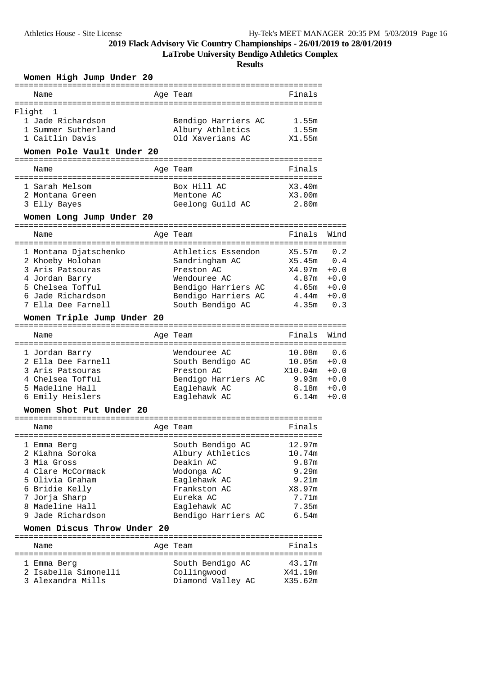**LaTrobe University Bendigo Athletics Complex**

| Women High Jump Under 20<br>===============================<br>====================                                                                              |                                                                                                                                                     |                                                                                                                             |  |  |  |  |
|------------------------------------------------------------------------------------------------------------------------------------------------------------------|-----------------------------------------------------------------------------------------------------------------------------------------------------|-----------------------------------------------------------------------------------------------------------------------------|--|--|--|--|
| Name                                                                                                                                                             | Age Team                                                                                                                                            | Finals                                                                                                                      |  |  |  |  |
| ======================================<br>Flight<br>1<br>1 Jade Richardson<br>1 Summer Sutherland<br>1 Caitlin Davis                                             | =======================<br>Bendigo Harriers AC<br>Albury Athletics<br>Old Xaverians AC                                                              | 1.55m<br>1.55m<br>X1.55m                                                                                                    |  |  |  |  |
| Women Pole Vault Under 20                                                                                                                                        | -----------------------                                                                                                                             |                                                                                                                             |  |  |  |  |
| Name<br>==========                                                                                                                                               | Age Team                                                                                                                                            | Finals                                                                                                                      |  |  |  |  |
| 1 Sarah Melsom<br>2 Montana Green<br>3 Elly Bayes<br>Women Long Jump Under 20                                                                                    | Box Hill AC<br>Mentone AC<br>Geelong Guild AC                                                                                                       | X3.40m<br>X3.00m<br>2.80m                                                                                                   |  |  |  |  |
|                                                                                                                                                                  |                                                                                                                                                     |                                                                                                                             |  |  |  |  |
| Name                                                                                                                                                             | Age Team                                                                                                                                            | Finals<br>Wind                                                                                                              |  |  |  |  |
| 1 Montana Djatschenko<br>2 Khoeby Holohan<br>3 Aris Patsouras<br>4 Jordan Barry<br>5 Chelsea Tofful<br>6 Jade Richardson<br>7 Ella Dee Farnell                   | Athletics Essendon<br>Sandringham AC<br>Preston AC<br>Wendouree AC<br>Bendigo Harriers AC<br>Bendigo Harriers AC<br>South Bendigo AC                | X5.57m<br>0.2<br>X5.45m<br>0.4<br>X4.97m<br>$+0.0$<br>4.87m<br>$+0.0$<br>4.65m<br>$+0.0$<br>4.44m<br>$+0.0$<br>0.3<br>4.35m |  |  |  |  |
| Women Triple Jump Under 20                                                                                                                                       |                                                                                                                                                     |                                                                                                                             |  |  |  |  |
| Name                                                                                                                                                             | Age Team                                                                                                                                            | Wind<br>Finals                                                                                                              |  |  |  |  |
| 1 Jordan Barry<br>2 Ella Dee Farnell<br>3 Aris Patsouras<br>4 Chelsea Tofful<br>5 Madeline Hall<br>6 Emily Heislers                                              | Wendouree AC<br>South Bendigo AC<br>Preston AC<br>Bendigo Harriers AC<br>Eaglehawk AC<br>Eaglehawk AC                                               | 10.08m<br>0.6<br>10.05m<br>$+0.0$<br>X10.04m<br>$+0.0$<br>9.93m<br>$+0.0$<br>8.18m<br>$+0.0$<br>6.14m<br>$+0.0$             |  |  |  |  |
| Women Shot Put Under 20                                                                                                                                          |                                                                                                                                                     |                                                                                                                             |  |  |  |  |
| Name                                                                                                                                                             | Age Team                                                                                                                                            | Finals                                                                                                                      |  |  |  |  |
| 1 Emma Berg<br>2 Kiahna Soroka<br>3 Mia Gross<br>4 Clare McCormack<br>5 Olivia Graham<br>6 Bridie Kelly<br>7 Jorja Sharp<br>8 Madeline Hall<br>9 Jade Richardson | South Bendigo AC<br>Albury Athletics<br>Deakin AC<br>Wodonga AC<br>Eaglehawk AC<br>Frankston AC<br>Eureka AC<br>Eaglehawk AC<br>Bendigo Harriers AC | 12.97m<br>10.74m<br>9.87m<br>9.29m<br>9.21m<br>X8.97m<br>7.71m<br>7.35m<br>6.54m                                            |  |  |  |  |
| Women Discus Throw Under 20                                                                                                                                      |                                                                                                                                                     |                                                                                                                             |  |  |  |  |
| Name                                                                                                                                                             | Age Team                                                                                                                                            | Finals                                                                                                                      |  |  |  |  |
| 1 Emma Berg<br>2 Isabella Simonelli<br>3 Alexandra Mills                                                                                                         | South Bendigo AC<br>Collingwood<br>Diamond Valley AC                                                                                                | 43.17m<br>X41.19m<br>X35.62m                                                                                                |  |  |  |  |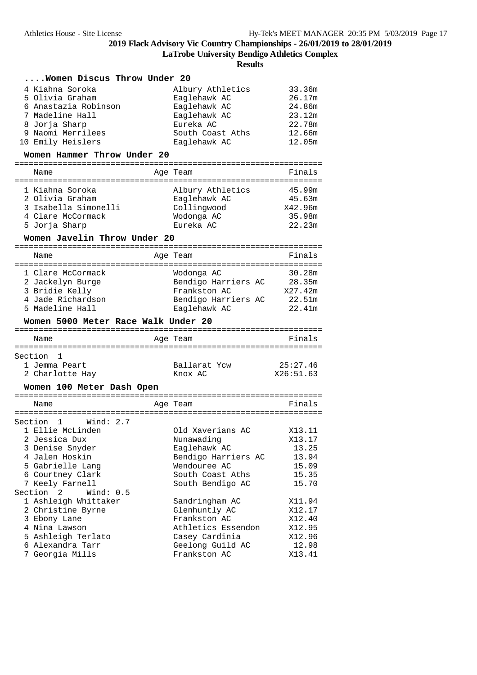**LaTrobe University Bendigo Athletics Complex**

| Women Discus Throw Under 20         |                                     |                 |
|-------------------------------------|-------------------------------------|-----------------|
| 4 Kiahna Soroka                     | Albury Athletics                    | 33.36m          |
| 5 Olivia Graham                     | Eaglehawk AC                        | 26.17m          |
| 6 Anastazia Robinson                | Eaglehawk AC                        | 24.86m          |
| 7 Madeline Hall                     | Eaglehawk AC                        | 23.12m          |
| 8 Jorja Sharp                       | Eureka AC                           | 22.78m          |
| 9 Naomi Merrilees                   | South Coast Aths                    | 12.66m          |
| 10 Emily Heislers                   | Eaglehawk AC                        | 12.05m          |
|                                     |                                     |                 |
| Women Hammer Throw Under 20         |                                     |                 |
| Name<br>:====================       | Age Team<br>=====================   | Finals          |
| 1 Kiahna Soroka                     | Albury Athletics                    | 45.99m          |
| 2 Olivia Graham                     | Eaglehawk AC                        | 45.63m          |
| 3 Isabella Simonelli                | Collingwood                         | X42.96m         |
| 4 Clare McCormack                   | Wodonga AC                          | 35.98m          |
| 5 Jorja Sharp                       | Eureka AC                           | 22.23m          |
| Women Javelin Throw Under 20        |                                     |                 |
|                                     |                                     |                 |
| Name                                | Age Team                            | Finals          |
| 1 Clare McCormack                   | Wodonga AC                          | 30.28m          |
| 2 Jackelyn Burge                    | Bendigo Harriers AC                 | 28.35m          |
| 3 Bridie Kelly                      | Frankston AC                        | X27.42m         |
| 4 Jade Richardson                   | Bendigo Harriers AC                 | 22.51m          |
| 5 Madeline Hall                     | Eaglehawk AC                        | 22.41m          |
|                                     |                                     |                 |
| Women 5000 Meter Race Walk Under 20 |                                     |                 |
|                                     |                                     |                 |
| Name                                | Age Team                            | Finals          |
|                                     |                                     |                 |
| Section<br>1                        |                                     |                 |
| 1 Jemma Peart                       | Ballarat Ycw                        | 25:27.46        |
| 2 Charlotte Hay                     | Knox AC                             | X26:51.63       |
| Women 100 Meter Dash Open           |                                     |                 |
|                                     |                                     |                 |
| Name                                | Age Team                            | Finals          |
| Section<br>Wind: $2.7$<br>1         |                                     |                 |
| 1 Ellie McLinden                    | Old Xaverians AC                    | X13.11          |
| 2 Jessica Dux                       | Nunawading                          | X13.17          |
|                                     |                                     |                 |
| 3 Denise Snyder<br>4 Jalen Hoskin   | Eaglehawk AC                        | 13.25           |
|                                     | Bendigo Harriers AC<br>Wendouree AC | 13.94           |
| 5 Gabrielle Lang                    | South Coast Aths                    | 15.09           |
| 6 Courtney Clark                    |                                     | 15.35           |
| 7 Keely Farnell                     | South Bendigo AC                    | 15.70           |
| Section 2<br>Wind: $0.5$            |                                     |                 |
| 1 Ashleigh Whittaker                | Sandringham AC                      | X11.94          |
| 2 Christine Byrne                   | Glenhuntly AC                       | X12.17          |
| 3 Ebony Lane                        | Frankston AC                        | X12.40          |
| 4 Nina Lawson                       | Athletics Essendon                  | X12.95          |
| 5 Ashleigh Terlato                  | Casey Cardinia                      | X12.96          |
| 6 Alexandra Tarr<br>7 Georgia Mills | Geelong Guild AC<br>Frankston AC    | 12.98<br>X13.41 |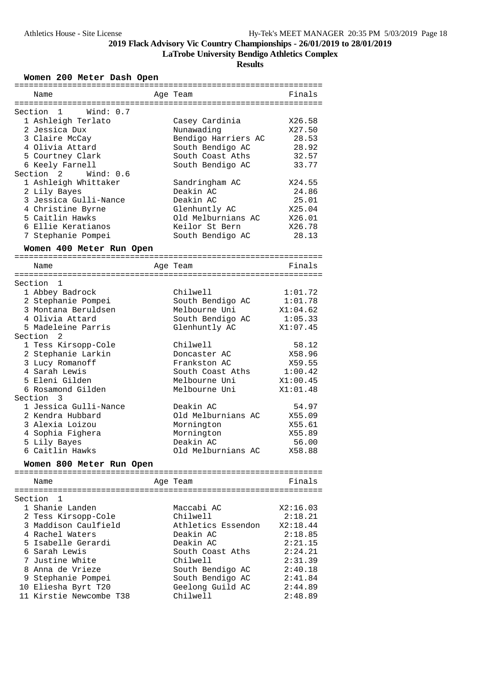**LaTrobe University Bendigo Athletics Complex**

**Results**

### **Women 200 Meter Dash Open**

| Name                                | Age Team            | Finals   |
|-------------------------------------|---------------------|----------|
|                                     |                     |          |
| Section 1<br>Wind: 0.7              |                     |          |
| 1 Ashleigh Terlato                  | Casey Cardinia      | X26.58   |
| 2 Jessica Dux                       | Nunawading          | X27.50   |
| 3 Claire McCay                      | Bendigo Harriers AC | 28.53    |
| 4 Olivia Attard                     | South Bendigo AC    | 28.92    |
| 5 Courtney Clark                    | South Coast Aths    | 32.57    |
| 6 Keely Farnell                     | South Bendigo AC    | 33.77    |
| Section <sub>2</sub><br>Wind: $0.6$ |                     |          |
| 1 Ashleigh Whittaker                | Sandringham AC      | X24.55   |
| 2 Lily Bayes                        | Deakin AC           | 24.86    |
| 3 Jessica Gulli-Nance               | Deakin AC           | 25.01    |
|                                     |                     | X25.04   |
| 4 Christine Byrne                   | Glenhuntly AC       |          |
| 5 Caitlin Hawks                     | Old Melburnians AC  | X26.01   |
| 6 Ellie Keratianos                  | Keilor St Bern      | X26.78   |
| 7 Stephanie Pompei                  | South Bendigo AC    | 28.13    |
| Women 400 Meter Run Open            |                     |          |
|                                     |                     |          |
| Name                                | Age Team            | Finals   |
|                                     |                     |          |
| Section 1                           |                     |          |
| 1 Abbey Badrock                     | Chilwell            | 1:01.72  |
| 2 Stephanie Pompei                  | South Bendigo AC    | 1:01.78  |
| 3 Montana Beruldsen                 | Melbourne Uni       | X1:04.62 |
| 4 Olivia Attard                     | South Bendigo AC    | 1:05.33  |
|                                     |                     |          |
| 5 Madeleine Parris                  | Glenhuntly AC       | X1:07.45 |
| Section 2                           |                     |          |
| 1 Tess Kirsopp-Cole                 | Chilwell            | 58.12    |
| 2 Stephanie Larkin                  | Doncaster AC        | X58.96   |
| 3 Lucy Romanoff                     | Frankston AC        | X59.55   |
| 4 Sarah Lewis                       | South Coast Aths    | 1:00.42  |
| 5 Eleni Gilden                      | Melbourne Uni       | X1:00.45 |
| 6 Rosamond Gilden                   | Melbourne Uni       | X1:01.48 |
| Section 3                           |                     |          |
| 1 Jessica Gulli-Nance               | Deakin AC           | 54.97    |
| 2 Kendra Hubbard                    | Old Melburnians AC  | X55.09   |
| 3 Alexia Loizou                     | Mornington          | X55.61   |
| 4 Sophia Fighera                    | Mornington          | X55.89   |
| 5 Lily Bayes                        | Deakin AC           | 56.00    |
| 6 Caitlin Hawks                     | Old Melburnians AC  | X58.88   |
|                                     |                     |          |
| Women 800 Meter Run Open            |                     |          |
| Name                                | Age Team            | Finals   |
|                                     |                     |          |
| 1<br>Section                        |                     |          |
| 1 Shanie Landen                     | Maccabi AC          | X2:16.03 |
| 2 Tess Kirsopp-Cole                 | Chilwell            | 2:18.21  |
|                                     |                     |          |
| 3 Maddison Caulfield                | Athletics Essendon  | X2:18.44 |
| 4 Rachel Waters                     | Deakin AC           | 2:18.85  |
| 5 Isabelle Gerardi                  | Deakin AC           | 2:21.15  |
| 6 Sarah Lewis                       | South Coast Aths    | 2:24.21  |
| 7 Justine White                     | Chilwell            | 2:31.39  |
| 8 Anna de Vrieze                    | South Bendigo AC    | 2:40.18  |
| 9 Stephanie Pompei                  | South Bendigo AC    | 2:41.84  |
| 10 Eliesha Byrt T20                 | Geelong Guild AC    | 2:44.89  |
| 11 Kirstie Newcombe T38             | Chilwell            | 2:48.89  |
|                                     |                     |          |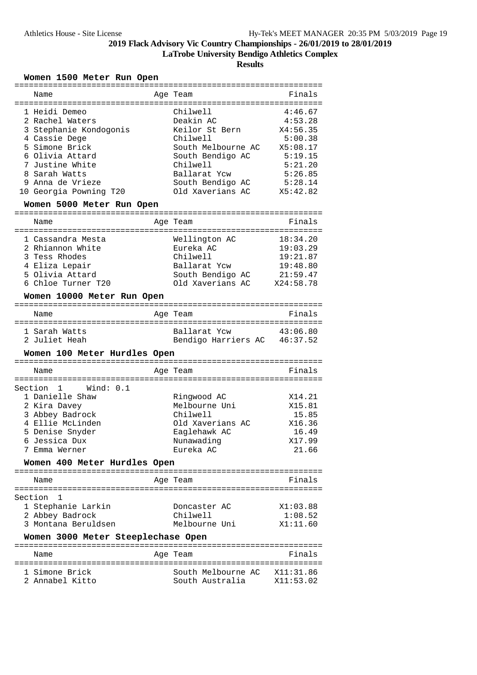**LaTrobe University Bendigo Athletics Complex**

**Results**

### **Women 1500 Meter Run Open**

| Name                                   | Age Team                     | Finals    |
|----------------------------------------|------------------------------|-----------|
| 1 Heidi Demeo                          | Chilwell                     | 4:46.67   |
| 2 Rachel Waters                        | Deakin AC                    | 4:53.28   |
| 3 Stephanie Kondogonis                 | Keilor St Bern               | X4:56.35  |
| 4 Cassie Dege                          | Chilwell                     | 5:00.38   |
| 5 Simone Brick                         | South Melbourne AC           | X5:08.17  |
| 6 Olivia Attard                        | South Bendigo AC             | 5:19.15   |
| 7 Justine White                        | Chilwell                     | 5:21.20   |
| 8 Sarah Watts                          |                              | 5:26.85   |
|                                        | Ballarat Ycw                 |           |
| 9 Anna de Vrieze                       | South Bendigo AC             | 5:28.14   |
| 10 Georgia Powning T20                 | Old Xaverians AC             | X5:42.82  |
| Women 5000 Meter Run Open              |                              |           |
| Name                                   | Age Team                     | Finals    |
| 1 Cassandra Mesta                      | Wellington AC                | 18:34.20  |
| 2 Rhiannon White                       | Eureka AC                    | 19:03.29  |
|                                        |                              |           |
| 3 Tess Rhodes                          | Chilwell                     | 19:21.87  |
| 4 Eliza Lepair                         | Ballarat Ycw                 | 19:48.80  |
| 5 Olivia Attard                        | South Bendigo AC             | 21:59.47  |
| 6 Chloe Turner T20                     | Old Xaverians AC             | X24:58.78 |
| Women 10000 Meter Run Open             |                              |           |
| Name                                   | Age Team                     | Finals    |
| 1 Sarah Watts                          | Ballarat Ycw                 | 43:06.80  |
| 2 Juliet Heah                          | Bendigo Harriers AC 46:37.52 |           |
| Women 100 Meter Hurdles Open           |                              |           |
|                                        |                              |           |
| Name                                   | Age Team                     | Finals    |
|                                        |                              |           |
| Section<br>$\overline{1}$<br>Wind: 0.1 |                              |           |
| 1 Danielle Shaw                        | Ringwood AC                  | X14.21    |
| 2 Kira Davey                           | Melbourne Uni                | X15.81    |
| 3 Abbey Badrock                        | Chilwell                     | 15.85     |
| 4 Ellie McLinden                       | Old Xaverians AC             | X16.36    |
| 5 Denise Snyder                        | Eaglehawk AC                 | 16.49     |
| 6 Jessica Dux                          | Nunawading                   | X17.99    |
| 7 Emma Werner                          | Eureka AC                    | 21.66     |
| Women 400 Meter Hurdles Open           |                              |           |
| Name                                   | Age Team                     | Finals    |
|                                        |                              |           |
| 1<br>Section                           |                              |           |
|                                        |                              |           |
|                                        |                              |           |
| 1 Stephanie Larkin                     | Doncaster AC                 | X1:03.88  |
| 2 Abbey Badrock                        | Chilwell                     | 1:08.52   |
| 3 Montana Beruldsen                    | Melbourne Uni                | X1:11.60  |
| Women 3000 Meter Steeplechase Open     |                              |           |
| Name                                   | Age Team                     | Finals    |
|                                        |                              |           |
| 1 Simone Brick                         | South Melbourne AC X11:31.86 |           |
| 2 Annabel Kitto                        | South Australia X11:53.02    |           |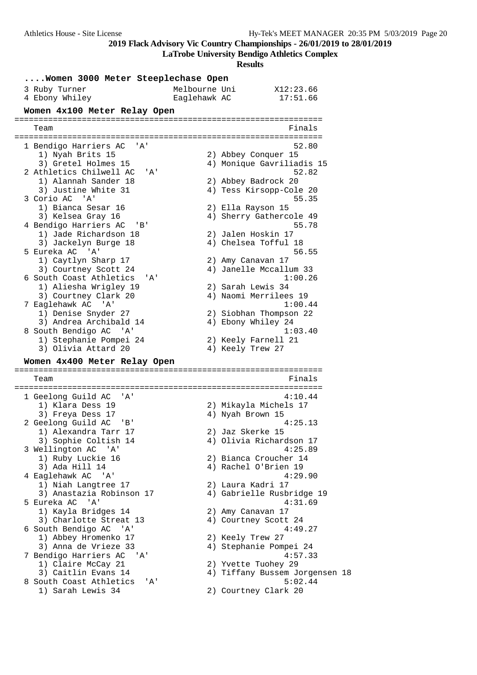**LaTrobe University Bendigo Athletics Complex**

| Women 3000 Meter Steeplechase Open |                                                   |                               |                                                |  |  |  |  |
|------------------------------------|---------------------------------------------------|-------------------------------|------------------------------------------------|--|--|--|--|
|                                    | 3 Ruby Turner<br>4 Ebony Whiley                   | Melbourne Uni<br>Eaglehawk AC | X12:23.66<br>17:51.66                          |  |  |  |  |
|                                    | Women 4x100 Meter Relay Open                      |                               |                                                |  |  |  |  |
|                                    | Team                                              |                               | Finals                                         |  |  |  |  |
|                                    | 1 Bendigo Harriers AC<br>' A '                    |                               | 52.80                                          |  |  |  |  |
|                                    | 1) Nyah Brits 15                                  |                               | 2) Abbey Conquer 15                            |  |  |  |  |
|                                    | 3) Gretel Holmes 15                               |                               | 4) Monique Gavriliadis 15                      |  |  |  |  |
|                                    | 2 Athletics Chilwell AC<br>'A'                    |                               | 52.82                                          |  |  |  |  |
|                                    | 1) Alannah Sander 18<br>3) Justine White 31       |                               | 2) Abbey Badrock 20<br>4) Tess Kirsopp-Cole 20 |  |  |  |  |
|                                    | 3 Corio AC 'A'                                    |                               | 55.35                                          |  |  |  |  |
|                                    | 1) Bianca Sesar 16                                |                               | 2) Ella Rayson 15                              |  |  |  |  |
|                                    | 3) Kelsea Gray 16                                 |                               | 4) Sherry Gathercole 49                        |  |  |  |  |
|                                    | 4 Bendigo Harriers AC<br>' B '                    |                               | 55.78                                          |  |  |  |  |
|                                    | 1) Jade Richardson 18<br>3) Jackelyn Burge 18     |                               | 2) Jalen Hoskin 17<br>4) Chelsea Tofful 18     |  |  |  |  |
|                                    | 5 Eureka AC 'A'                                   |                               | 56.55                                          |  |  |  |  |
|                                    | 1) Caytlyn Sharp 17                               |                               | 2) Amy Canavan 17                              |  |  |  |  |
|                                    | 3) Courtney Scott 24                              |                               | 4) Janelle Mccallum 33                         |  |  |  |  |
|                                    | 6 South Coast Athletics<br>' A'                   |                               | 1:00.26                                        |  |  |  |  |
|                                    | 1) Aliesha Wrigley 19<br>3) Courtney Clark 20     |                               | 2) Sarah Lewis 34<br>4) Naomi Merrilees 19     |  |  |  |  |
|                                    | 7 Eaglehawk AC 'A'                                |                               | 1:00.44                                        |  |  |  |  |
|                                    | 1) Denise Snyder 27                               |                               | 2) Siobhan Thompson 22                         |  |  |  |  |
|                                    | 3) Andrea Archibald 14                            |                               | 4) Ebony Whiley 24                             |  |  |  |  |
|                                    | 8 South Bendigo AC 'A'                            |                               | 1:03.40                                        |  |  |  |  |
|                                    | 1) Stephanie Pompei 24<br>3) Olivia Attard 20     |                               | 2) Keely Farnell 21<br>4) Keely Trew 27        |  |  |  |  |
|                                    |                                                   |                               |                                                |  |  |  |  |
|                                    | Women 4x400 Meter Relay Open                      |                               |                                                |  |  |  |  |
|                                    | Team                                              |                               | Finals                                         |  |  |  |  |
|                                    | 1 Geelong Guild AC<br>'A'                         |                               | 4:10.44                                        |  |  |  |  |
|                                    | 1) Klara Dess 19                                  |                               | 2) Mikayla Michels 17                          |  |  |  |  |
|                                    | 3) Freya Dess 17                                  |                               | 4) Nyah Brown 15                               |  |  |  |  |
|                                    | 2 Geelong Guild AC<br>'B'<br>1) Alexandra Tarr 17 |                               | 4:25.13<br>2) Jaz Skerke 15                    |  |  |  |  |
|                                    | 3) Sophie Coltish 14                              |                               | 4) Olivia Richardson 17                        |  |  |  |  |
|                                    | 3 Wellington AC 'A'                               |                               | 4:25.89                                        |  |  |  |  |
|                                    | 1) Ruby Luckie 16                                 |                               | 2) Bianca Croucher 14                          |  |  |  |  |
|                                    | 3) Ada Hill 14                                    |                               | 4) Rachel O'Brien 19                           |  |  |  |  |
|                                    | 4 Eaglehawk AC 'A'<br>1) Niah Langtree 17         |                               | 4:29.90<br>2) Laura Kadri 17                   |  |  |  |  |
|                                    | 3) Anastazia Robinson 17                          |                               | 4) Gabrielle Rusbridge 19                      |  |  |  |  |
|                                    | 5 Eureka AC<br>' A'                               |                               | 4:31.69                                        |  |  |  |  |
|                                    | 1) Kayla Bridges 14                               |                               | 2) Amy Canavan 17                              |  |  |  |  |
|                                    | 3) Charlotte Streat 13                            |                               | 4) Courtney Scott 24                           |  |  |  |  |
|                                    | 6 South Bendigo AC 'A'                            |                               | 4:49.27                                        |  |  |  |  |
|                                    | 1) Abbey Hromenko 17<br>3) Anna de Vrieze 33      |                               | 2) Keely Trew 27<br>4) Stephanie Pompei 24     |  |  |  |  |
|                                    | 7 Bendigo Harriers AC<br>'A'                      |                               | 4:57.33                                        |  |  |  |  |
|                                    | 1) Claire McCay 21                                |                               | 2) Yvette Tuohey 29                            |  |  |  |  |
|                                    | 3) Caitlin Evans 14                               |                               | 4) Tiffany Bussem Jorgensen 18                 |  |  |  |  |
|                                    | 8 South Coast Athletics<br>'A'                    |                               | 5:02.44                                        |  |  |  |  |
|                                    | 1) Sarah Lewis 34                                 |                               | 2) Courtney Clark 20                           |  |  |  |  |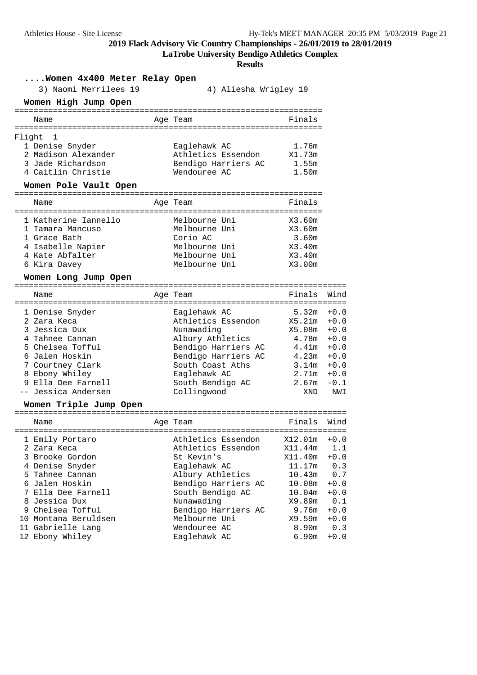| Athletics House - Site License                | 2019 Flack Advisory Vic Country Championships - 26/01/2019 to 28/01/2019                              |                                |               | Hy-Tek's MEET MANAGER 20:35 PM 5/03/2019 Page 21 |  |
|-----------------------------------------------|-------------------------------------------------------------------------------------------------------|--------------------------------|---------------|--------------------------------------------------|--|
|                                               | <b>LaTrobe University Bendigo Athletics Complex</b><br><b>Results</b>                                 |                                |               |                                                  |  |
| Women 4x400 Meter Relay Open                  |                                                                                                       |                                |               |                                                  |  |
| 3) Naomi Merrilees 19<br>Women High Jump Open | 4) Aliesha Wrigley 19                                                                                 |                                |               |                                                  |  |
| Name                                          | Age Team                                                                                              | Finals                         |               |                                                  |  |
|                                               |                                                                                                       |                                |               |                                                  |  |
| Flight<br>$\mathbf{1}$<br>1 Denise Snyder     | Eaglehawk AC                                                                                          | 1.76m                          |               |                                                  |  |
| 2 Madison Alexander                           | Athletics Essendon X1.73m                                                                             |                                |               |                                                  |  |
| 3 Jade Richardson<br>4 Caitlin Christie       | Bendigo Harriers AC<br>Wendouree AC                                                                   | 1.55m<br>1.50m                 |               |                                                  |  |
| Women Pole Vault Open                         |                                                                                                       |                                |               |                                                  |  |
| Name                                          | Age Team                                                                                              | Finals                         |               |                                                  |  |
| 1 Katherine Iannello                          |                                                                                                       |                                |               |                                                  |  |
| 1 Tamara Mancuso                              | Melbourne Uni<br>Melbourne Uni                                                                        | X3.60m<br>X3.60m               |               |                                                  |  |
| 1 Grace Bath                                  | Corio AC                                                                                              | 3.60m                          |               |                                                  |  |
| 4 Isabelle Napier<br>4 Kate Abfalter          | Melbourne Uni<br>Melbourne Uni                                                                        | X3.40m<br>X3.40m               |               |                                                  |  |
| 6 Kira Davey                                  | Melbourne Uni                                                                                         | X3.00m                         |               |                                                  |  |
| Women Long Jump Open                          |                                                                                                       |                                |               |                                                  |  |
| Name                                          | Age Team                                                                                              | Finals Wind                    |               |                                                  |  |
| 1 Denise Snyder                               | Eaglehawk AC                                                                                          | $5.32m + 0.0$                  |               |                                                  |  |
| 2 Zara Keca                                   | Athletics Essendon X5.21m +0.0                                                                        |                                |               |                                                  |  |
| 3 Jessica Dux                                 | Nunawading                                                                                            | $X5.08m + 0.0$                 |               |                                                  |  |
| 4 Tahnee Cannan<br>5 Chelsea Tofful           | Albury Athletics 4.78m +0.0                                                                           |                                |               |                                                  |  |
| 6 Jalen Hoskin                                | Bendigo Harriers AC $4.41m +0.0$<br>Bendigo Harriers AC $4.23m +0.0$<br>South Coast Aths $3.14m +0.0$ |                                |               |                                                  |  |
| 7 Courtney Clark                              | South Coast Aths                                                                                      | $3.14m + 0.0$                  |               |                                                  |  |
| 8 Ebony Whiley<br>9 Ella Dee Farnell          | Eaglehawk AC<br>South Bendigo AC                                                                      | $2.71m + 0.0$<br>$2.67m - 0.1$ |               |                                                  |  |
| -- Jessica Andersen                           | Collingwood                                                                                           | XND                            | NWI           |                                                  |  |
| Women Triple Jump Open                        |                                                                                                       |                                |               |                                                  |  |
| Name                                          | Age Team                                                                                              | Finals                         | Wind          |                                                  |  |
| 1 Emily Portaro                               | Athletics Essendon                                                                                    | X12.01m                        | $+0.0$        |                                                  |  |
| 2 Zara Keca                                   | Athletics Essendon                                                                                    | X11.44m                        | 1.1           |                                                  |  |
| 3 Brooke Gordon                               | St Kevin's                                                                                            | X11.40m                        | $+0.0$        |                                                  |  |
| 4 Denise Snyder<br>5 Tahnee Cannan            | Eaglehawk AC<br>Albury Athletics                                                                      | 11.17m<br>10.43m               | 0.3<br>0.7    |                                                  |  |
| 6 Jalen Hoskin                                | Bendigo Harriers AC                                                                                   | 10.08m                         | $+0.0$        |                                                  |  |
| 7 Ella Dee Farnell                            | South Bendigo AC                                                                                      | 10.04m                         | $+0.0$        |                                                  |  |
| 8 Jessica Dux<br>9 Chelsea Tofful             | Nunawading<br>Bendigo Harriers AC                                                                     | X9.89m<br>9.76m                | 0.1<br>$+0.0$ |                                                  |  |
| 10 Montana Beruldsen                          | Melbourne Uni                                                                                         | X9.59m                         | $+0.0$        |                                                  |  |
| 11 Gabrielle Lang                             | Wendouree AC                                                                                          | 8.90m                          | 0.3           |                                                  |  |
| 12 Ebony Whiley                               | Eaglehawk AC                                                                                          | 6.90m                          | $+0.0$        |                                                  |  |
|                                               |                                                                                                       |                                |               |                                                  |  |
|                                               |                                                                                                       |                                |               |                                                  |  |
|                                               |                                                                                                       |                                |               |                                                  |  |
|                                               |                                                                                                       |                                |               |                                                  |  |
|                                               |                                                                                                       |                                |               |                                                  |  |
|                                               |                                                                                                       |                                |               |                                                  |  |
|                                               |                                                                                                       |                                |               |                                                  |  |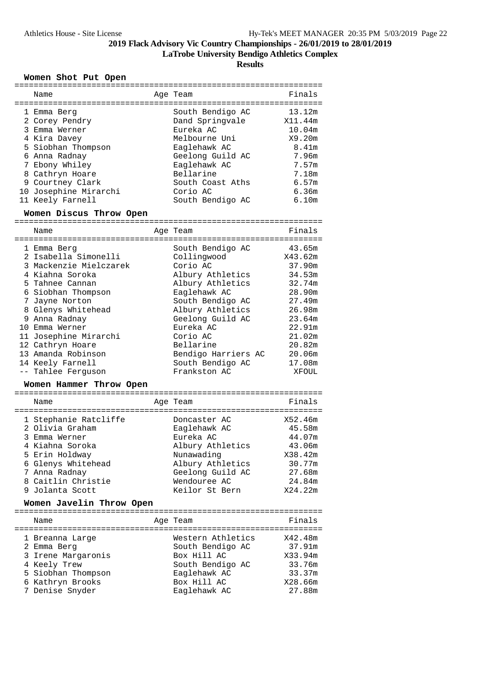**LaTrobe University Bendigo Athletics Complex**

**Results**

### **Women Shot Put Open**

| Name<br>=================================                                                                                                                                                                                                                                                                         | Age Team                                                                                                                                                                                                                                                         | Finals<br>==============                                                                                                                           |
|-------------------------------------------------------------------------------------------------------------------------------------------------------------------------------------------------------------------------------------------------------------------------------------------------------------------|------------------------------------------------------------------------------------------------------------------------------------------------------------------------------------------------------------------------------------------------------------------|----------------------------------------------------------------------------------------------------------------------------------------------------|
| 1 Emma Berg<br>2 Corey Pendry<br>3 Emma Werner<br>4 Kira Davey<br>5 Siobhan Thompson<br>6 Anna Radnay<br>7 Ebony Whiley<br>8 Cathryn Hoare<br>9 Courtney Clark<br>10 Josephine Mirarchi<br>11 Keely Farnell                                                                                                       | South Bendigo AC<br>Dand Springvale<br>Eureka AC<br>Melbourne Uni<br>Eaglehawk AC<br>Geelong Guild AC<br>Eaglehawk AC<br>Bellarine<br>South Coast Aths<br>Corio AC<br>South Bendigo AC                                                                           | 13.12m<br>X11.44m<br>10.04m<br>X9.20m<br>8.41m<br>7.96m<br>7.57m<br>7.18m<br>6.57m<br>6.36m<br>6.10m                                               |
| Women Discus Throw Open                                                                                                                                                                                                                                                                                           | ==============                                                                                                                                                                                                                                                   |                                                                                                                                                    |
| Name<br>--------------------------------------                                                                                                                                                                                                                                                                    | Age Team<br>============================                                                                                                                                                                                                                         | Finals                                                                                                                                             |
| 1 Emma Berg<br>2 Isabella Simonelli<br>3 Mackenzie Mielczarek<br>4 Kiahna Soroka<br>5 Tahnee Cannan<br>6 Siobhan Thompson<br>7 Jayne Norton<br>8 Glenys Whitehead<br>9 Anna Radnay<br>10 Emma Werner<br>11 Josephine Mirarchi<br>12 Cathryn Hoare<br>13 Amanda Robinson<br>14 Keely Farnell<br>-- Tahlee Ferquson | South Bendigo AC<br>Collingwood<br>Corio AC<br>Albury Athletics<br>Albury Athletics<br>Eaglehawk AC<br>South Bendigo AC<br>Albury Athletics<br>Geelong Guild AC<br>Eureka AC<br>Corio AC<br>Bellarine<br>Bendigo Harriers AC<br>South Bendigo AC<br>Frankston AC | 43.65m<br>X43.62m<br>37.90m<br>34.53m<br>32.74m<br>28.90m<br>27.49m<br>26.98m<br>23.64m<br>22.91m<br>21.02m<br>20.82m<br>20.06m<br>17.08m<br>XFOUL |

#### **Women Hammer Throw Open**

| Name                                     | Age Team                      | Finals            |
|------------------------------------------|-------------------------------|-------------------|
| 1 Stephanie Ratcliffe<br>2 Olivia Graham | Doncaster AC<br>Eaglehawk AC  | X52.46m<br>45.58m |
| 3 Emma Werner<br>4 Kiahna Soroka         | Eureka AC<br>Albury Athletics | 44.07m<br>43.06m  |
| 5 Erin Holdway                           | Nunawading                    | X38.42m           |
| 6 Glenys Whitehead                       | Albury Athletics              | 30.77m            |
| 7 Anna Radnay                            | Geelong Guild AC              | 27.68m            |
| 8 Caitlin Christie                       | Wendouree AC                  | 24.84m            |
| 9 Jolanta Scott                          | Keilor St Bern                | X24.22m           |

#### **Women Javelin Throw Open**

| Name                           | Age Team                              | Finals            |
|--------------------------------|---------------------------------------|-------------------|
| 1 Breanna Large<br>2 Emma Berg | Western Athletics<br>South Bendigo AC | X42.48m<br>37.91m |
| 3 Irene Margaronis             | Box Hill AC                           | X33.94m           |
| 4 Keely Trew                   | South Bendigo AC                      | 33.76m            |
| 5 Siobhan Thompson             | Eaglehawk AC                          | 33.37m            |
| 6 Kathryn Brooks               | Box Hill AC                           | X28.66m           |
| 7 Denise Snyder                | Eaglehawk AC                          | 27.88m            |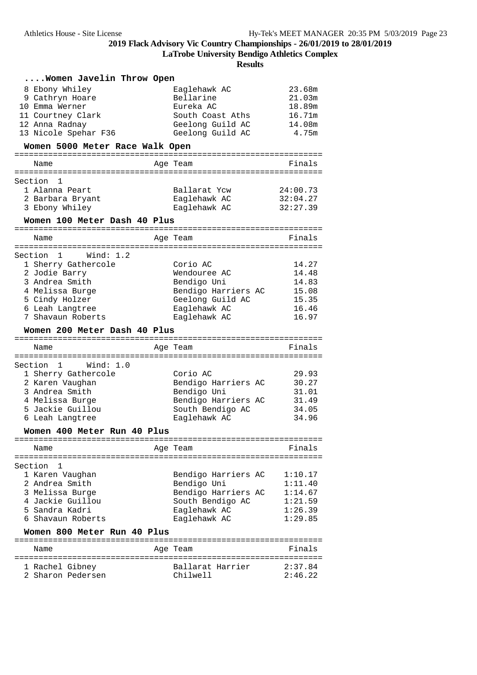**LaTrobe University Bendigo Athletics Complex**

| 23.68m<br>8 Ebony Whiley<br>Eaglehawk AC<br>9 Cathryn Hoare<br>Bellarine<br>21.03m<br>18.89m<br>10 Emma Werner<br>Eureka AC<br>16.71m<br>11 Courtney Clark<br>South Coast Aths<br>12 Anna Radnay<br>Geelong Guild AC<br>14.08m<br>13 Nicole Spehar F36<br>Geelong Guild AC<br>4.75m<br>Women 5000 Meter Race Walk Open<br>Name<br>Age Team<br>Finals<br>Section<br>1<br>1 Alanna Peart<br>Ballarat Ycw<br>24:00.73<br>32:04.27<br>2 Barbara Bryant<br>Eaglehawk AC<br>3 Ebony Whiley<br>Eaglehawk AC<br>32:27.39<br>Women 100 Meter Dash 40 Plus<br>Finals<br>Age Team<br>Name<br>Section 1<br>Wind: 1.2<br>14.27<br>1 Sherry Gathercole<br>Corio AC<br>14.48<br>2 Jodie Barry<br>Wendouree AC<br>3 Andrea Smith<br>Bendigo Uni<br>14.83<br>Bendigo Harriers AC<br>4 Melissa Burge<br>15.08<br>5 Cindy Holzer<br>Geelong Guild AC<br>15.35<br>6 Leah Langtree<br>Eaglehawk AC<br>16.46<br>7 Shavaun Roberts<br>16.97<br>Eaglehawk AC<br>Women 200 Meter Dash 40 Plus<br>Finals<br>Name<br>Age Team<br>Section<br>Wind: 1.0<br>1<br>29.93<br>1 Sherry Gathercole<br>Corio AC<br>Bendigo Harriers AC<br>30.27<br>2 Karen Vaughan<br>3 Andrea Smith<br>Bendigo Uni<br>31.01<br>4 Melissa Burge<br>Bendigo Harriers AC<br>31.49<br>5 Jackie Guillou<br>South Bendigo AC<br>34.05<br>Eaglehawk AC<br>34.96<br>6 Leah Langtree<br>Women 400 Meter Run 40 Plus<br>Finals<br>Name<br>Age Team<br>Section<br>1<br>Bendigo Harriers AC<br>1 Karen Vaughan<br>1:10.17<br>2 Andrea Smith<br>Bendigo Uni<br>1:11.40<br>Bendigo Harriers AC<br>3 Melissa Burge<br>1:14.67<br>4 Jackie Guillou<br>South Bendigo AC<br>1:21.59<br>5 Sandra Kadri<br>Eaglehawk AC<br>1:26.39<br>6 Shavaun Roberts<br>Eaglehawk AC<br>1:29.85<br>Women 800 Meter Run 40 Plus<br>Finals<br>Age Team<br>Name<br>1 Rachel Gibney<br>Ballarat Harrier<br>2:37.84<br>Chilwell<br>2:46.22<br>2 Sharon Pedersen | Women Javelin Throw Open |  |  |
|------------------------------------------------------------------------------------------------------------------------------------------------------------------------------------------------------------------------------------------------------------------------------------------------------------------------------------------------------------------------------------------------------------------------------------------------------------------------------------------------------------------------------------------------------------------------------------------------------------------------------------------------------------------------------------------------------------------------------------------------------------------------------------------------------------------------------------------------------------------------------------------------------------------------------------------------------------------------------------------------------------------------------------------------------------------------------------------------------------------------------------------------------------------------------------------------------------------------------------------------------------------------------------------------------------------------------------------------------------------------------------------------------------------------------------------------------------------------------------------------------------------------------------------------------------------------------------------------------------------------------------------------------------------------------------------------------------------------------------------------------------------------------------------------------------------------------------------------------------------------|--------------------------|--|--|
|                                                                                                                                                                                                                                                                                                                                                                                                                                                                                                                                                                                                                                                                                                                                                                                                                                                                                                                                                                                                                                                                                                                                                                                                                                                                                                                                                                                                                                                                                                                                                                                                                                                                                                                                                                                                                                                                        |                          |  |  |
|                                                                                                                                                                                                                                                                                                                                                                                                                                                                                                                                                                                                                                                                                                                                                                                                                                                                                                                                                                                                                                                                                                                                                                                                                                                                                                                                                                                                                                                                                                                                                                                                                                                                                                                                                                                                                                                                        |                          |  |  |
|                                                                                                                                                                                                                                                                                                                                                                                                                                                                                                                                                                                                                                                                                                                                                                                                                                                                                                                                                                                                                                                                                                                                                                                                                                                                                                                                                                                                                                                                                                                                                                                                                                                                                                                                                                                                                                                                        |                          |  |  |
|                                                                                                                                                                                                                                                                                                                                                                                                                                                                                                                                                                                                                                                                                                                                                                                                                                                                                                                                                                                                                                                                                                                                                                                                                                                                                                                                                                                                                                                                                                                                                                                                                                                                                                                                                                                                                                                                        |                          |  |  |
|                                                                                                                                                                                                                                                                                                                                                                                                                                                                                                                                                                                                                                                                                                                                                                                                                                                                                                                                                                                                                                                                                                                                                                                                                                                                                                                                                                                                                                                                                                                                                                                                                                                                                                                                                                                                                                                                        |                          |  |  |
|                                                                                                                                                                                                                                                                                                                                                                                                                                                                                                                                                                                                                                                                                                                                                                                                                                                                                                                                                                                                                                                                                                                                                                                                                                                                                                                                                                                                                                                                                                                                                                                                                                                                                                                                                                                                                                                                        |                          |  |  |
|                                                                                                                                                                                                                                                                                                                                                                                                                                                                                                                                                                                                                                                                                                                                                                                                                                                                                                                                                                                                                                                                                                                                                                                                                                                                                                                                                                                                                                                                                                                                                                                                                                                                                                                                                                                                                                                                        |                          |  |  |
|                                                                                                                                                                                                                                                                                                                                                                                                                                                                                                                                                                                                                                                                                                                                                                                                                                                                                                                                                                                                                                                                                                                                                                                                                                                                                                                                                                                                                                                                                                                                                                                                                                                                                                                                                                                                                                                                        |                          |  |  |
|                                                                                                                                                                                                                                                                                                                                                                                                                                                                                                                                                                                                                                                                                                                                                                                                                                                                                                                                                                                                                                                                                                                                                                                                                                                                                                                                                                                                                                                                                                                                                                                                                                                                                                                                                                                                                                                                        |                          |  |  |
|                                                                                                                                                                                                                                                                                                                                                                                                                                                                                                                                                                                                                                                                                                                                                                                                                                                                                                                                                                                                                                                                                                                                                                                                                                                                                                                                                                                                                                                                                                                                                                                                                                                                                                                                                                                                                                                                        |                          |  |  |
|                                                                                                                                                                                                                                                                                                                                                                                                                                                                                                                                                                                                                                                                                                                                                                                                                                                                                                                                                                                                                                                                                                                                                                                                                                                                                                                                                                                                                                                                                                                                                                                                                                                                                                                                                                                                                                                                        |                          |  |  |
|                                                                                                                                                                                                                                                                                                                                                                                                                                                                                                                                                                                                                                                                                                                                                                                                                                                                                                                                                                                                                                                                                                                                                                                                                                                                                                                                                                                                                                                                                                                                                                                                                                                                                                                                                                                                                                                                        |                          |  |  |
|                                                                                                                                                                                                                                                                                                                                                                                                                                                                                                                                                                                                                                                                                                                                                                                                                                                                                                                                                                                                                                                                                                                                                                                                                                                                                                                                                                                                                                                                                                                                                                                                                                                                                                                                                                                                                                                                        |                          |  |  |
|                                                                                                                                                                                                                                                                                                                                                                                                                                                                                                                                                                                                                                                                                                                                                                                                                                                                                                                                                                                                                                                                                                                                                                                                                                                                                                                                                                                                                                                                                                                                                                                                                                                                                                                                                                                                                                                                        |                          |  |  |
|                                                                                                                                                                                                                                                                                                                                                                                                                                                                                                                                                                                                                                                                                                                                                                                                                                                                                                                                                                                                                                                                                                                                                                                                                                                                                                                                                                                                                                                                                                                                                                                                                                                                                                                                                                                                                                                                        |                          |  |  |
|                                                                                                                                                                                                                                                                                                                                                                                                                                                                                                                                                                                                                                                                                                                                                                                                                                                                                                                                                                                                                                                                                                                                                                                                                                                                                                                                                                                                                                                                                                                                                                                                                                                                                                                                                                                                                                                                        |                          |  |  |
|                                                                                                                                                                                                                                                                                                                                                                                                                                                                                                                                                                                                                                                                                                                                                                                                                                                                                                                                                                                                                                                                                                                                                                                                                                                                                                                                                                                                                                                                                                                                                                                                                                                                                                                                                                                                                                                                        |                          |  |  |
|                                                                                                                                                                                                                                                                                                                                                                                                                                                                                                                                                                                                                                                                                                                                                                                                                                                                                                                                                                                                                                                                                                                                                                                                                                                                                                                                                                                                                                                                                                                                                                                                                                                                                                                                                                                                                                                                        |                          |  |  |
|                                                                                                                                                                                                                                                                                                                                                                                                                                                                                                                                                                                                                                                                                                                                                                                                                                                                                                                                                                                                                                                                                                                                                                                                                                                                                                                                                                                                                                                                                                                                                                                                                                                                                                                                                                                                                                                                        |                          |  |  |
|                                                                                                                                                                                                                                                                                                                                                                                                                                                                                                                                                                                                                                                                                                                                                                                                                                                                                                                                                                                                                                                                                                                                                                                                                                                                                                                                                                                                                                                                                                                                                                                                                                                                                                                                                                                                                                                                        |                          |  |  |
|                                                                                                                                                                                                                                                                                                                                                                                                                                                                                                                                                                                                                                                                                                                                                                                                                                                                                                                                                                                                                                                                                                                                                                                                                                                                                                                                                                                                                                                                                                                                                                                                                                                                                                                                                                                                                                                                        |                          |  |  |
|                                                                                                                                                                                                                                                                                                                                                                                                                                                                                                                                                                                                                                                                                                                                                                                                                                                                                                                                                                                                                                                                                                                                                                                                                                                                                                                                                                                                                                                                                                                                                                                                                                                                                                                                                                                                                                                                        |                          |  |  |
|                                                                                                                                                                                                                                                                                                                                                                                                                                                                                                                                                                                                                                                                                                                                                                                                                                                                                                                                                                                                                                                                                                                                                                                                                                                                                                                                                                                                                                                                                                                                                                                                                                                                                                                                                                                                                                                                        |                          |  |  |
|                                                                                                                                                                                                                                                                                                                                                                                                                                                                                                                                                                                                                                                                                                                                                                                                                                                                                                                                                                                                                                                                                                                                                                                                                                                                                                                                                                                                                                                                                                                                                                                                                                                                                                                                                                                                                                                                        |                          |  |  |
|                                                                                                                                                                                                                                                                                                                                                                                                                                                                                                                                                                                                                                                                                                                                                                                                                                                                                                                                                                                                                                                                                                                                                                                                                                                                                                                                                                                                                                                                                                                                                                                                                                                                                                                                                                                                                                                                        |                          |  |  |
|                                                                                                                                                                                                                                                                                                                                                                                                                                                                                                                                                                                                                                                                                                                                                                                                                                                                                                                                                                                                                                                                                                                                                                                                                                                                                                                                                                                                                                                                                                                                                                                                                                                                                                                                                                                                                                                                        |                          |  |  |
|                                                                                                                                                                                                                                                                                                                                                                                                                                                                                                                                                                                                                                                                                                                                                                                                                                                                                                                                                                                                                                                                                                                                                                                                                                                                                                                                                                                                                                                                                                                                                                                                                                                                                                                                                                                                                                                                        |                          |  |  |
|                                                                                                                                                                                                                                                                                                                                                                                                                                                                                                                                                                                                                                                                                                                                                                                                                                                                                                                                                                                                                                                                                                                                                                                                                                                                                                                                                                                                                                                                                                                                                                                                                                                                                                                                                                                                                                                                        |                          |  |  |
|                                                                                                                                                                                                                                                                                                                                                                                                                                                                                                                                                                                                                                                                                                                                                                                                                                                                                                                                                                                                                                                                                                                                                                                                                                                                                                                                                                                                                                                                                                                                                                                                                                                                                                                                                                                                                                                                        |                          |  |  |
|                                                                                                                                                                                                                                                                                                                                                                                                                                                                                                                                                                                                                                                                                                                                                                                                                                                                                                                                                                                                                                                                                                                                                                                                                                                                                                                                                                                                                                                                                                                                                                                                                                                                                                                                                                                                                                                                        |                          |  |  |
|                                                                                                                                                                                                                                                                                                                                                                                                                                                                                                                                                                                                                                                                                                                                                                                                                                                                                                                                                                                                                                                                                                                                                                                                                                                                                                                                                                                                                                                                                                                                                                                                                                                                                                                                                                                                                                                                        |                          |  |  |
|                                                                                                                                                                                                                                                                                                                                                                                                                                                                                                                                                                                                                                                                                                                                                                                                                                                                                                                                                                                                                                                                                                                                                                                                                                                                                                                                                                                                                                                                                                                                                                                                                                                                                                                                                                                                                                                                        |                          |  |  |
|                                                                                                                                                                                                                                                                                                                                                                                                                                                                                                                                                                                                                                                                                                                                                                                                                                                                                                                                                                                                                                                                                                                                                                                                                                                                                                                                                                                                                                                                                                                                                                                                                                                                                                                                                                                                                                                                        |                          |  |  |
|                                                                                                                                                                                                                                                                                                                                                                                                                                                                                                                                                                                                                                                                                                                                                                                                                                                                                                                                                                                                                                                                                                                                                                                                                                                                                                                                                                                                                                                                                                                                                                                                                                                                                                                                                                                                                                                                        |                          |  |  |
|                                                                                                                                                                                                                                                                                                                                                                                                                                                                                                                                                                                                                                                                                                                                                                                                                                                                                                                                                                                                                                                                                                                                                                                                                                                                                                                                                                                                                                                                                                                                                                                                                                                                                                                                                                                                                                                                        |                          |  |  |
|                                                                                                                                                                                                                                                                                                                                                                                                                                                                                                                                                                                                                                                                                                                                                                                                                                                                                                                                                                                                                                                                                                                                                                                                                                                                                                                                                                                                                                                                                                                                                                                                                                                                                                                                                                                                                                                                        |                          |  |  |
|                                                                                                                                                                                                                                                                                                                                                                                                                                                                                                                                                                                                                                                                                                                                                                                                                                                                                                                                                                                                                                                                                                                                                                                                                                                                                                                                                                                                                                                                                                                                                                                                                                                                                                                                                                                                                                                                        |                          |  |  |
|                                                                                                                                                                                                                                                                                                                                                                                                                                                                                                                                                                                                                                                                                                                                                                                                                                                                                                                                                                                                                                                                                                                                                                                                                                                                                                                                                                                                                                                                                                                                                                                                                                                                                                                                                                                                                                                                        |                          |  |  |
|                                                                                                                                                                                                                                                                                                                                                                                                                                                                                                                                                                                                                                                                                                                                                                                                                                                                                                                                                                                                                                                                                                                                                                                                                                                                                                                                                                                                                                                                                                                                                                                                                                                                                                                                                                                                                                                                        |                          |  |  |
|                                                                                                                                                                                                                                                                                                                                                                                                                                                                                                                                                                                                                                                                                                                                                                                                                                                                                                                                                                                                                                                                                                                                                                                                                                                                                                                                                                                                                                                                                                                                                                                                                                                                                                                                                                                                                                                                        |                          |  |  |
|                                                                                                                                                                                                                                                                                                                                                                                                                                                                                                                                                                                                                                                                                                                                                                                                                                                                                                                                                                                                                                                                                                                                                                                                                                                                                                                                                                                                                                                                                                                                                                                                                                                                                                                                                                                                                                                                        |                          |  |  |
|                                                                                                                                                                                                                                                                                                                                                                                                                                                                                                                                                                                                                                                                                                                                                                                                                                                                                                                                                                                                                                                                                                                                                                                                                                                                                                                                                                                                                                                                                                                                                                                                                                                                                                                                                                                                                                                                        |                          |  |  |
|                                                                                                                                                                                                                                                                                                                                                                                                                                                                                                                                                                                                                                                                                                                                                                                                                                                                                                                                                                                                                                                                                                                                                                                                                                                                                                                                                                                                                                                                                                                                                                                                                                                                                                                                                                                                                                                                        |                          |  |  |
|                                                                                                                                                                                                                                                                                                                                                                                                                                                                                                                                                                                                                                                                                                                                                                                                                                                                                                                                                                                                                                                                                                                                                                                                                                                                                                                                                                                                                                                                                                                                                                                                                                                                                                                                                                                                                                                                        |                          |  |  |
|                                                                                                                                                                                                                                                                                                                                                                                                                                                                                                                                                                                                                                                                                                                                                                                                                                                                                                                                                                                                                                                                                                                                                                                                                                                                                                                                                                                                                                                                                                                                                                                                                                                                                                                                                                                                                                                                        |                          |  |  |
|                                                                                                                                                                                                                                                                                                                                                                                                                                                                                                                                                                                                                                                                                                                                                                                                                                                                                                                                                                                                                                                                                                                                                                                                                                                                                                                                                                                                                                                                                                                                                                                                                                                                                                                                                                                                                                                                        |                          |  |  |
|                                                                                                                                                                                                                                                                                                                                                                                                                                                                                                                                                                                                                                                                                                                                                                                                                                                                                                                                                                                                                                                                                                                                                                                                                                                                                                                                                                                                                                                                                                                                                                                                                                                                                                                                                                                                                                                                        |                          |  |  |
|                                                                                                                                                                                                                                                                                                                                                                                                                                                                                                                                                                                                                                                                                                                                                                                                                                                                                                                                                                                                                                                                                                                                                                                                                                                                                                                                                                                                                                                                                                                                                                                                                                                                                                                                                                                                                                                                        |                          |  |  |
|                                                                                                                                                                                                                                                                                                                                                                                                                                                                                                                                                                                                                                                                                                                                                                                                                                                                                                                                                                                                                                                                                                                                                                                                                                                                                                                                                                                                                                                                                                                                                                                                                                                                                                                                                                                                                                                                        |                          |  |  |
|                                                                                                                                                                                                                                                                                                                                                                                                                                                                                                                                                                                                                                                                                                                                                                                                                                                                                                                                                                                                                                                                                                                                                                                                                                                                                                                                                                                                                                                                                                                                                                                                                                                                                                                                                                                                                                                                        |                          |  |  |
|                                                                                                                                                                                                                                                                                                                                                                                                                                                                                                                                                                                                                                                                                                                                                                                                                                                                                                                                                                                                                                                                                                                                                                                                                                                                                                                                                                                                                                                                                                                                                                                                                                                                                                                                                                                                                                                                        |                          |  |  |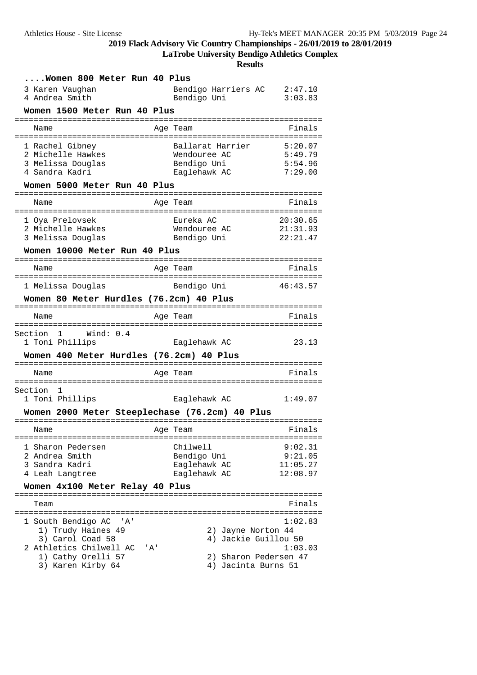**LaTrobe University Bendigo Athletics Complex**

| Women 800 Meter Run 40 Plus<br>3 Karen Vaughan<br>4 Andrea Smith                                                                       |     | Bendigo Harriers AC<br>Bendigo Uni                                                         | 2:47.10<br>3:03.83                         |
|----------------------------------------------------------------------------------------------------------------------------------------|-----|--------------------------------------------------------------------------------------------|--------------------------------------------|
| Women 1500 Meter Run 40 Plus                                                                                                           |     |                                                                                            |                                            |
| Name<br>=====================================                                                                                          |     | Age Team<br>===========================                                                    | Finals                                     |
| 1 Rachel Gibney<br>2 Michelle Hawkes<br>3 Melissa Douglas<br>4 Sandra Kadri<br>Women 5000 Meter Run 40 Plus                            |     | Ballarat Harrier<br>Wendouree AC<br>Bendigo Uni<br>Eaglehawk AC                            | 5:20.07<br>5:49.79<br>5:54.96<br>7:29.00   |
| Name                                                                                                                                   |     | Age Team                                                                                   | Finals                                     |
| 1 Oya Prelovsek<br>2 Michelle Hawkes<br>3 Melissa Douglas<br>Women 10000 Meter Run 40 Plus                                             |     | Eureka AC<br>Wendouree AC<br>Bendigo Uni                                                   | 20:30.65<br>21:31.93<br>22:21.47           |
| Name                                                                                                                                   |     | Age Team                                                                                   | Finals                                     |
| 1 Melissa Douglas                                                                                                                      |     | Bendigo Uni                                                                                | 46:43.57                                   |
| Women 80 Meter Hurdles (76.2cm) 40 Plus                                                                                                |     |                                                                                            |                                            |
| Name                                                                                                                                   |     | Age Team                                                                                   | Finals                                     |
| Section 1 Wind: 0.4<br>1 Toni Phillips<br>Women 400 Meter Hurdles (76.2cm) 40 Plus                                                     |     | Eaglehawk AC                                                                               | 23.13                                      |
| Name                                                                                                                                   |     | Age Team                                                                                   | Finals                                     |
| Section 1<br>1 Toni Phillips<br>Women 2000 Meter Steeplechase (76.2cm) 40 Plus                                                         |     | Eaglehawk AC                                                                               | 1:49.07                                    |
| Name                                                                                                                                   |     | Age Team                                                                                   | <b>Example 19</b> Finals                   |
| 1 Sharon Pedersen<br>2 Andrea Smith<br>3 Sandra Kadri<br>4 Leah Langtree<br>Women 4x100 Meter Relay 40 Plus                            |     | Chilwell<br>Bendigo Uni<br>Eaglehawk AC<br>Eaglehawk AC                                    | 9:02.31<br>9:21.05<br>11:05.27<br>12:08.97 |
| Team                                                                                                                                   |     |                                                                                            | Finals                                     |
| 1 South Bendigo AC 'A'<br>1) Trudy Haines 49<br>3) Carol Coad 58<br>2 Athletics Chilwell AC<br>1) Cathy Orelli 57<br>3) Karen Kirby 64 | 'A' | 2) Jayne Norton 44<br>4) Jackie Guillou 50<br>2) Sharon Pedersen 47<br>4) Jacinta Burns 51 | 1:02.83<br>1:03.03                         |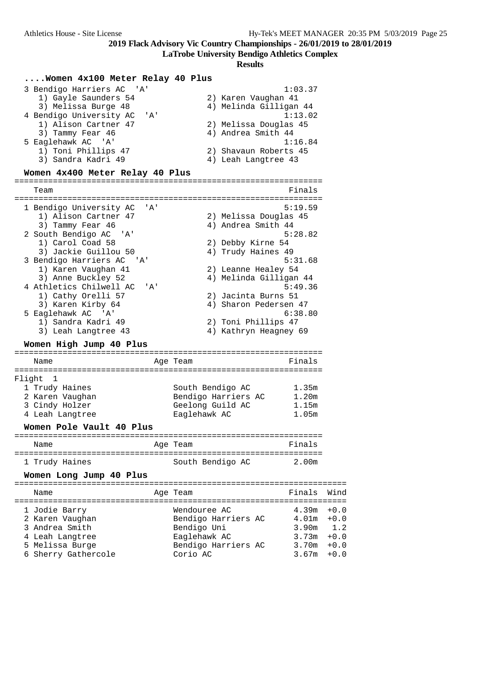**LaTrobe University Bendigo Athletics Complex**

| Women 4x100 Meter Relay 40 Plus                                                                                                                                                                                                                                                                                                                                      |              |                                                                                                                                                                                                                                         |                                                                            |                                                       |
|----------------------------------------------------------------------------------------------------------------------------------------------------------------------------------------------------------------------------------------------------------------------------------------------------------------------------------------------------------------------|--------------|-----------------------------------------------------------------------------------------------------------------------------------------------------------------------------------------------------------------------------------------|----------------------------------------------------------------------------|-------------------------------------------------------|
| 3 Bendigo Harriers AC 'A'<br>1) Gayle Saunders 54<br>3) Melissa Burge 48<br>4 Bendigo University AC<br>' A '<br>1) Alison Cartner 47<br>3) Tammy Fear 46<br>5 Eaglehawk AC 'A'<br>1) Toni Phillips 47<br>3) Sandra Kadri 49<br>Women 4x400 Meter Relay 40 Plus                                                                                                       |              | 2) Karen Vaughan 41<br>4) Melinda Gilligan 44<br>2) Melissa Douglas 45<br>4) Andrea Smith 44<br>2) Shavaun Roberts 45<br>4) Leah Langtree 43                                                                                            | 1:03.37<br>1:13.02<br>1:16.84                                              |                                                       |
|                                                                                                                                                                                                                                                                                                                                                                      |              |                                                                                                                                                                                                                                         |                                                                            |                                                       |
| Team<br>1 Bendigo University AC<br>1) Alison Cartner 47<br>3) Tammy Fear 46<br>2 South Bendigo AC 'A'<br>1) Carol Coad 58<br>3) Jackie Guillou 50<br>3 Bendigo Harriers AC 'A'<br>1) Karen Vaughan 41<br>3) Anne Buckley 52<br>4 Athletics Chilwell AC<br>1) Cathy Orelli 57<br>3) Karen Kirby 64<br>5 Eaglehawk AC 'A'<br>1) Sandra Kadri 49<br>3) Leah Langtree 43 | ' A'<br>' A' | 2) Melissa Douglas 45<br>4) Andrea Smith 44<br>2) Debby Kirne 54<br>4) Trudy Haines 49<br>2) Leanne Healey 54<br>4) Melinda Gilligan 44<br>2) Jacinta Burns 51<br>4) Sharon Pedersen 47<br>2) Toni Phillips 47<br>4) Kathryn Heagney 69 | Finals<br>5:19.59<br>5:28.82<br>5:31.68<br>5:49.36<br>6:38.80              |                                                       |
| Women High Jump 40 Plus                                                                                                                                                                                                                                                                                                                                              |              |                                                                                                                                                                                                                                         |                                                                            |                                                       |
| Name                                                                                                                                                                                                                                                                                                                                                                 |              | Age Team                                                                                                                                                                                                                                | Finals                                                                     |                                                       |
| Flight<br>1<br>1 Trudy Haines<br>2 Karen Vaughan<br>3 Cindy Holzer<br>4 Leah Langtree<br>Women Pole Vault 40 Plus                                                                                                                                                                                                                                                    |              | South Bendigo AC<br>Bendigo Harriers AC<br>Geelong Guild AC<br>Eaglehawk AC                                                                                                                                                             | 1.35m<br>1.20m<br>1.15m<br>1.05m                                           |                                                       |
| Name                                                                                                                                                                                                                                                                                                                                                                 |              | Age Team                                                                                                                                                                                                                                | Finals                                                                     |                                                       |
| 1 Trudy Haines<br>Women Long Jump 40 Plus                                                                                                                                                                                                                                                                                                                            |              | South Bendigo AC                                                                                                                                                                                                                        | 2.00m                                                                      |                                                       |
| Name                                                                                                                                                                                                                                                                                                                                                                 |              | Age Team                                                                                                                                                                                                                                | Finals                                                                     | Wind                                                  |
| 1 Jodie Barry<br>2 Karen Vaughan<br>3 Andrea Smith<br>4 Leah Langtree<br>5 Melissa Burge<br>6 Sherry Gathercole                                                                                                                                                                                                                                                      |              | Wendouree AC<br>Bendigo Harriers AC<br>Bendigo Uni<br>Eaglehawk AC<br>Bendigo Harriers AC<br>Corio AC                                                                                                                                   | 4.39m<br>4.01 <sub>m</sub><br>3.90 <sub>m</sub><br>3.73m<br>3.70m<br>3.67m | $+0.0$<br>$+0.0$<br>1.2<br>$+0.0$<br>$+0.0$<br>$+0.0$ |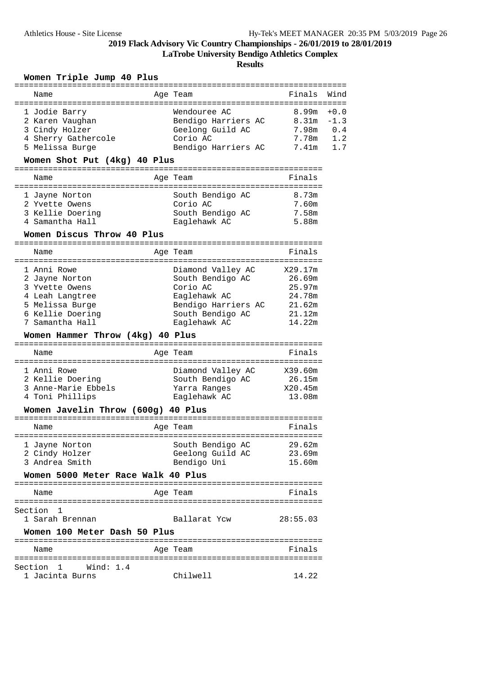**LaTrobe University Bendigo Athletics Complex**

**Results**

### **Women Triple Jump 40 Plus**

|                                    |                     | =================           |        |
|------------------------------------|---------------------|-----------------------------|--------|
| Name                               | Age Team            | Finals                      | Wind   |
|                                    |                     | =========================== |        |
| 1 Jodie Barry                      | Wendouree AC        | 8.99m                       | $+0.0$ |
| 2 Karen Vaughan                    | Bendigo Harriers AC | 8.31m                       | $-1.3$ |
| 3 Cindy Holzer                     | Geelong Guild AC    | 7.98m                       | 0.4    |
| 4 Sherry Gathercole                | Corio AC            | 7.78m                       | 1.2    |
| 5 Melissa Burge                    | Bendigo Harriers AC | 7.41m                       | 1.7    |
| Women Shot Put (4kg) 40 Plus       |                     |                             |        |
|                                    |                     |                             |        |
| Name                               | Age Team            | Finals                      |        |
|                                    |                     |                             |        |
| 1 Jayne Norton                     | South Bendigo AC    | 8.73m                       |        |
| 2 Yvette Owens                     | Corio AC            | 7.60m                       |        |
| 3 Kellie Doering                   | South Bendigo AC    | 7.58m                       |        |
| 4 Samantha Hall                    | Eaglehawk AC        | 5.88m                       |        |
|                                    |                     |                             |        |
| Women Discus Throw 40 Plus         |                     |                             |        |
| Name                               |                     | Finals                      |        |
|                                    | Age Team            |                             |        |
| 1 Anni Rowe                        | Diamond Valley AC   | X29.17m                     |        |
| 2 Jayne Norton                     | South Bendigo AC    | 26.69m                      |        |
| 3 Yvette Owens                     | Corio AC            | 25.97m                      |        |
| 4 Leah Langtree                    | Eaglehawk AC        | 24.78m                      |        |
| 5 Melissa Burge                    | Bendigo Harriers AC | 21.62m                      |        |
| 6 Kellie Doering                   | South Bendigo AC    | 21.12m                      |        |
| 7 Samantha Hall                    | Eaglehawk AC        | 14.22m                      |        |
|                                    |                     |                             |        |
|                                    |                     |                             |        |
| Women Hammer Throw (4kg) 40 Plus   |                     |                             |        |
|                                    |                     |                             |        |
| Name                               | Age Team            | Finals                      |        |
| =========                          | ==================  |                             |        |
| 1 Anni Rowe                        | Diamond Valley AC   | X39.60m                     |        |
| 2 Kellie Doering                   | South Bendigo AC    | 26.15m                      |        |
| 3 Anne-Marie Ebbels                | Yarra Ranges        | X20.45m                     |        |
| 4 Toni Phillips                    | Eaglehawk AC        | 13.08m                      |        |
| Women Javelin Throw (600g) 40 Plus |                     |                             |        |
|                                    |                     |                             |        |
| Name                               | Age Team            | Finals                      |        |
|                                    |                     |                             |        |
| 1 Jayne Norton                     | South Bendigo AC    | 29.62m                      |        |
| 2 Cindy Holzer                     | Geelong Guild AC    | 23.69m                      |        |
| 3 Andrea Smith                     | Bendigo Uni         | 15.60m                      |        |
| Women 5000 Meter Race Walk 40 Plus |                     |                             |        |
|                                    |                     |                             |        |
| Name                               | Age Team            | Finals                      |        |
| Section 1                          |                     |                             |        |
| 1 Sarah Brennan                    | Ballarat Ycw        | 28:55.03                    |        |
|                                    |                     |                             |        |
| Women 100 Meter Dash 50 Plus       |                     |                             |        |
| Name                               |                     | Finals                      |        |
|                                    | Age Team            |                             |        |
| Wind: 1.4<br>Section 1             |                     |                             |        |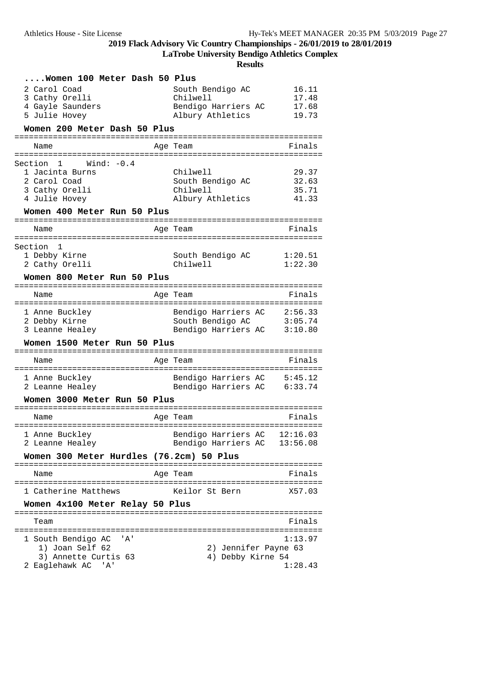**LaTrobe University Bendigo Athletics Complex**

| Women 100 Meter Dash 50 Plus             |                              |                    |
|------------------------------------------|------------------------------|--------------------|
| 2 Carol Coad                             | South Bendigo AC             | 16.11              |
| 3 Cathy Orelli                           | Chilwell                     | 17.48              |
| 4 Gayle Saunders                         | Bendigo Harriers AC          | 17.68              |
| 5 Julie Hovey                            | Albury Athletics             | 19.73              |
| Women 200 Meter Dash 50 Plus             |                              |                    |
| Name                                     | Age Team                     | Finals             |
| Section 1<br>Wind: -0.4                  |                              |                    |
| 1 Jacinta Burns                          | Chilwell                     | 29.37              |
| 2 Carol Coad                             | South Bendigo AC             | 32.63              |
| 3 Cathy Orelli                           | Chilwell                     | 35.71              |
| 4 Julie Hovey                            | Albury Athletics             | 41.33              |
| Women 400 Meter Run 50 Plus              |                              |                    |
| Name                                     | Age Team                     | Finals             |
|                                          |                              |                    |
| Section<br>1                             |                              |                    |
| 1 Debby Kirne<br>2 Cathy Orelli          | South Bendigo AC<br>Chilwell | 1:20.51<br>1:22.30 |
|                                          |                              |                    |
| Women 800 Meter Run 50 Plus              |                              |                    |
| Name                                     | Age Team                     | Finals             |
| 1 Anne Buckley                           | Bendigo Harriers AC          | 2:56.33            |
| 2 Debby Kirne                            | South Bendigo AC             | 3:05.74            |
| 3 Leanne Healey                          | Bendigo Harriers AC          | 3:10.80            |
| Women 1500 Meter Run 50 Plus             |                              |                    |
| Name                                     | Age Team                     | Finals             |
| 1 Anne Buckley                           | Bendigo Harriers AC 5:45.12  |                    |
| 2 Leanne Healey                          | Bendigo Harriers AC 6:33.74  |                    |
| Women 3000 Meter Run 50 Plus             |                              |                    |
| Name                                     | Age Team                     | Finals             |
| 1 Anne Buckley                           | Bendigo Harriers AC 12:16.03 |                    |
| 2 Leanne Healey                          | Bendigo Harriers AC          | 13:56.08           |
| Women 300 Meter Hurdles (76.2cm) 50 Plus |                              |                    |
| Name                                     | Age Team                     | Finals             |
| 1 Catherine Matthews                     | Keilor St Bern               | X57.03             |
| Women 4x100 Meter Relay 50 Plus          |                              |                    |
| Team                                     |                              | Finals             |
| 1 South Bendigo AC<br>' A '              |                              | 1:13.97            |
| 1) Joan Self 62                          | 2) Jennifer Payne 63         |                    |
| 3) Annette Curtis 63                     | 4) Debby Kirne 54            |                    |
| 2 Eaglehawk AC<br>' A '                  |                              | 1:28.43            |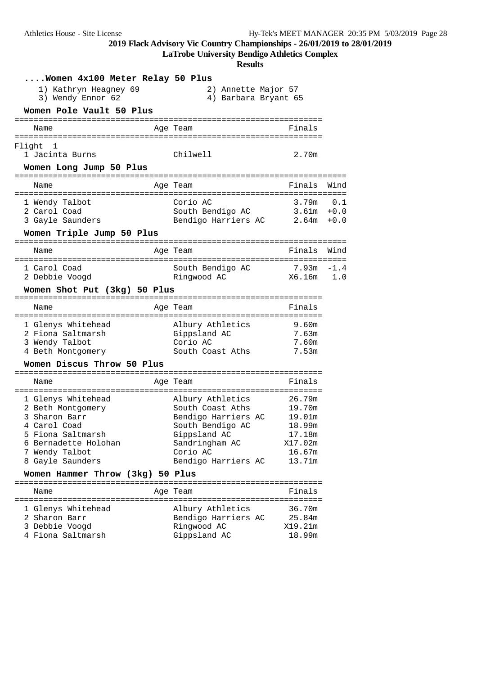**LaTrobe University Bendigo Athletics Complex**

| Women 4x100 Meter Relay 50 Plus                                                                                                                             |                                                                                                                                                      |                                                                               |      |
|-------------------------------------------------------------------------------------------------------------------------------------------------------------|------------------------------------------------------------------------------------------------------------------------------------------------------|-------------------------------------------------------------------------------|------|
| 1) Kathryn Heagney 69<br>3) Wendy Ennor 62                                                                                                                  | 2) Annette Major 57<br>4) Barbara Bryant 65                                                                                                          |                                                                               |      |
| Women Pole Vault 50 Plus                                                                                                                                    |                                                                                                                                                      |                                                                               |      |
| Name                                                                                                                                                        | Age Team                                                                                                                                             | Finals                                                                        |      |
| Flight<br>-1<br>1 Jacinta Burns<br>Women Long Jump 50 Plus                                                                                                  | Chilwell                                                                                                                                             | 2.70m                                                                         |      |
| Name                                                                                                                                                        | Age Team                                                                                                                                             | Finals                                                                        | Wind |
| 1 Wendy Talbot<br>2 Carol Coad<br>3 Gayle Saunders<br>Women Triple Jump 50 Plus                                                                             | Corio AC<br>South Bendigo AC<br>Bendigo Harriers AC 2.64m +0.0                                                                                       | 3.79m<br>$3.61m + 0.0$                                                        | 0.1  |
| Name                                                                                                                                                        | Age Team                                                                                                                                             | Finals                                                                        | Wind |
| 1 Carol Coad<br>2 Debbie Voogd                                                                                                                              | South Bendigo AC<br>Ringwood AC                                                                                                                      | $7.93m - 1.4$<br>X6.16m                                                       | 1.0  |
| Women Shot Put (3kg) 50 Plus                                                                                                                                |                                                                                                                                                      |                                                                               |      |
| Name                                                                                                                                                        | Age Team                                                                                                                                             | Finals                                                                        |      |
| 1 Glenys Whitehead<br>2 Fiona Saltmarsh<br>3 Wendy Talbot<br>4 Beth Montgomery                                                                              | Albury Athletics<br>Gippsland AC<br>Corio AC<br>South Coast Aths                                                                                     | 9.60m<br>7.63m<br>7.60m<br>7.53m                                              |      |
| Women Discus Throw 50 Plus                                                                                                                                  |                                                                                                                                                      |                                                                               |      |
| Name                                                                                                                                                        | Age Team                                                                                                                                             | Finals                                                                        |      |
| 1 Glenys Whitehead<br>2 Beth Montgomery<br>3 Sharon Barr<br>4 Carol Coad<br>5 Fiona Saltmarsh<br>6 Bernadette Holohan<br>7 Wendy Talbot<br>8 Gayle Saunders | Albury Athletics<br>South Coast Aths<br>Bendigo Harriers AC<br>South Bendigo AC<br>Gippsland AC<br>Sandringham AC<br>Corio AC<br>Bendigo Harriers AC | 26.79m<br>19.70m<br>19.01m<br>18.99m<br>17.18m<br>X17.02m<br>16.67m<br>13.71m |      |
| Women Hammer Throw (3kg) 50 Plus                                                                                                                            |                                                                                                                                                      |                                                                               |      |
| Name                                                                                                                                                        | Age Team                                                                                                                                             | Finals                                                                        |      |
| 1 Glenys Whitehead<br>2 Sharon Barr<br>3 Debbie Voogd<br>4 Fiona Saltmarsh                                                                                  | Albury Athletics<br>Bendigo Harriers AC<br>Ringwood AC<br>Gippsland AC                                                                               | 36.70m<br>25.84m<br>X19.21m<br>18.99m                                         |      |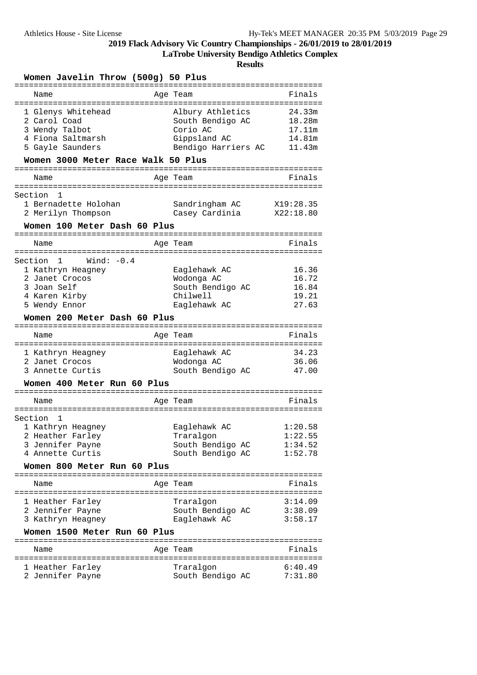**LaTrobe University Bendigo Athletics Complex**

| Women Javelin Throw (500g) 50 Plus                                                                                                                |                                                                                         |                                                |
|---------------------------------------------------------------------------------------------------------------------------------------------------|-----------------------------------------------------------------------------------------|------------------------------------------------|
| Name                                                                                                                                              | Age Team                                                                                | Finals                                         |
| 1 Glenys Whitehead<br>2 Carol Coad<br>3 Wendy Talbot<br>4 Fiona Saltmarsh<br>5 Gayle Saunders<br>Women 3000 Meter Race Walk 50 Plus               | Albury Athletics<br>South Bendigo AC<br>Corio AC<br>Gippsland AC<br>Bendigo Harriers AC | 24.33m<br>18.28m<br>17.11m<br>14.81m<br>11.43m |
| Name                                                                                                                                              | Age Team                                                                                | Finals                                         |
| Section<br>1<br>1 Bernadette Holohan<br>2 Merilyn Thompson<br>Women 100 Meter Dash 60 Plus                                                        | Sandringham AC<br>Casey Cardinia                                                        | X19:28.35<br>X22:18.80                         |
| ===================================<br>Name                                                                                                       | Age Team                                                                                | Finals                                         |
| Wind: $-0.4$<br>Section 1<br>1 Kathryn Heagney<br>2 Janet Crocos<br>3 Joan Self<br>4 Karen Kirby<br>5 Wendy Ennor<br>Women 200 Meter Dash 60 Plus | Eaglehawk AC<br>Wodonga AC<br>South Bendigo AC<br>Chilwell<br>Eaglehawk AC              | 16.36<br>16.72<br>16.84<br>19.21<br>27.63      |
| Name                                                                                                                                              | Age Team                                                                                | Finals                                         |
| 1 Kathryn Heagney<br>2 Janet Crocos<br>3 Annette Curtis<br>Women 400 Meter Run 60 Plus                                                            | Eaglehawk AC<br>Wodonga AC<br>South Bendigo AC                                          | 34.23<br>36.06<br>47.00                        |
| Name                                                                                                                                              | Age Team                                                                                | Finals                                         |
| Section<br>1<br>1 Kathryn Heagney<br>2 Heather Farley<br>3 Jennifer Payne<br>4 Annette Curtis<br>Women 800 Meter Run 60 Plus                      | Eaglehawk AC<br>Traralgon<br>South Bendigo AC<br>South Bendigo AC                       | 1:20.58<br>1:22.55<br>1:34.52<br>1:52.78       |
| Name                                                                                                                                              | Age Team                                                                                | Finals                                         |
| 1 Heather Farley<br>2 Jennifer Payne<br>3 Kathryn Heagney                                                                                         | Traralgon<br>South Bendigo AC<br>Eaglehawk AC                                           | 3:14.09<br>3:38.09<br>3:58.17                  |
| Women 1500 Meter Run 60 Plus<br>Name                                                                                                              | Age Team                                                                                | Finals                                         |
| 1 Heather Farley<br>2 Jennifer Payne                                                                                                              | Traralgon<br>South Bendigo AC                                                           | 6:40.49<br>7:31.80                             |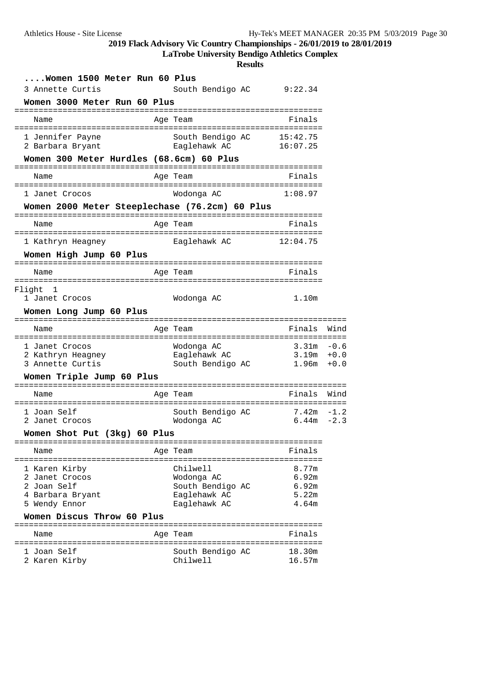**LaTrobe University Bendigo Athletics Complex**

| Women 1500 Meter Run 60 Plus                                                  |                                                           |                           |        |
|-------------------------------------------------------------------------------|-----------------------------------------------------------|---------------------------|--------|
| 3 Annette Curtis                                                              | South Bendigo AC                                          | 9:22.34                   |        |
| Women 3000 Meter Run 60 Plus                                                  |                                                           |                           |        |
| ------------<br>--------------------<br>Name                                  | Age Team                                                  | ---------------<br>Finals |        |
| -------------------------------------<br>1 Jennifer Payne<br>2 Barbara Bryant | :====================<br>South Bendigo AC<br>Eaglehawk AC | 15:42.75<br>16:07.25      |        |
| Women 300 Meter Hurdles (68.6cm) 60 Plus                                      |                                                           |                           |        |
| =====================================<br>Name                                 | Age Team                                                  | Finals                    |        |
| :==========<br>1 Janet Crocos                                                 | Wodonga AC                                                | 1:08.97                   |        |
| Women 2000 Meter Steeplechase (76.2cm) 60 Plus                                |                                                           |                           |        |
| ------------------------------<br>Name                                        | Age Team                                                  | Finals                    |        |
| 1 Kathryn Heagney                                                             | Eaglehawk AC                                              | 12:04.75                  |        |
| Women High Jump 60 Plus                                                       |                                                           |                           |        |
| Name<br>==================                                                    | ===========<br>Age Team                                   | Finals                    |        |
| Flight<br>-1                                                                  |                                                           |                           |        |
| 1 Janet Crocos                                                                | Wodonga AC                                                | 1.10m                     |        |
| Women Long Jump 60 Plus                                                       |                                                           |                           |        |
| Name                                                                          | Age Team                                                  | Finals                    | Wind   |
| 1 Janet Crocos                                                                | Wodonga AC                                                | $3.31m - 0.6$             |        |
| 2 Kathryn Heagney                                                             | Eaglehawk AC                                              | $3.19m + 0.0$             |        |
| 3 Annette Curtis                                                              | South Bendigo AC                                          | 1.96m                     | $+0.0$ |
| Women Triple Jump 60 Plus                                                     |                                                           |                           |        |
| Name                                                                          | Age Team                                                  | Finals                    | Wind   |
| 1 Joan Self                                                                   | South Bendigo AC                                          | 7.42m                     | $-1.2$ |
| 2 Janet Crocos                                                                | Wodonga AC                                                | 6.44m                     | $-2.3$ |
| Women Shot Put (3kg) 60 Plus                                                  |                                                           |                           |        |
| Name                                                                          | Age Team                                                  | Finals                    |        |
| 1 Karen Kirby                                                                 | Chilwell                                                  | 8.77m                     |        |
| 2 Janet Crocos<br>2 Joan Self                                                 | Wodonga AC<br>South Bendigo AC                            | 6.92m<br>6.92m            |        |
| 4 Barbara Bryant                                                              | Eaglehawk AC                                              | 5.22m                     |        |
| 5 Wendy Ennor                                                                 | Eaglehawk AC                                              | 4.64m                     |        |
| Women Discus Throw 60 Plus                                                    |                                                           |                           |        |
| Name                                                                          | Age Team                                                  | Finals                    |        |
|                                                                               | South Bendigo AC                                          | 18.30m                    |        |
| 1 Joan Self                                                                   |                                                           |                           |        |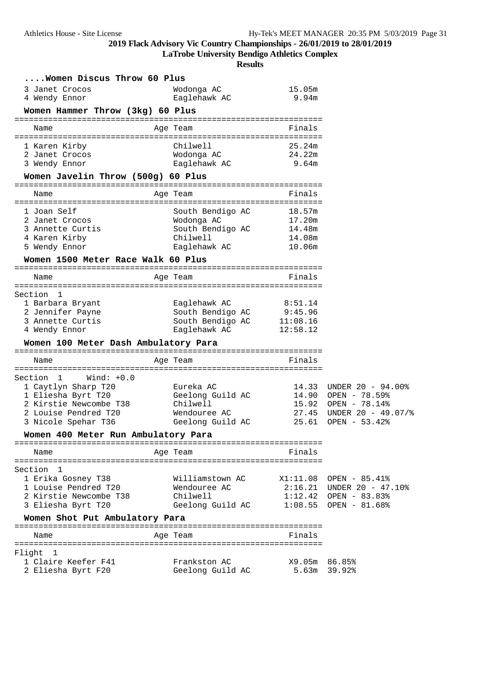**LaTrobe University Bendigo Athletics Complex**

| Women Discus Throw 60 Plus                                                                                                                                      |                                                                                       |                                                |                                                                                                               |
|-----------------------------------------------------------------------------------------------------------------------------------------------------------------|---------------------------------------------------------------------------------------|------------------------------------------------|---------------------------------------------------------------------------------------------------------------|
| 3 Janet Crocos                                                                                                                                                  | Wodonga AC                                                                            | 15.05m                                         |                                                                                                               |
| 4 Wendy Ennor                                                                                                                                                   | Eaglehawk AC                                                                          | 9.94m                                          |                                                                                                               |
| Women Hammer Throw (3kg) 60 Plus                                                                                                                                | --------                                                                              |                                                |                                                                                                               |
| Name                                                                                                                                                            | Age Team                                                                              | Finals                                         |                                                                                                               |
| 1 Karen Kirby<br>2 Janet Crocos<br>3 Wendy Ennor                                                                                                                | Chilwell<br>Wodonga AC<br>Eaglehawk AC                                                | 25.24m<br>24.22m<br>9.64m                      |                                                                                                               |
| Women Javelin Throw (500g) 60 Plus                                                                                                                              |                                                                                       |                                                |                                                                                                               |
| Name                                                                                                                                                            | Age Team                                                                              | Finals                                         |                                                                                                               |
| 1 Joan Self<br>2 Janet Crocos<br>3 Annette Curtis<br>4 Karen Kirby<br>5 Wendy Ennor<br>Women 1500 Meter Race Walk 60 Plus                                       | South Bendigo AC<br>Wodonga AC<br>South Bendigo AC<br>Chilwell<br>Eaglehawk AC        | 18.57m<br>17.20m<br>14.48m<br>14.08m<br>10.06m |                                                                                                               |
|                                                                                                                                                                 |                                                                                       |                                                |                                                                                                               |
| Name                                                                                                                                                            | Age Team                                                                              | Finals                                         |                                                                                                               |
| Section 1<br>1 Barbara Bryant<br>2 Jennifer Payne<br>3 Annette Curtis<br>4 Wendy Ennor<br>Women 100 Meter Dash Ambulatory Para<br>============================= | Eaglehawk AC<br>South Bendigo AC 9:45.96<br>South Bendigo AC 11:08.16<br>Eaglehawk AC | 8:51.14<br>12:58.12                            |                                                                                                               |
| Name                                                                                                                                                            | Age Team                                                                              | Finals                                         |                                                                                                               |
| Section 1<br>$Wind: +0.0$<br>1 Caytlyn Sharp T20<br>1 Eliesha Byrt T20<br>2 Kirstie Newcombe T38<br>2 Louise Pendred T20<br>3 Nicole Spehar T36                 | Eureka AC<br>Geelong Guild AC<br>Chilwell<br>Wendouree AC<br>Geelong Guild AC         | 14.33<br>14.90<br>15.92<br>27.45<br>25.61      | UNDER 20 - 94.00%<br>OPEN - 78.59%<br>OPEN - 78.14%<br>UNDER $20 - 49.07\%$<br>OPEN $-53.42$                  |
| Women 400 Meter Run Ambulatory Para                                                                                                                             |                                                                                       |                                                |                                                                                                               |
| Name                                                                                                                                                            | Age Team                                                                              | Finals                                         |                                                                                                               |
| Section 1<br>1 Erika Gosney T38<br>1 Louise Pendred T20<br>2 Kirstie Newcombe T38<br>3 Eliesha Byrt T20<br>Women Shot Put Ambulatory Para<br>Name               | Williamstown AC<br>Wendouree AC<br>Chilwell<br>Geelong Guild AC<br>Age Team           | Finals                                         | $X1:11.08$ OPEN - 85.41%<br>$2:16.21$ UNDER 20 - 47.10%<br>$1:12.42$ OPEN - 83.83%<br>$1:08.55$ OPEN - 81.68% |
|                                                                                                                                                                 |                                                                                       |                                                |                                                                                                               |
| Flight<br>- 1<br>1 Claire Keefer F41<br>2 Eliesha Byrt F20                                                                                                      | Frankston AC<br>Geelong Guild AC                                                      | X9.05m<br>5.63m                                | 86.85%<br>39.92%                                                                                              |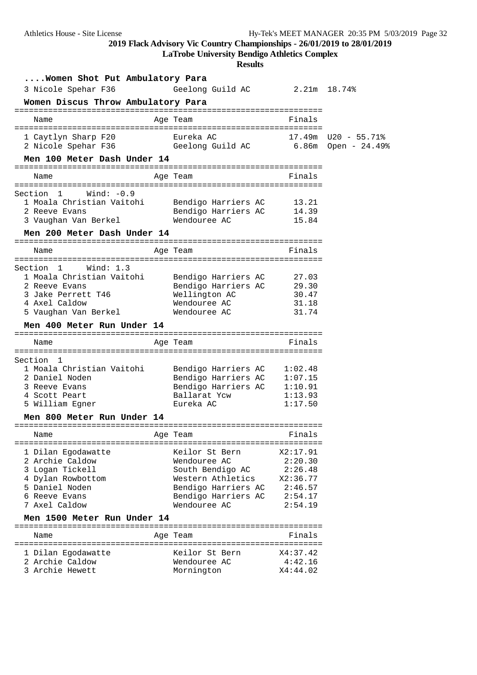**LaTrobe University Bendigo Athletics Complex**

| Women Shot Put Ambulatory Para                           |                               |                |  |
|----------------------------------------------------------|-------------------------------|----------------|--|
| 3 Nicole Spehar F36 6eelong Guild AC 2.21m 18.74%        |                               |                |  |
| Women Discus Throw Ambulatory Para                       |                               |                |  |
| Name                                                     | Age Team                      | Finals         |  |
|                                                          |                               |                |  |
| 1 Caytlyn Sharp F20 Eureka AC 17.49m U20 - 55.71%        |                               |                |  |
| 2 Nicole Spehar F36 6eelong Guild AC 6.86m Open - 24.49% |                               |                |  |
| Men 100 Meter Dash Under 14                              |                               |                |  |
|                                                          |                               |                |  |
| Name                                                     | Age Team                      | Finals         |  |
| Section 1 Wind: -0.9                                     |                               |                |  |
| 1 Moala Christian Vaitohi Bendigo Harriers AC 13.21      |                               |                |  |
| 2 Reeve Evans                                            | Bendigo Harriers AC 14.39     |                |  |
| 3 Vaughan Van Berkel Mendouree AC                        |                               | 15.84          |  |
| Men 200 Meter Dash Under 14                              |                               |                |  |
| Name                                                     | Age Team                      | Finals         |  |
|                                                          |                               |                |  |
| Section 1 Wind: 1.3                                      |                               |                |  |
| 1 Moala Christian Vaitohi Bendigo Harriers AC 27.03      |                               |                |  |
| 2 Reeve Evans                                            | Bendigo Harriers AC 29.30     |                |  |
| 3 Jake Perrett T46<br>4 Axel Caldow                      | Wellington AC<br>Wendouree AC | 30.47<br>31.18 |  |
| 5 Vaughan Van Berkel                                     | Wendouree AC                  | 31.74          |  |
| Men 400 Meter Run Under 14                               |                               |                |  |
|                                                          |                               |                |  |
| Name                                                     | Age Team                      | Finals         |  |
| Section 1                                                |                               |                |  |
| 1 Moala Christian Vaitohi                                | Bendigo Harriers AC 1:02.48   |                |  |
| 2 Daniel Noden                                           | Bendigo Harriers AC 1:07.15   |                |  |
| 3 Reeve Evans                                            | Bendigo Harriers AC 1:10.91   |                |  |
| 4 Scott Peart                                            | Ballarat Yow 1:13.93          |                |  |
| 5 William Egner                                          | Eureka AC                     | 1:17.50        |  |
| Men 800 Meter Run Under 14                               |                               |                |  |
|                                                          |                               |                |  |
| Name                                                     | Age Team                      | Finals         |  |
| 1 Dilan Egodawatte                                       | Keilor St Bern                | X2:17.91       |  |
| 2 Archie Caldow                                          | Wendouree AC                  | 2:20.30        |  |
| 3 Logan Tickell                                          | South Bendigo AC              | 2:26.48        |  |
| 4 Dylan Rowbottom                                        | Western Athletics             | X2:36.77       |  |
| 5 Daniel Noden                                           | Bendigo Harriers AC           | 2:46.57        |  |
| 6 Reeve Evans                                            | Bendigo Harriers AC           | 2:54.17        |  |
| 7 Axel Caldow                                            | Wendouree AC                  | 2:54.19        |  |
| Men 1500 Meter Run Under 14                              |                               |                |  |
| Name                                                     | Age Team                      | Finals         |  |
|                                                          |                               |                |  |
| 1 Dilan Egodawatte                                       | Keilor St Bern                | X4:37.42       |  |
| 2 Archie Caldow                                          | Wendouree AC                  | 4:42.16        |  |
| 3 Archie Hewett                                          | Mornington                    | X4:44.02       |  |
|                                                          |                               |                |  |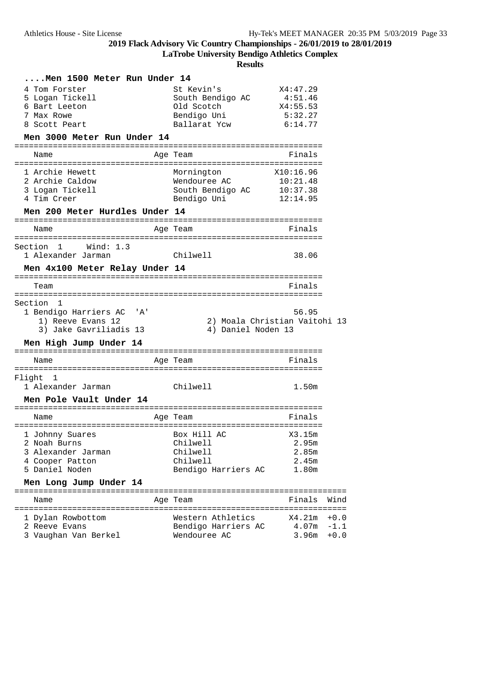**LaTrobe University Bendigo Athletics Complex**

| Men 1500 Meter Run Under 14             |                           |                                            |        |
|-----------------------------------------|---------------------------|--------------------------------------------|--------|
| 4 Tom Forster                           | St Kevin's                | X4:47.29                                   |        |
| 5 Logan Tickell                         | South Bendigo AC          | 4:51.46                                    |        |
| 6 Bart Leeton<br>7 Max Rowe             | Old Scotch<br>Bendigo Uni | X4:55.53<br>5:32.27                        |        |
| 8 Scott Peart                           | Ballarat Ycw              | 6:14.77                                    |        |
| Men 3000 Meter Run Under 14             |                           |                                            |        |
|                                         |                           |                                            |        |
| Name                                    | Age Team                  | Finals                                     |        |
| 1 Archie Hewett                         | Mornington                | X10:16.96                                  |        |
| 2 Archie Caldow                         | Wendouree AC              | 10:21.48                                   |        |
| 3 Logan Tickell                         | South Bendigo AC          | 10:37.38                                   |        |
| 4 Tim Creer                             | Bendigo Uni               | 12:14.95                                   |        |
| Men 200 Meter Hurdles Under 14          |                           |                                            |        |
| Name                                    | Age Team                  | Finals                                     |        |
| Section<br>$\mathbf{1}$<br>Wind: 1.3    |                           |                                            |        |
| 1 Alexander Jarman                      | Chilwell                  | 38.06                                      |        |
| Men 4x100 Meter Relay Under 14          |                           |                                            |        |
| Team                                    |                           | ------- <u>---------------</u> -<br>Finals |        |
|                                         |                           |                                            |        |
| Section 1                               |                           |                                            |        |
| 1 Bendigo Harriers AC<br>'A'            |                           | 56.95                                      |        |
| 1) Reeve Evans 12                       |                           | 2) Moala Christian Vaitohi 13              |        |
| 3) Jake Gavriliadis 13                  | 4) Daniel Noden 13        |                                            |        |
| Men High Jump Under 14                  |                           | :=====================                     |        |
| Name                                    | Age Team                  | Finals                                     |        |
| =======================<br>Flight<br>-1 | ========================= | ---------------                            |        |
| 1 Alexander Jarman                      | Chilwell                  | 1.50m                                      |        |
| Men Pole Vault Under 14                 |                           |                                            |        |
| Name                                    | Age Team                  | Finals                                     |        |
|                                         |                           |                                            |        |
| 1 Johnny Suares                         | Box Hill AC               | X3.15m                                     |        |
| 2 Noah Burns                            | Chilwell                  | 2.95m                                      |        |
| 3 Alexander Jarman                      | Chilwell                  | 2.85m                                      |        |
| 4 Cooper Patton                         | Chilwell                  | 2.45m                                      |        |
| 5 Daniel Noden                          | Bendigo Harriers AC       | 1.80m                                      |        |
| Men Long Jump Under 14                  |                           |                                            |        |
| Name                                    | Age Team                  | Finals                                     | Wind   |
| 1 Dylan Rowbottom                       | Western Athletics         | X4.21m                                     | $+0.0$ |
| 2 Reeve Evans                           | Bendigo Harriers AC       | $4.07m - 1.1$                              |        |
| 3 Vaughan Van Berkel                    | Wendouree AC              | 3.96m                                      | $+0.0$ |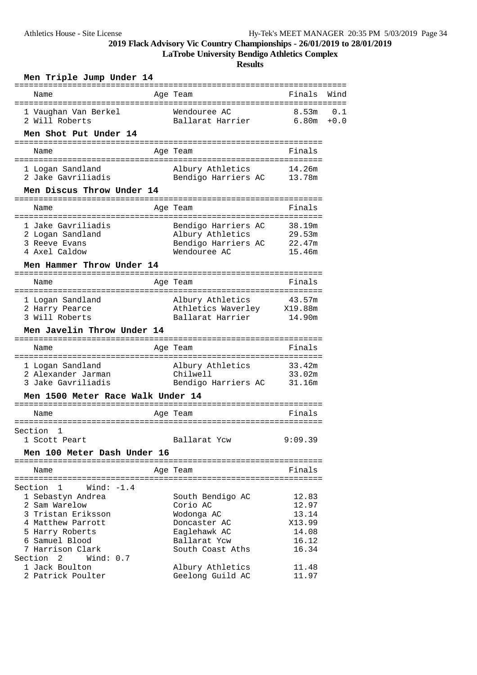**LaTrobe University Bendigo Athletics Complex**

| Men Triple Jump Under 14                                                                                                                                                                        |                                                                                                                |                                                              |               |
|-------------------------------------------------------------------------------------------------------------------------------------------------------------------------------------------------|----------------------------------------------------------------------------------------------------------------|--------------------------------------------------------------|---------------|
| Name                                                                                                                                                                                            | Age Team                                                                                                       | ================<br>Finals                                   | Wind          |
| 1 Vaughan Van Berkel<br>2 Will Roberts                                                                                                                                                          | Wendouree AC<br>Ballarat Harrier                                                                               | 8.53m<br>6.80m                                               | 0.1<br>$+0.0$ |
| Men Shot Put Under 14                                                                                                                                                                           |                                                                                                                |                                                              |               |
| Name                                                                                                                                                                                            | Age Team                                                                                                       | =================<br>Finals                                  |               |
| 1 Logan Sandland<br>2 Jake Gavriliadis                                                                                                                                                          | Albury Athletics<br>Bendigo Harriers AC 13.78m                                                                 | 14.26m                                                       |               |
| Men Discus Throw Under 14                                                                                                                                                                       |                                                                                                                |                                                              |               |
| Name<br>.                                                                                                                                                                                       | ======================<br>Age Team                                                                             | Finals                                                       |               |
| 1 Jake Gavriliadis<br>2 Logan Sandland<br>3 Reeve Evans<br>4 Axel Caldow                                                                                                                        | Bendigo Harriers AC<br>Albury Athletics<br>Bendigo Harriers AC<br>Wendouree AC                                 | 38.19m<br>29.53m<br>22.47m<br>15.46m                         |               |
| Men Hammer Throw Under 14<br>Name                                                                                                                                                               | Age Team                                                                                                       | Finals                                                       |               |
| 1 Logan Sandland<br>2 Harry Pearce<br>3 Will Roberts<br>Men Javelin Throw Under 14                                                                                                              | Albury Athletics<br>Athletics Waverley X19.88m<br>Ballarat Harrier                                             | 43.57m<br>14.90m                                             |               |
| Name                                                                                                                                                                                            | Age Team                                                                                                       | Finals                                                       |               |
| 1 Logan Sandland<br>2 Alexander Jarman<br>3 Jake Gavriliadis                                                                                                                                    | Albury Athletics<br>Chilwell<br>Bendigo Harriers AC                                                            | 33.42m<br>33.02m<br>31.16m                                   |               |
| Men 1500 Meter Race Walk Under 14                                                                                                                                                               |                                                                                                                |                                                              |               |
| Name                                                                                                                                                                                            | Age Team                                                                                                       | Finals                                                       |               |
| Section 1<br>1 Scott Peart                                                                                                                                                                      | Ballarat Ycw                                                                                                   | 9:09.39                                                      |               |
| Men 100 Meter Dash Under 16                                                                                                                                                                     |                                                                                                                |                                                              |               |
| Name                                                                                                                                                                                            | Age Team                                                                                                       | Finals                                                       |               |
| Section 1<br>Wind: $-1.4$<br>1 Sebastyn Andrea<br>2 Sam Warelow<br>3 Tristan Eriksson<br>4 Matthew Parrott<br>5 Harry Roberts<br>6 Samuel Blood<br>7 Harrison Clark<br>Section 2<br>Wind: $0.7$ | South Bendigo AC<br>Corio AC<br>Wodonga AC<br>Doncaster AC<br>Eaglehawk AC<br>Ballarat Ycw<br>South Coast Aths | 12.83<br>12.97<br>13.14<br>X13.99<br>14.08<br>16.12<br>16.34 |               |
| 1 Jack Boulton<br>2 Patrick Poulter                                                                                                                                                             | Albury Athletics<br>Geelong Guild AC                                                                           | 11.48<br>11.97                                               |               |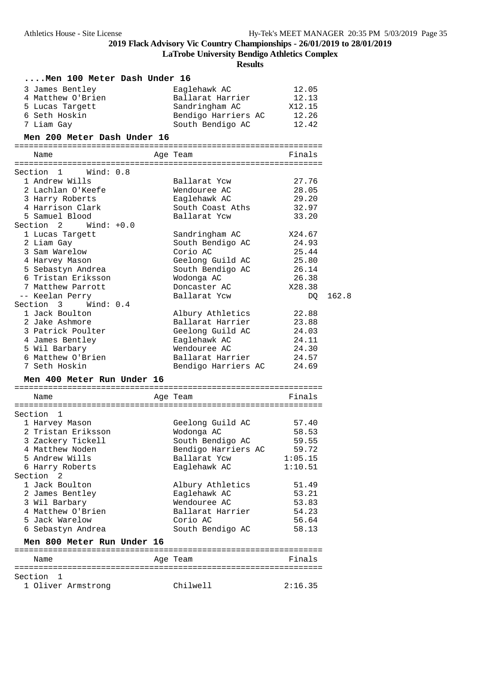**LaTrobe University Bendigo Athletics Complex**

| Men 100 Meter Dash Under 16             |                                    |         |       |
|-----------------------------------------|------------------------------------|---------|-------|
| 3 James Bentley                         | Eaglehawk AC                       | 12.05   |       |
| 4 Matthew O'Brien                       | Ballarat Harrier                   | 12.13   |       |
| 5 Lucas Targett                         | Sandringham AC                     | X12.15  |       |
| 6 Seth Hoskin                           | Bendigo Harriers AC                | 12.26   |       |
| 7 Liam Gay                              | South Bendigo AC                   | 12.42   |       |
| Men 200 Meter Dash Under 16             |                                    |         |       |
|                                         |                                    |         |       |
| Name                                    | Age Team                           | Finals  |       |
| Section 1<br>Wind: 0.8                  |                                    |         |       |
| 1 Andrew Wills                          | Ballarat Ycw                       | 27.76   |       |
| 2 Lachlan O'Keefe                       | Wendouree AC                       | 28.05   |       |
| 3 Harry Roberts                         | Eaglehawk AC                       | 29.20   |       |
| 4 Harrison Clark                        | South Coast Aths                   | 32.97   |       |
| 5 Samuel Blood                          | Ballarat Ycw                       | 33.20   |       |
| Section 2<br>$Wind: +0.0$               |                                    |         |       |
|                                         |                                    | X24.67  |       |
| 1 Lucas Targett                         | Sandringham AC<br>South Bendigo AC | 24.93   |       |
| 2 Liam Gay<br>3 Sam Warelow             | Corio AC                           | 25.44   |       |
|                                         |                                    | 25.80   |       |
| 4 Harvey Mason                          | Geelong Guild AC                   | 26.14   |       |
| 5 Sebastyn Andrea<br>6 Tristan Eriksson | South Bendigo AC<br>Wodonga AC     | 26.38   |       |
| 7 Matthew Parrott                       |                                    |         |       |
|                                         | Doncaster AC                       | X28.38  | 162.8 |
| -- Keelan Perry                         | Ballarat Ycw                       | DQ      |       |
| Section 3 Wind: 0.4                     |                                    |         |       |
| 1 Jack Boulton                          | Albury Athletics                   | 22.88   |       |
| 2 Jake Ashmore                          | Ballarat Harrier                   | 23.88   |       |
| 3 Patrick Poulter                       | Geelong Guild AC                   | 24.03   |       |
| 4 James Bentley                         | Eaglehawk AC                       | 24.11   |       |
| 5 Wil Barbary                           | Wendouree AC                       | 24.30   |       |
| 6 Matthew O'Brien                       | Ballarat Harrier                   | 24.57   |       |
| 7 Seth Hoskin                           | Bendigo Harriers AC                | 24.69   |       |
| Men 400 Meter Run Under 16              |                                    |         |       |
| Name                                    | Age Team                           | Finals  |       |
|                                         |                                    |         |       |
| Section 1                               |                                    |         |       |
| 1 Harvey Mason                          | Geelong Guild AC                   | 57.40   |       |
| 2 Tristan Eriksson                      | Wodonga AC                         | 58.53   |       |
| 3 Zackery Tickell                       | South Bendigo AC                   | 59.55   |       |
| 4 Matthew Noden                         | Bendigo Harriers AC                | 59.72   |       |
| 5 Andrew Wills                          | Ballarat Ycw                       | 1:05.15 |       |
| 6 Harry Roberts                         | Eaglehawk AC                       | 1:10.51 |       |
| Section<br>-2                           |                                    |         |       |
| 1 Jack Boulton                          | Albury Athletics                   | 51.49   |       |
| 2 James Bentley                         | Eaglehawk AC                       | 53.21   |       |
| 3 Wil Barbary                           | Wendouree AC                       | 53.83   |       |
| 4 Matthew O'Brien                       | Ballarat Harrier                   | 54.23   |       |
| 5 Jack Warelow                          | Corio AC                           | 56.64   |       |
| 6 Sebastyn Andrea                       | South Bendigo AC                   | 58.13   |       |
| Men 800 Meter Run Under 16              |                                    |         |       |
| Name                                    | Age Team                           | Finals  |       |
|                                         |                                    |         |       |
| Section<br>1                            |                                    |         |       |
| 1 Oliver Armstrong                      | Chilwell                           | 2:16.35 |       |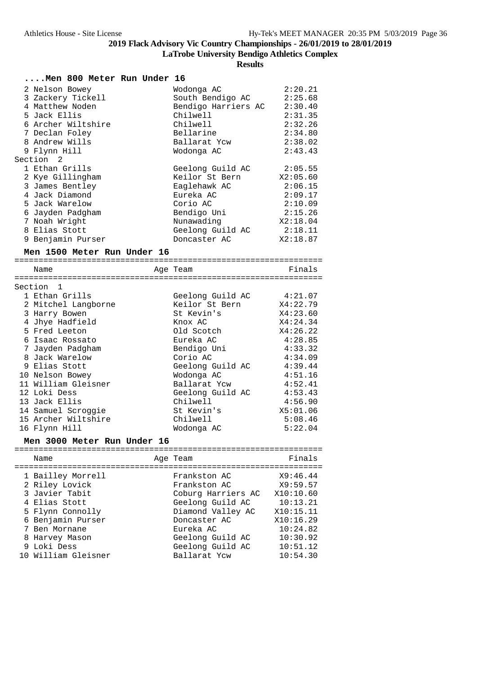**LaTrobe University Bendigo Athletics Complex**

| Men 800 Meter Run Under 16  |  |  |                     |           |
|-----------------------------|--|--|---------------------|-----------|
| 2 Nelson Bowey              |  |  | Wodonga AC          | 2:20.21   |
| 3 Zackery Tickell           |  |  | South Bendigo AC    | 2:25.68   |
| 4 Matthew Noden             |  |  | Bendigo Harriers AC | 2:30.40   |
| 5 Jack Ellis                |  |  | Chilwell            | 2:31.35   |
| 6 Archer Wiltshire          |  |  | Chilwell            | 2:32.26   |
| 7 Declan Foley              |  |  | Bellarine           | 2:34.80   |
| 8 Andrew Wills              |  |  | Ballarat Ycw        | 2:38.02   |
| 9 Flynn Hill                |  |  | Wodonga AC          | 2:43.43   |
| Section 2                   |  |  |                     |           |
| 1 Ethan Grills              |  |  | Geelong Guild AC    | 2:05.55   |
| 2 Kye Gillingham            |  |  | Keilor St Bern      | X2:05.60  |
| 3 James Bentley             |  |  | Eaglehawk AC        | 2:06.15   |
| 4 Jack Diamond              |  |  | Eureka AC           | 2:09.17   |
| 5 Jack Warelow              |  |  | Corio AC            | 2:10.09   |
| 6 Jayden Padgham            |  |  | Bendigo Uni         | 2:15.26   |
| 7 Noah Wright               |  |  | Nunawading          | X2:18.04  |
| 8 Elias Stott               |  |  | Geelong Guild AC    | 2:18.11   |
| 9 Benjamin Purser           |  |  | Doncaster AC        | X2:18.87  |
| Men 1500 Meter Run Under 16 |  |  |                     |           |
|                             |  |  |                     |           |
| Name                        |  |  | Age Team            | Finals    |
|                             |  |  |                     |           |
| Section<br>1                |  |  |                     |           |
| 1 Ethan Grills              |  |  | Geelong Guild AC    | 4:21.07   |
| 2 Mitchel Langborne         |  |  | Keilor St Bern      | X4:22.79  |
| 3 Harry Bowen               |  |  | St Kevin's          | X4:23.60  |
| 4 Jhye Hadfield             |  |  | Knox AC             | X4:24.34  |
| 5 Fred Leeton               |  |  | Old Scotch          | X4:26.22  |
| 6 Isaac Rossato             |  |  | Eureka AC           | 4:28.85   |
| 7 Jayden Padgham            |  |  | Bendigo Uni         | 4:33.32   |
| 8 Jack Warelow              |  |  | Corio AC            | 4:34.09   |
| 9 Elias Stott               |  |  | Geelong Guild AC    | 4:39.44   |
| 10 Nelson Bowey             |  |  | Wodonga AC          | 4:51.16   |
| 11 William Gleisner         |  |  | Ballarat Ycw        | 4:52.41   |
| 12 Loki Dess                |  |  | Geelong Guild AC    | 4:53.43   |
| 13 Jack Ellis               |  |  | Chilwell            | 4:56.90   |
| 14 Samuel Scroggie          |  |  | St Kevin's          | X5:01.06  |
| 15 Archer Wiltshire         |  |  | Chilwell            | 5:08.46   |
| 16 Flynn Hill               |  |  | Wodonga AC          | 5:22.04   |
| Men 3000 Meter Run Under 16 |  |  |                     |           |
| Name                        |  |  |                     | Finals    |
|                             |  |  | Age Team            |           |
| 1 Bailley Morrell           |  |  | Frankston AC        | X9:46.44  |
| 2 Riley Lovick              |  |  | Frankston AC        | X9:59.57  |
| 3 Javier Tabit              |  |  | Coburg Harriers AC  | X10:10.60 |
| 4 Elias Stott               |  |  | Geelong Guild AC    | 10:13.21  |
| 5 Flynn Connolly            |  |  | Diamond Valley AC   | X10:15.11 |
| 6 Benjamin Purser           |  |  | Doncaster AC        | X10:16.29 |
| 7 Ben Mornane               |  |  | Eureka AC           | 10:24.82  |
| 8 Harvey Mason              |  |  | Geelong Guild AC    | 10:30.92  |
| 9 Loki Dess                 |  |  | Geelong Guild AC    | 10:51.12  |
| 10 William Gleisner         |  |  | Ballarat Ycw        | 10:54.30  |
|                             |  |  |                     |           |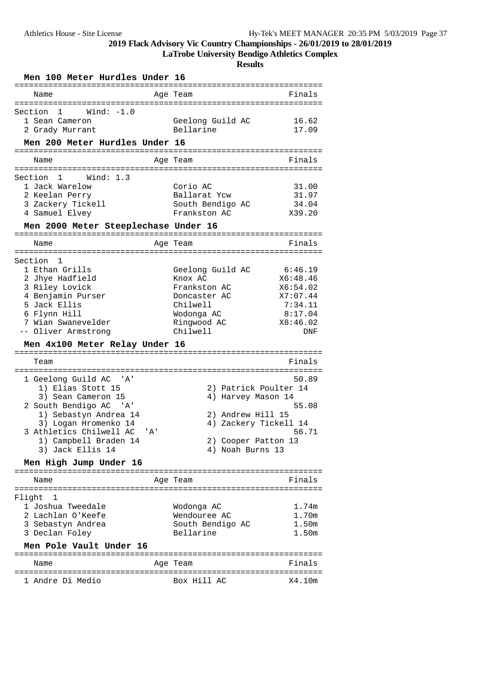**LaTrobe University Bendigo Athletics Complex**

| Men 100 Meter Hurdles Under 16                                                                                                                                                                                                                                   |                                                                                                                                      |                                                                                             |
|------------------------------------------------------------------------------------------------------------------------------------------------------------------------------------------------------------------------------------------------------------------|--------------------------------------------------------------------------------------------------------------------------------------|---------------------------------------------------------------------------------------------|
| Name                                                                                                                                                                                                                                                             | Age Team                                                                                                                             | Finals                                                                                      |
| Wind: $-1.0$<br>Section<br>1<br>1 Sean Cameron<br>2 Grady Murrant<br>Men 200 Meter Hurdles Under 16                                                                                                                                                              | Geelong Guild AC<br>Bellarine                                                                                                        | 16.62<br>17.09                                                                              |
|                                                                                                                                                                                                                                                                  |                                                                                                                                      |                                                                                             |
| Name                                                                                                                                                                                                                                                             | Age Team                                                                                                                             | Finals                                                                                      |
| Section<br>Wind: $1.3$<br>1<br>1 Jack Warelow<br>2 Keelan Perry<br>3 Zackery Tickell<br>4 Samuel Elvey<br>Men 2000 Meter Steeplechase Under 16                                                                                                                   | Corio AC<br>Ballarat Ycw<br>South Bendigo AC<br>Frankston AC                                                                         | 31.00<br>31.97<br>34.04<br>X39.20                                                           |
| Name                                                                                                                                                                                                                                                             | Age Team                                                                                                                             | Finals                                                                                      |
| Section<br>1<br>1 Ethan Grills<br>2 Jhye Hadfield<br>3 Riley Lovick<br>4 Benjamin Purser<br>5 Jack Ellis<br>6 Flynn Hill<br>7 Wian Swanevelder<br>-- Oliver Armstrong<br>Men 4x100 Meter Relay Under 16                                                          | Geelong Guild AC<br>Knox AC<br>Frankston AC<br>Doncaster AC<br>Chilwell<br>Wodonga AC<br>Ringwood AC<br>Chilwell                     | 6:46.19<br>X6:48.46<br>X6:54.02<br>X7:07.44<br>7:34.11<br>8:17.04<br>X8:46.02<br><b>DNF</b> |
|                                                                                                                                                                                                                                                                  |                                                                                                                                      |                                                                                             |
| Team<br>1 Geelong Guild AC<br>'' A '<br>1) Elias Stott 15<br>3) Sean Cameron 15<br>2 South Bendigo AC 'A'<br>1) Sebastyn Andrea 14<br>3) Logan Hromenko 14<br>3 Athletics Chilwell AC 'A'<br>1) Campbell Braden 14<br>3) Jack Ellis 14<br>Men High Jump Under 16 | 2) Patrick Poulter 14<br>4) Harvey Mason 14<br>2) Andrew Hill 15<br>4) Zackery Tickell 14<br>2) Cooper Patton 13<br>4) Noah Burns 13 | Finals<br>50.89<br>55.08<br>56.71                                                           |
|                                                                                                                                                                                                                                                                  |                                                                                                                                      | =======================                                                                     |
| Name<br>==================                                                                                                                                                                                                                                       | Age Team                                                                                                                             | Finals                                                                                      |
| Flight<br>- 1<br>1 Joshua Tweedale<br>2 Lachlan O'Keefe<br>3 Sebastyn Andrea<br>3 Declan Foley                                                                                                                                                                   | Wodonga AC<br>Wendouree AC<br>South Bendigo AC<br>Bellarine                                                                          | 1.74m<br>1.70m<br>1.50m<br>1.50m                                                            |
| Men Pole Vault Under 16                                                                                                                                                                                                                                          |                                                                                                                                      |                                                                                             |
| Name                                                                                                                                                                                                                                                             | Age Team                                                                                                                             | Finals                                                                                      |
| 1 Andre Di Medio                                                                                                                                                                                                                                                 | Box Hill AC                                                                                                                          | X4.10m                                                                                      |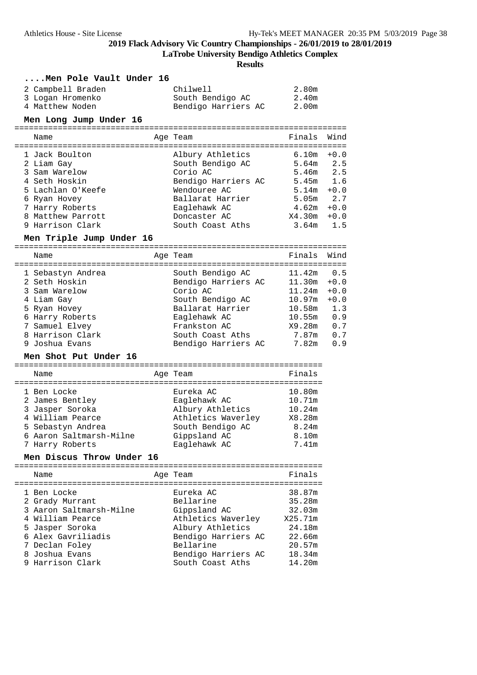**LaTrobe University Bendigo Athletics Complex**

**Results**

**....Men Pole Vault Under 16**

| 2 Campbell Braden | Chilwell            | 2.80m |
|-------------------|---------------------|-------|
| 3 Logan Hromenko  | South Bendigo AC    | 2.40m |
| 4 Matthew Noden   | Bendigo Harriers AC | 2.00m |

### **Men Long Jump Under 16**

| Name              | Age Team            | Finals            | Wind   |
|-------------------|---------------------|-------------------|--------|
| 1 Jack Boulton    | Albury Athletics    | 6.10m             | $+0.0$ |
| 2 Liam Gay        | South Bendigo AC    | 5.64m             | 2.5    |
| 3 Sam Warelow     | Corio AC            | $5.46m$ 2.5       |        |
| 4 Seth Hoskin     | Bendigo Harriers AC | 5.45m             | 1.6    |
| 5 Lachlan O'Keefe | Wendouree AC        | 5.14m             | $+0.0$ |
| 6 Ryan Hovey      | Ballarat Harrier    | 5.05 <sub>m</sub> | 2.7    |
| 7 Harry Roberts   | Eaglehawk AC        | 4.62m             | $+0.0$ |
| 8 Matthew Parrott | Doncaster AC        | X4.30m            | $+0.0$ |
| 9 Harrison Clark  | South Coast Aths    | 3.64m             | 15     |

#### **Men Triple Jump Under 16**

=====================================================================

| Name              | Age Team            | Finals | Wind   |
|-------------------|---------------------|--------|--------|
|                   |                     |        |        |
| 1 Sebastyn Andrea | South Bendigo AC    | 11.42m | 0.5    |
| 2 Seth Hoskin     | Bendigo Harriers AC | 11.30m | $+0.0$ |
| 3 Sam Warelow     | Corio AC            | 11.24m | $+0.0$ |
| 4 Liam Gay        | South Bendigo AC    | 10.97m | $+0.0$ |
| 5 Ryan Hovey      | Ballarat Harrier    | 10.58m | 1.3    |
| 6 Harry Roberts   | Eaglehawk AC        | 10.55m | 0.9    |
| 7 Samuel Elvey    | Frankston AC        | X9.28m | 0.7    |
| 8 Harrison Clark  | South Coast Aths    | 7.87m  | 0.7    |
| 9 Joshua Evans    | Bendigo Harriers AC | 7.82m  | 0.9    |

#### **Men Shot Put Under 16**

| Name                    | Age Team           | Finals |
|-------------------------|--------------------|--------|
| 1 Ben Locke             | Eureka AC          | 10.80m |
| 2 James Bentley         | Eaglehawk AC       | 10.71m |
| 3 Jasper Soroka         | Albury Athletics   | 10.24m |
| 4 William Pearce        | Athletics Waverley | X8.28m |
| 5 Sebastyn Andrea       | South Bendigo AC   | 8.24m  |
| 6 Aaron Saltmarsh-Milne | Gippsland AC       | 8.10m  |
| 7 Harry Roberts         | Eaglehawk AC       | 7.41m  |

## **Men Discus Throw Under 16**

| Name                                                                                                                                                                           | Age Team                                                                                                                                                        | Finals                                                                                  |
|--------------------------------------------------------------------------------------------------------------------------------------------------------------------------------|-----------------------------------------------------------------------------------------------------------------------------------------------------------------|-----------------------------------------------------------------------------------------|
| 1 Ben Locke<br>2 Grady Murrant<br>3 Aaron Saltmarsh-Milne<br>4 William Pearce<br>5 Jasper Soroka<br>6 Alex Gavriliadis<br>7 Declan Foley<br>8 Joshua Evans<br>9 Harrison Clark | Eureka AC<br>Bellarine<br>Gippsland AC<br>Athletics Waverley<br>Albury Athletics<br>Bendigo Harriers AC<br>Bellarine<br>Bendigo Harriers AC<br>South Coast Aths | 38.87m<br>35.28m<br>32.03m<br>X25.71m<br>24.18m<br>22.66m<br>20.57m<br>18.34m<br>14.20m |
|                                                                                                                                                                                |                                                                                                                                                                 |                                                                                         |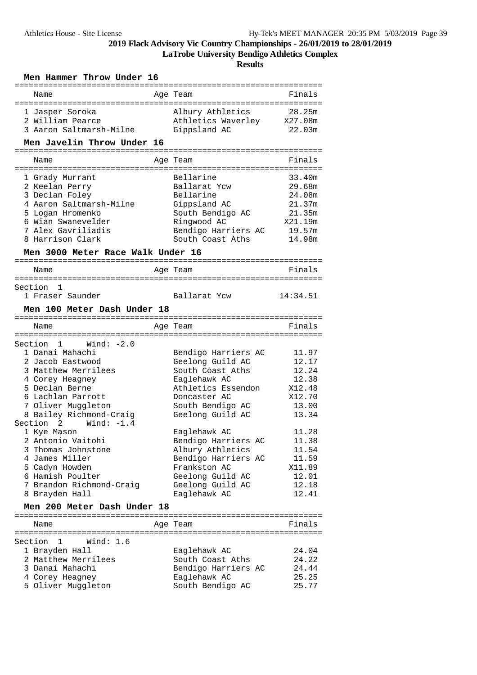**LaTrobe University Bendigo Athletics Complex**

| Men Hammer Throw Under 16               |                                     |          |  |  |  |
|-----------------------------------------|-------------------------------------|----------|--|--|--|
|                                         |                                     | Finals   |  |  |  |
| Name                                    | Age Team                            |          |  |  |  |
| 1 Jasper Soroka                         | Albury Athletics                    | 28.25m   |  |  |  |
| 2 William Pearce                        | Athletics Waverley                  | X27.08m  |  |  |  |
| 3 Aaron Saltmarsh-Milne                 | Gippsland AC                        | 22.03m   |  |  |  |
| Men Javelin Throw Under 16              |                                     |          |  |  |  |
|                                         | :=======================            |          |  |  |  |
| Name                                    | Age Team                            | Finals   |  |  |  |
| 1 Grady Murrant                         | Bellarine                           | 33.40m   |  |  |  |
| 2 Keelan Perry                          | Ballarat Ycw                        | 29.68m   |  |  |  |
| 3 Declan Foley                          | Bellarine                           | 24.08m   |  |  |  |
| 4 Aaron Saltmarsh-Milne                 | Gippsland AC                        | 21.37m   |  |  |  |
| 5 Logan Hromenko                        | South Bendigo AC                    | 21.35m   |  |  |  |
| 6 Wian Swanevelder                      | Ringwood AC                         | X21.19m  |  |  |  |
| 7 Alex Gavriliadis                      | Bendigo Harriers AC                 | 19.57m   |  |  |  |
| 8 Harrison Clark                        | South Coast Aths                    | 14.98m   |  |  |  |
| Men 3000 Meter Race Walk Under 16       |                                     |          |  |  |  |
| Name                                    | Age Team                            | Finals   |  |  |  |
|                                         |                                     |          |  |  |  |
| Section<br>1                            |                                     |          |  |  |  |
| 1 Fraser Saunder                        | Ballarat Yow                        | 14:34.51 |  |  |  |
| Men 100 Meter Dash Under 18             |                                     |          |  |  |  |
|                                         |                                     |          |  |  |  |
| Name                                    | Age Team                            | Finals   |  |  |  |
| Section<br>Wind: $-2.0$<br>$\mathbf{1}$ |                                     |          |  |  |  |
| 1 Danai Mahachi                         | Bendigo Harriers AC                 | 11.97    |  |  |  |
| 2 Jacob Eastwood                        | Geelong Guild AC                    | 12.17    |  |  |  |
| 3 Matthew Merrilees                     | South Coast Aths                    | 12.24    |  |  |  |
| 4 Corey Heagney                         | Eaglehawk AC                        | 12.38    |  |  |  |
| 5 Declan Berne                          | Athletics Essendon                  | X12.48   |  |  |  |
| 6 Lachlan Parrott                       | Doncaster AC                        | X12.70   |  |  |  |
| 7 Oliver Muggleton                      | South Bendigo AC                    | 13.00    |  |  |  |
| 8 Bailey Richmond-Craig                 | Geelong Guild AC                    | 13.34    |  |  |  |
| Section $2$ Wind: $-1.4$                |                                     | 11.28    |  |  |  |
| 1 Kye Mason<br>2 Antonio Vaitohi        | Eaglehawk AC<br>Bendigo Harriers AC | 11.38    |  |  |  |
| 3 Thomas Johnstone                      | Albury Athletics                    | 11.54    |  |  |  |
| 4 James Miller                          | Bendigo Harriers AC                 | 11.59    |  |  |  |
| 5 Cadyn Howden                          | Frankston AC                        | X11.89   |  |  |  |
| 6 Hamish Poulter                        | Geelong Guild AC                    | 12.01    |  |  |  |
| 7 Brandon Richmond-Craig                | Geelong Guild AC                    | 12.18    |  |  |  |
| 8 Brayden Hall                          | Eaglehawk AC                        | 12.41    |  |  |  |
| Men 200 Meter Dash Under 18             |                                     |          |  |  |  |
|                                         |                                     |          |  |  |  |
| Name                                    | Age Team                            | Finals   |  |  |  |
| Wind: $1.6$<br>Section<br>1             |                                     |          |  |  |  |
| 1 Brayden Hall                          | Eaglehawk AC                        | 24.04    |  |  |  |
| 2 Matthew Merrilees                     | South Coast Aths                    | 24.22    |  |  |  |
| 3 Danai Mahachi                         | Bendigo Harriers AC                 | 24.44    |  |  |  |
| 4 Corey Heagney                         | Eaglehawk AC                        | 25.25    |  |  |  |
| 5 Oliver Muggleton                      | South Bendigo AC                    | 25.77    |  |  |  |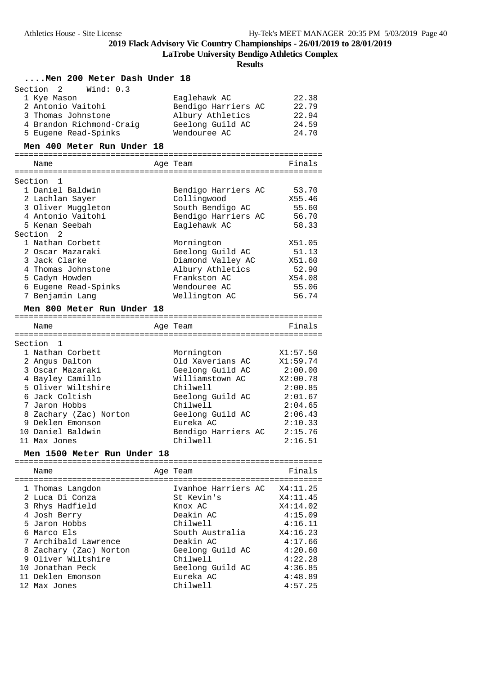**LaTrobe University Bendigo Athletics Complex**

| Men 200 Meter Dash Under 18 |                                                                                                                                                                                                                                                                       |  |                                                                                                                                                                                       |                                                                                                                                      |
|-----------------------------|-----------------------------------------------------------------------------------------------------------------------------------------------------------------------------------------------------------------------------------------------------------------------|--|---------------------------------------------------------------------------------------------------------------------------------------------------------------------------------------|--------------------------------------------------------------------------------------------------------------------------------------|
|                             | 2<br>Wind: $0.3$<br>Section<br>1 Kye Mason<br>2 Antonio Vaitohi<br>3 Thomas Johnstone<br>4 Brandon Richmond-Craig<br>5 Eugene Read-Spinks                                                                                                                             |  | Eaglehawk AC<br>Bendigo Harriers AC<br>Albury Athletics<br>Geelong Guild AC<br>Wendouree AC                                                                                           | 22.38<br>22.79<br>22.94<br>24.59<br>24.70                                                                                            |
|                             | Men 400 Meter Run Under 18                                                                                                                                                                                                                                            |  |                                                                                                                                                                                       |                                                                                                                                      |
|                             |                                                                                                                                                                                                                                                                       |  |                                                                                                                                                                                       |                                                                                                                                      |
|                             | Name                                                                                                                                                                                                                                                                  |  | Age Team                                                                                                                                                                              | Finals                                                                                                                               |
|                             | Section<br>1                                                                                                                                                                                                                                                          |  |                                                                                                                                                                                       |                                                                                                                                      |
|                             | 1 Daniel Baldwin<br>2 Lachlan Sayer<br>3 Oliver Muggleton<br>4 Antonio Vaitohi<br>5 Kenan Seebah<br>Section<br>$\overline{2}$                                                                                                                                         |  | Bendigo Harriers AC<br>Collingwood<br>South Bendigo AC<br>Bendigo Harriers AC<br>Eaglehawk AC                                                                                         | 53.70<br>X55.46<br>55.60<br>56.70<br>58.33                                                                                           |
|                             | 1 Nathan Corbett<br>2 Oscar Mazaraki<br>3 Jack Clarke<br>4 Thomas Johnstone<br>5 Cadyn Howden<br>6 Eugene Read-Spinks<br>7 Benjamin Lang                                                                                                                              |  | Mornington<br>Geelong Guild AC<br>Diamond Valley AC<br>Albury Athletics<br>Frankston AC<br>Wendouree AC<br>Wellington AC                                                              | X51.05<br>51.13<br>X51.60<br>52.90<br>X54.08<br>55.06<br>56.74                                                                       |
|                             | Men 800 Meter Run Under 18                                                                                                                                                                                                                                            |  |                                                                                                                                                                                       |                                                                                                                                      |
|                             |                                                                                                                                                                                                                                                                       |  |                                                                                                                                                                                       |                                                                                                                                      |
|                             | Name                                                                                                                                                                                                                                                                  |  | Age Team                                                                                                                                                                              | Finals                                                                                                                               |
|                             | Section<br>1<br>1 Nathan Corbett<br>2 Angus Dalton<br>3 Oscar Mazaraki<br>4 Bayley Camillo<br>5 Oliver Wiltshire<br>6 Jack Coltish<br>7 Jaron Hobbs<br>8 Zachary (Zac) Norton<br>9 Deklen Emonson<br>10 Daniel Baldwin<br>11 Max Jones<br>Men 1500 Meter Run Under 18 |  | Mornington<br>Old Xaverians AC<br>Geelong Guild AC<br>Williamstown AC<br>Chilwell<br>Geelong Guild AC<br>Chilwell<br>Geelong Guild AC<br>Eureka AC<br>Bendigo Harriers AC<br>Chilwell | X1:57.50<br>X1:59.74<br>2:00.00<br>X2:00.78<br>2:00.85<br>2:01.67<br>2:04.65<br>2:06.43<br>2:10.33<br>2:15.76<br>2:16.51             |
|                             |                                                                                                                                                                                                                                                                       |  |                                                                                                                                                                                       |                                                                                                                                      |
|                             | Name                                                                                                                                                                                                                                                                  |  | Age Team                                                                                                                                                                              | Finals                                                                                                                               |
|                             | 1 Thomas Langdon<br>2 Luca Di Conza<br>3 Rhys Hadfield<br>4 Josh Berry<br>5 Jaron Hobbs<br>6 Marco Els<br>7 Archibald Lawrence<br>8 Zachary (Zac) Norton<br>9 Oliver Wiltshire<br>10 Jonathan Peck<br>11 Deklen Emonson<br>12 Max Jones                               |  | Ivanhoe Harriers AC<br>St Kevin's<br>Knox AC<br>Deakin AC<br>Chilwell<br>South Australia<br>Deakin AC<br>Geelong Guild AC<br>Chilwell<br>Geelong Guild AC<br>Eureka AC<br>Chilwell    | X4:11.25<br>X4:11.45<br>X4:14.02<br>4:15.09<br>4:16.11<br>X4:16.23<br>4:17.66<br>4:20.60<br>4:22.28<br>4:36.85<br>4:48.89<br>4:57.25 |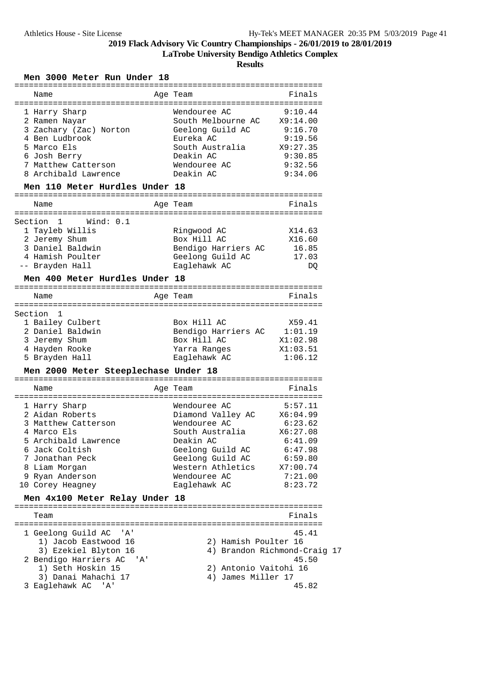**LaTrobe University Bendigo Athletics Complex**

**Results**

### **Men 3000 Meter Run Under 18**

| Name                                      | Age Team                   | Finals                       |
|-------------------------------------------|----------------------------|------------------------------|
|                                           |                            |                              |
| 1 Harry Sharp                             | Wendouree AC               | 9:10.44                      |
| 2 Ramen Nayar                             | South Melbourne AC         | X9:14.00                     |
| 3 Zachary (Zac) Norton                    | Geelong Guild AC           | 9:16.70                      |
| 4 Ben Ludbrook                            | Eureka AC                  | 9:19.56                      |
| 5 Marco Els                               | South Australia            | X9:27.35                     |
| 6 Josh Berry                              | Deakin AC                  | 9:30.85                      |
| 7 Matthew Catterson                       | Wendouree AC               | 9:32.56                      |
| 8 Archibald Lawrence                      | Deakin AC                  | 9:34.06                      |
| Men 110 Meter Hurdles Under 18            |                            |                              |
| Name                                      | Age Team                   | Finals                       |
|                                           |                            |                              |
| Section 1<br>Wind: 0.1                    |                            |                              |
| 1 Tayleb Willis                           | Ringwood AC                | X14.63                       |
| 2 Jeremy Shum                             | Box Hill AC                | X16.60                       |
| 3 Daniel Baldwin                          | Bendigo Harriers AC        | 16.85                        |
| 4 Hamish Poulter                          | Geelong Guild AC           | 17.03                        |
| -- Brayden Hall                           | Eaglehawk AC               | DQ                           |
| Men 400 Meter Hurdles Under 18            |                            |                              |
|                                           |                            |                              |
| Name                                      | Age Team                   | Finals                       |
|                                           |                            |                              |
| Section<br>1                              |                            |                              |
| 1 Bailey Culbert                          | Box Hill AC                | X59.41                       |
| 2 Daniel Baldwin                          | Bendigo Harriers AC        | 1:01.19                      |
| 3 Jeremy Shum                             | Box Hill AC                | X1:02.98                     |
| 4 Hayden Rooke                            | Yarra Ranges               | X1:03.51                     |
| 5 Brayden Hall                            | Eaglehawk AC               | 1:06.12                      |
|                                           |                            |                              |
| Men 2000 Meter Steeplechase Under 18      |                            |                              |
|                                           |                            |                              |
| Name                                      | Age Team                   | Finals                       |
|                                           |                            |                              |
| 1 Harry Sharp                             | Wendouree AC               | 5:57.11                      |
| 2 Aidan Roberts                           | Diamond Valley AC X6:04.99 |                              |
| 3 Matthew Catterson                       | Wendouree AC               | 6:23.62                      |
| 4 Marco Els                               | South Australia            | X6:27.08                     |
| 5 Archibald Lawrence                      | Deakin AC                  | 6:41.09                      |
| 6 Jack Coltish                            | Geelong Guild AC           | 6:47.98                      |
| 7 Jonathan Peck                           | Geelong Guild AC           | 6:59.80                      |
| 8 Liam Morgan                             | Western Athletics X7:00.74 |                              |
| 9 Ryan Anderson                           | Wendouree AC               | 7:21.00                      |
| 10 Corey Heagney                          | Eaglehawk AC               | 8:23.72                      |
| Men 4x100 Meter Relay Under 18            |                            |                              |
| Team                                      |                            | Finals                       |
|                                           |                            |                              |
| 1 Geelong Guild AC 'A'                    |                            | 45.41                        |
| 1) Jacob Eastwood 16                      | 2) Hamish Poulter 16       |                              |
| 3) Ezekiel Blyton 16                      |                            | 4) Brandon Richmond-Craig 17 |
| 2 Bendigo Harriers AC 'A'                 |                            | 45.50                        |
| 1) Seth Hoskin 15                         | 2) Antonio Vaitohi 16      |                              |
| 3) Danai Mahachi 17<br>3 Eaglehawk AC 'A' | 4) James Miller 17         | 45.82                        |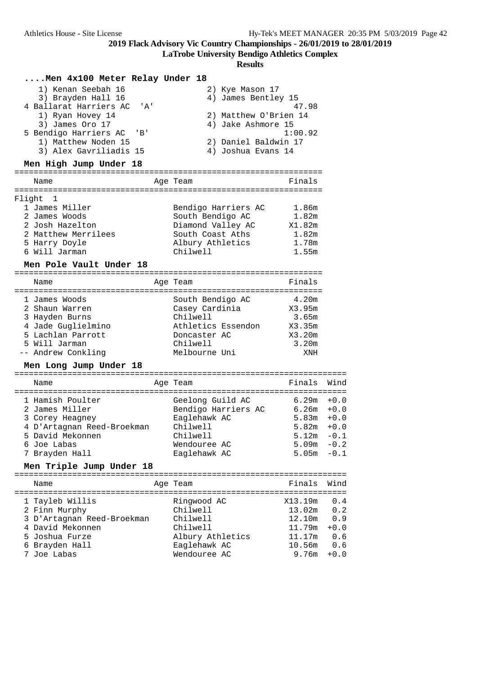**LaTrobe University Bendigo Athletics Complex**

|        | Men 4x100 Meter Relay Under 18                                                                  |                          |                                        |                       |                  |
|--------|-------------------------------------------------------------------------------------------------|--------------------------|----------------------------------------|-----------------------|------------------|
|        | 1) Kenan Seebah 16<br>3) Brayden Hall 16<br>4 Ballarat Harriers AC<br>$^{\prime}$ A $^{\prime}$ |                          | 2) Kye Mason 17<br>4) James Bentley 15 | 47.98                 |                  |
|        | 1) Ryan Hovey 14<br>3) James Oro 17                                                             |                          | 4) Jake Ashmore 15                     | 2) Matthew O'Brien 14 |                  |
|        | 5 Bendigo Harriers AC<br>'B'                                                                    |                          |                                        | 1:00.92               |                  |
|        | 1) Matthew Noden 15<br>3) Alex Gavriliadis 15                                                   |                          | 2) Daniel Baldwin 17                   |                       |                  |
|        | Men High Jump Under 18                                                                          |                          | 4) Joshua Evans 14                     |                       |                  |
|        |                                                                                                 |                          |                                        |                       |                  |
|        | Name                                                                                            | Age Team                 |                                        | Finals                |                  |
| Flight | 1                                                                                               |                          |                                        |                       |                  |
|        | 1 James Miller                                                                                  |                          | Bendigo Harriers AC                    | 1.86m                 |                  |
|        | 2 James Woods<br>2 Josh Hazelton                                                                |                          | South Bendigo AC<br>Diamond Valley AC  | 1.82m<br>X1.82m       |                  |
|        | 2 Matthew Merrilees                                                                             |                          | South Coast Aths                       | 1.82m                 |                  |
|        | 5 Harry Doyle                                                                                   |                          | Albury Athletics                       | 1.78m                 |                  |
|        | 6 Will Jarman                                                                                   | Chilwell                 |                                        | 1.55m                 |                  |
|        | Men Pole Vault Under 18                                                                         |                          |                                        |                       |                  |
|        | Name                                                                                            | Age Team                 |                                        | Finals                |                  |
|        | 1 James Woods                                                                                   |                          | South Bendigo AC                       | 4.20m                 |                  |
|        | 2 Shaun Warren                                                                                  |                          | Casey Cardinia                         | X3.95m                |                  |
|        | 3 Hayden Burns                                                                                  | Chilwell                 |                                        | 3.65m                 |                  |
|        | 4 Jade Guglielmino<br>5 Lachlan Parrott                                                         | Doncaster AC             | Athletics Essendon                     | X3.35m<br>X3.20m      |                  |
|        | 5 Will Jarman                                                                                   | Chilwell                 |                                        | 3.20m                 |                  |
|        | -- Andrew Conkling                                                                              | Melbourne Uni            |                                        | XNH                   |                  |
|        | Men Long Jump Under 18                                                                          |                          |                                        |                       |                  |
|        | Name                                                                                            | Age Team                 |                                        | Finals                | Wind             |
|        | 1 Hamish Poulter                                                                                |                          | Geelong Guild AC                       | 6.29m                 | $+0.0$           |
|        | 2 James Miller                                                                                  |                          | Bendigo Harriers AC                    |                       | $6.26m + 0.0$    |
|        | 3 Corey Heagney<br>4 D'Artagnan Reed-Broekman                                                   | Eaglehawk AC<br>Chilwell |                                        | 5.83m<br>5.82m        | $+0.0$<br>$+0.0$ |
|        | 5 David Mekonnen                                                                                | Chilwell                 |                                        | 5.12m                 | $-0.1$           |
|        | 6 Joe Labas                                                                                     | Wendouree AC             |                                        | 5.09m                 | $-0.2$           |
|        | 7 Brayden Hall                                                                                  | Eaglehawk AC             |                                        | 5.05m                 | $-0.1$           |
|        | Men Triple Jump Under 18                                                                        |                          |                                        |                       |                  |
|        | Name                                                                                            | Age Team                 |                                        | Finals                | Wind             |
|        | 1 Tayleb Willis                                                                                 | Ringwood AC              |                                        | X13.19m               | 0.4              |
|        | 2 Finn Murphy                                                                                   | Chilwell                 |                                        | 13.02m                | 0.2              |
|        | 3 D'Artagnan Reed-Broekman                                                                      | Chilwell                 |                                        | 12.10m                | 0.9              |
|        | 4 David Mekonnen                                                                                | Chilwell                 |                                        | 11.79m                | $+0.0$           |
|        | 5 Joshua Furze                                                                                  |                          | Albury Athletics                       | 11.17m                | 0.6              |
|        | 6 Brayden Hall                                                                                  | Eaglehawk AC             |                                        | 10.56m                | 0.6              |
|        | 7 Joe Labas                                                                                     | Wendouree AC             |                                        | 9.76m                 | $+0.0$           |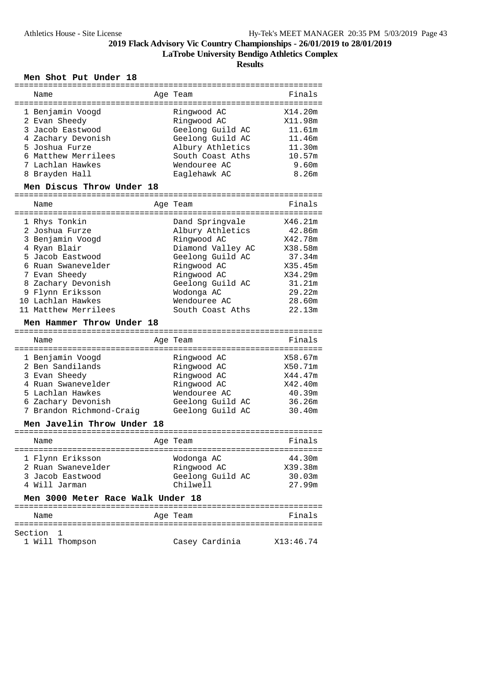**LaTrobe University Bendigo Athletics Complex**

**Results**

#### **Men Shot Put Under 18** ================================================================

| Name                                                                                                                                                                                                                                                                                        | Age Team<br>-----------                                                                                                                                                                         | Finals                                                                                                          |
|---------------------------------------------------------------------------------------------------------------------------------------------------------------------------------------------------------------------------------------------------------------------------------------------|-------------------------------------------------------------------------------------------------------------------------------------------------------------------------------------------------|-----------------------------------------------------------------------------------------------------------------|
| 1 Benjamin Voogd<br>2 Evan Sheedy<br>3 Jacob Eastwood<br>4 Zachary Devonish<br>5 Joshua Furze<br>6 Matthew Merrilees<br>7 Lachlan Hawkes<br>8 Brayden Hall                                                                                                                                  | Ringwood AC<br>Ringwood AC<br>Geelong Guild AC<br>Geelong Guild AC<br>Albury Athletics<br>South Coast Aths<br>Wendouree AC<br>Eaglehawk AC                                                      | X14.20m<br>X11.98m<br>11.61m<br>11.46m<br>11.30m<br>10.57m<br>9.60m<br>8.26m                                    |
| Men Discus Throw Under 18                                                                                                                                                                                                                                                                   |                                                                                                                                                                                                 |                                                                                                                 |
| Name                                                                                                                                                                                                                                                                                        | Age Team                                                                                                                                                                                        | Finals                                                                                                          |
| 1 Rhys Tonkin<br>2 Joshua Furze<br>3 Benjamin Voogd<br>4 Ryan Blair<br>5 Jacob Eastwood<br>6 Ruan Swanevelder<br>7 Evan Sheedy<br>8 Zachary Devonish<br>9 Flynn Eriksson<br>10 Lachlan Hawkes<br>11 Matthew Merrilees<br>Men Hammer Throw Under 18<br>---------------<br>================== | Dand Springvale<br>Albury Athletics<br>Ringwood AC<br>Diamond Valley AC<br>Geelong Guild AC<br>Ringwood AC<br>Ringwood AC<br>Geelong Guild AC<br>Wodonga AC<br>Wendouree AC<br>South Coast Aths | X46.21m<br>42.86m<br>X42.78m<br>X38.58m<br>37.34m<br>X35.45m<br>X34.29m<br>31.21m<br>29.22m<br>28.60m<br>22.13m |
| Name                                                                                                                                                                                                                                                                                        | Age Team                                                                                                                                                                                        | Finals                                                                                                          |
| 1 Benjamin Voogd<br>2 Ben Sandilands<br>3 Evan Sheedy<br>4 Ruan Swanevelder<br>5 Lachlan Hawkes<br>6 Zachary Devonish<br>7 Brandon Richmond-Craig<br>Mon Javolin Throw Undor 18                                                                                                             | Ringwood AC<br>Ringwood AC<br>Ringwood AC<br>Ringwood AC<br>Wendouree AC<br>Geelong Guild AC<br>Geelong Guild AC                                                                                | X58.67m<br>X50.71m<br>X44.47m<br>X42.40m<br>40.39m<br>36.26m<br>30.40m                                          |

#### **Men Javelin Throw Under 18**

| Name                                                                        | Age Team                                                  | Finals                                |
|-----------------------------------------------------------------------------|-----------------------------------------------------------|---------------------------------------|
| 1 Flynn Eriksson<br>2 Ruan Swanevelder<br>3 Jacob Eastwood<br>4 Will Jarman | Wodonga AC<br>Ringwood AC<br>Geelong Guild AC<br>Chilwell | 44.30m<br>X39.38m<br>30.03m<br>27.99m |

### **Men 3000 Meter Race Walk Under 18**

| Name      |                 | Age Team |                | Finals    |
|-----------|-----------------|----------|----------------|-----------|
| Section 1 | 1 Will Thompson |          | Casey Cardinia | X13:46.74 |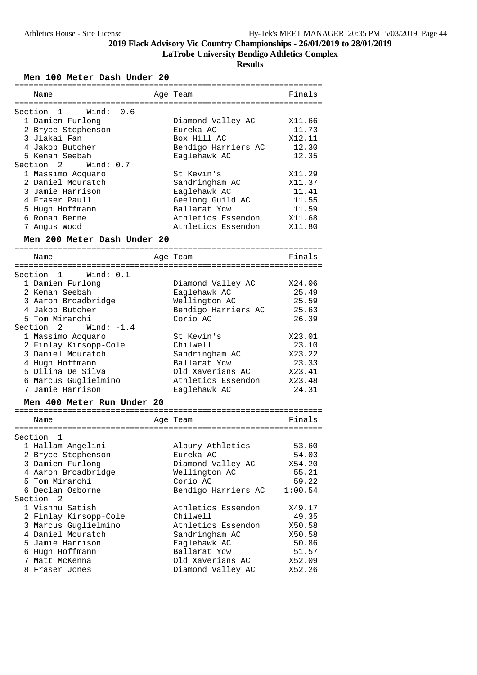**LaTrobe University Bendigo Athletics Complex**

**Results**

### **Men 100 Meter Dash Under 20**

| Name                                             | Age Team            | Finals          |
|--------------------------------------------------|---------------------|-----------------|
| ============                                     |                     |                 |
| Wind: $-0.6$<br>Section<br>1<br>1 Damien Furlong | Diamond Valley AC   | X11.66          |
| 2 Bryce Stephenson                               | Eureka AC           | 11.73           |
| 3 Jiakai Fan                                     | Box Hill AC         | X12.11          |
| 4 Jakob Butcher                                  | Bendigo Harriers AC | 12.30           |
| 5 Kenan Seebah                                   | Eaglehawk AC        | 12.35           |
| Section<br>2<br>Wind: $0.7$                      |                     |                 |
| 1 Massimo Acquaro                                | St Kevin's          | X11.29          |
| 2 Daniel Mouratch                                | Sandringham AC      | X11.37          |
| 3 Jamie Harrison                                 | Eaglehawk AC        | 11.41           |
| 4 Fraser Paull                                   | Geelong Guild AC    | 11.55           |
| 5 Hugh Hoffmann                                  | Ballarat Ycw        | 11.59           |
| 6 Ronan Berne                                    | Athletics Essendon  | X11.68          |
| 7 Angus Wood                                     | Athletics Essendon  | X11.80          |
| Men 200 Meter Dash Under 20                      |                     |                 |
| Name                                             | Age Team            | Finals          |
|                                                  |                     |                 |
| Section<br>1<br>Wind: 0.1                        |                     |                 |
| 1 Damien Furlong                                 | Diamond Valley AC   | X24.06          |
| 2 Kenan Seebah                                   | Eaglehawk AC        | 25.49           |
| 3 Aaron Broadbridge                              | Wellington AC       | 25.59           |
| 4 Jakob Butcher                                  | Bendigo Harriers AC | 25.63           |
| 5 Tom Mirarchi                                   | Corio AC            | 26.39           |
| Section<br>2<br>Wind: $-1.4$                     |                     |                 |
| 1 Massimo Acquaro                                | St Kevin's          | X23.01          |
| 2 Finlay Kirsopp-Cole                            | Chilwell            | 23.10           |
| 3 Daniel Mouratch                                | Sandringham AC      | X23.22          |
| 4 Hugh Hoffmann                                  | Ballarat Ycw        | 23.33           |
| 5 Dilina De Silva                                | Old Xaverians AC    | X23.41          |
| 6 Marcus Guglielmino<br>7 Jamie Harrison         | Athletics Essendon  | X23.48<br>24.31 |
|                                                  | Eaglehawk AC        |                 |
| Men 400 Meter Run Under 20                       |                     |                 |
| Name                                             | Age Team            | Finals          |
|                                                  |                     |                 |
| Section<br>1                                     |                     |                 |
| 1 Hallam Angelini                                | Albury Athletics    | 53.60           |
| 2 Bryce Stephenson                               | Eureka AC           | 54.03           |
| 3 Damien Furlong                                 | Diamond Valley AC   | X54.20          |
| 4 Aaron Broadbridge                              | Wellington AC       | 55.21           |
| 5 Tom Mirarchi                                   | Corio AC            | 59.22           |
| 6 Declan Osborne<br>Section<br>2                 | Bendigo Harriers AC | 1:00.54         |
| 1 Vishnu Satish                                  | Athletics Essendon  | X49.17          |
| 2 Finlay Kirsopp-Cole                            | Chilwell            | 49.35           |
| 3 Marcus Guglielmino                             | Athletics Essendon  | X50.58          |
| 4 Daniel Mouratch                                | Sandringham AC      | X50.58          |
| 5 Jamie Harrison                                 | Eaglehawk AC        | 50.86           |
| 6 Hugh Hoffmann                                  | Ballarat Ycw        | 51.57           |
| 7 Matt McKenna                                   | Old Xaverians AC    | X52.09          |
| 8 Fraser Jones                                   | Diamond Valley AC   | X52.26          |
|                                                  |                     |                 |

================================================================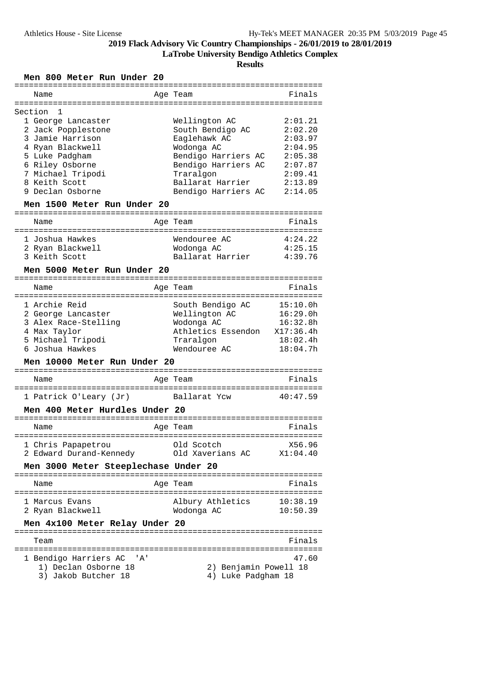**LaTrobe University Bendigo Athletics Complex**

**Results**

### **Men 800 Meter Run Under 20**

| Name                                        |              |                                             | ===================================== |
|---------------------------------------------|--------------|---------------------------------------------|---------------------------------------|
|                                             |              | Age Team                                    | Finals                                |
| ==================================          |              | =========================                   |                                       |
| Section<br>1                                |              |                                             |                                       |
| 1 George Lancaster                          |              | Wellington AC                               | 2:01.21                               |
| 2 Jack Popplestone                          |              | South Bendigo AC                            | 2:02.20                               |
| 3 Jamie Harrison                            |              | Eaglehawk AC                                | 2:03.97                               |
| 4 Ryan Blackwell                            |              | Wodonga AC                                  | 2:04.95                               |
| 5 Luke Padgham                              |              | Bendigo Harriers AC                         | 2:05.38                               |
| 6 Riley Osborne                             |              | Bendigo Harriers AC                         | 2:07.87                               |
|                                             |              |                                             | 2:09.41                               |
| 7 Michael Tripodi                           |              | Traralgon                                   |                                       |
| 8 Keith Scott                               |              | Ballarat Harrier                            | 2:13.89                               |
| 9 Declan Osborne                            |              | Bendigo Harriers AC                         | 2:14.05                               |
| Men 1500 Meter Run Under 20                 |              |                                             |                                       |
| Name                                        |              | Age Team                                    | Finals                                |
|                                             |              |                                             |                                       |
| 1 Joshua Hawkes                             |              | Wendouree AC                                | 4:24.22                               |
| 2 Ryan Blackwell                            |              | Wodonga AC                                  | 4:25.15                               |
|                                             |              |                                             |                                       |
| 3 Keith Scott                               |              | Ballarat Harrier                            | 4:39.76                               |
| Men 5000 Meter Run Under 20                 |              |                                             |                                       |
| Name                                        |              | Age Team                                    | Finals                                |
|                                             |              |                                             |                                       |
| 1 Archie Reid                               |              | South Bendigo AC                            | 15:10.0h                              |
| 2 George Lancaster                          |              | Wellington AC                               | 16:29.0h                              |
| 3 Alex Race-Stelling                        |              | Wodonga AC                                  | 16:32.8h                              |
|                                             |              |                                             |                                       |
| 4 Max Taylor                                |              | Athletics Essendon X17:36.4h                |                                       |
| 5 Michael Tripodi                           |              | Traralgon                                   | 18:02.4h                              |
| 6 Joshua Hawkes                             |              | Wendouree AC                                | 18:04.7h                              |
| Men 10000 Meter Run Under 20                |              |                                             |                                       |
|                                             |              |                                             |                                       |
| Name                                        |              | ===========<br>Age Team                     | Finals                                |
|                                             |              |                                             |                                       |
| 1 Patrick O'Leary (Jr)                      |              | Ballarat Ycw                                | 40:47.59                              |
| Men 400 Meter Hurdles Under 20              | ============ |                                             |                                       |
| Name                                        |              | Age Team                                    | Finals                                |
|                                             |              |                                             |                                       |
| 1 Chris Papapetrou                          |              | Old Scotch                                  | X56.96                                |
| 2 Edward Durand-Kennedy                     |              | Old Xaverians AC                            | X1:04.40                              |
| Men 3000 Meter Steeplechase Under 20        |              |                                             |                                       |
| Name                                        |              | Age Team                                    | Finals                                |
|                                             |              |                                             |                                       |
| 1 Marcus Evans                              |              | Albury Athletics                            | 10:38.19                              |
| 2 Ryan Blackwell                            |              | Wodonga AC                                  | 10:50.39                              |
| Men 4x100 Meter Relay Under 20              |              |                                             |                                       |
|                                             |              |                                             |                                       |
| Team                                        |              |                                             | Finals                                |
|                                             |              |                                             |                                       |
| 1 Bendigo Harriers AC<br>' A '              |              |                                             | 47.60                                 |
| 1) Declan Osborne 18<br>3) Jakob Butcher 18 |              | 2) Benjamin Powell 18<br>4) Luke Padgham 18 |                                       |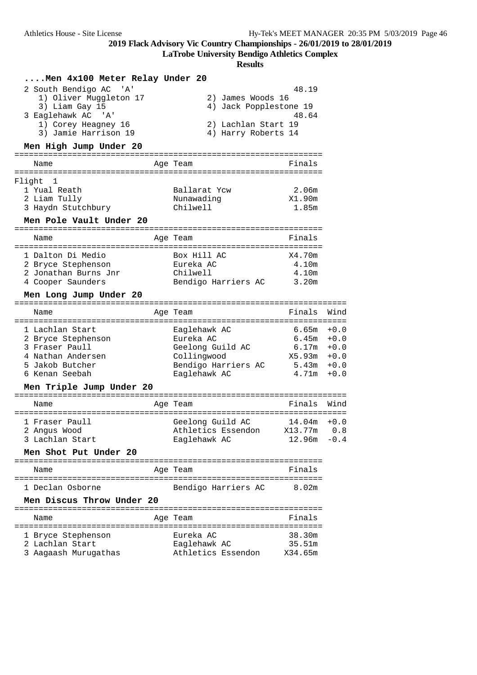**LaTrobe University Bendigo Athletics Complex**

| Men 4x100 Meter Relay Under 20                                                                                                               |                                                                                                     |                                                                     |                                      |
|----------------------------------------------------------------------------------------------------------------------------------------------|-----------------------------------------------------------------------------------------------------|---------------------------------------------------------------------|--------------------------------------|
| 2 South Bendigo AC 'A'<br>1) Oliver Muggleton 17<br>3) Liam Gay 15<br>3 Eaglehawk AC<br>" A '<br>1) Corey Heagney 16<br>3) Jamie Harrison 19 | 2) James Woods 16<br>4) Jack Popplestone 19<br>2) Lachlan Start 19<br>4) Harry Roberts 14           | 48.19<br>48.64                                                      |                                      |
| Men High Jump Under 20                                                                                                                       |                                                                                                     |                                                                     |                                      |
| Name                                                                                                                                         | Age Team                                                                                            | Finals                                                              |                                      |
| Flight<br>1<br>1 Yual Reath<br>2 Liam Tully<br>3 Haydn Stutchbury<br>Men Pole Vault Under 20                                                 | Ballarat Ycw<br>Nunawading<br>Chilwell                                                              | 2.06m<br>X1.90m<br>1.85m                                            |                                      |
| Name                                                                                                                                         | Age Team                                                                                            | Finals                                                              |                                      |
| 1 Dalton Di Medio<br>2 Bryce Stephenson<br>2 Jonathan Burns Jnr<br>4 Cooper Saunders                                                         | Box Hill AC<br>Eureka AC<br>Chilwell<br>Bendigo Harriers AC                                         | X4.70m<br>4.10m<br>4.10m<br>3.20m                                   |                                      |
| Men Long Jump Under 20<br>Name                                                                                                               | Age Team                                                                                            | Finals                                                              | Wind                                 |
| 1 Lachlan Start<br>2 Bryce Stephenson<br>3 Fraser Paull<br>4 Nathan Andersen<br>5 Jakob Butcher<br>6 Kenan Seebah                            | Eaglehawk AC<br>Eureka AC<br>Geelong Guild AC<br>Collingwood<br>Bendigo Harriers AC<br>Eaglehawk AC | 6.65m<br>6.45m<br>6.17m<br>$X5.93m + 0.0$<br>$5.43m + 0.0$<br>4.71m | $+0.0$<br>$+0.0$<br>$+0.0$<br>$+0.0$ |
| Men Triple Jump Under 20                                                                                                                     |                                                                                                     |                                                                     |                                      |
| Name                                                                                                                                         | Age Team                                                                                            | Finals                                                              | Wind                                 |
| 1 Fraser Paull<br>2 Angus Wood<br>3 Lachlan Start<br>Men Shot Put Under 20                                                                   | Geelong Guild AC<br>Athletics Essendon<br>Eaglehawk AC                                              | 14.04m<br>X13.77m<br>$12.96m - 0.4$                                 | $+0.0$<br>0.8                        |
| Name                                                                                                                                         | Age Team                                                                                            | Finals                                                              |                                      |
| 1 Declan Osborne<br>Men Discus Throw Under 20                                                                                                | Bendigo Harriers AC                                                                                 | 8.02m                                                               |                                      |
| Name                                                                                                                                         | Age Team                                                                                            | Finals                                                              |                                      |
| 1 Bryce Stephenson<br>2 Lachlan Start<br>3 Aagaash Murugathas                                                                                | Eureka AC<br>Eaglehawk AC<br>Athletics Essendon                                                     | 38.30m<br>35.51m<br>X34.65m                                         |                                      |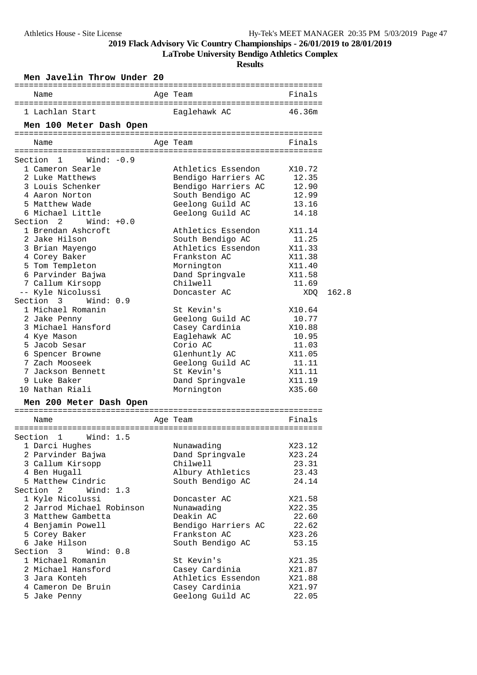**LaTrobe University Bendigo Athletics Complex**

| Men Javelin Throw Under 20                                          |                                     |                |
|---------------------------------------------------------------------|-------------------------------------|----------------|
| Name                                                                | Age Team                            | Finals         |
| 1 Lachlan Start                                                     | Eaglehawk AC                        | 46.36m         |
| Men 100 Meter Dash Open                                             |                                     |                |
| Name                                                                | Age Team                            | Finals         |
|                                                                     |                                     |                |
| Wind: $-0.9$<br>Section 1                                           |                                     |                |
| 1 Cameron Searle                                                    | Athletics Essendon                  | X10.72         |
| 2 Luke Matthews                                                     | Bendigo Harriers AC                 | 12.35          |
| 3 Louis Schenker                                                    |                                     |                |
| 4 Aaron Norton                                                      | Bendigo Harriers AC                 | 12.90<br>12.99 |
|                                                                     | South Bendigo AC                    |                |
| 5 Matthew Wade<br>6 Michael Little                                  | Geelong Guild AC                    | 13.16          |
|                                                                     | Geelong Guild AC                    | 14.18          |
| Section 2<br>$Wind: +0.0$                                           |                                     |                |
| 1 Brendan Ashcroft                                                  | Athletics Essendon                  | X11.14         |
| 2 Jake Hilson                                                       | South Bendigo AC                    | 11.25          |
| 3 Brian Mayengo                                                     | Athletics Essendon                  | X11.33         |
| 4 Corey Baker                                                       | Frankston AC                        | X11.38         |
| 5 Tom Templeton                                                     | Mornington                          | X11.40         |
| 6 Parvinder Bajwa                                                   | Dand Springvale                     | X11.58         |
| 7 Callum Kirsopp                                                    | Chilwell                            | 11.69          |
| -- Kyle Nicolussi                                                   | Doncaster AC                        | XDQ            |
| Section 3<br>Wind: 0.9                                              |                                     |                |
| 1 Michael Romanin                                                   | St Kevin's                          | X10.64         |
| 2 Jake Penny                                                        | Geelong Guild AC                    | 10.77          |
| 3 Michael Hansford                                                  | Casey Cardinia                      | X10.88         |
| 4 Kye Mason                                                         | Eaglehawk AC                        | 10.95          |
| 5 Jacob Sesar                                                       | Corio AC                            | 11.03          |
| 6 Spencer Browne                                                    | Glenhuntly AC                       | X11.05         |
| 7 Zach Mooseek                                                      | Geelong Guild AC                    | 11.11          |
| 7 Jackson Bennett                                                   | St Kevin's                          | X11.11         |
|                                                                     |                                     |                |
| 9 Luke Baker                                                        | Dand Springvale                     | X11.19         |
|                                                                     | Mornington                          | X35.60         |
|                                                                     |                                     |                |
| ------------<br>Name                                                | -----------------------<br>Age Team | Finals         |
| Men 200 Meter Dash Open                                             |                                     |                |
| Wind: $1.5$                                                         |                                     |                |
|                                                                     | Nunawading                          | X23.12         |
| 1 Darci Hughes<br>2 Parvinder Bajwa                                 | Dand Springvale                     | X23.24         |
| 3 Callum Kirsopp                                                    | Chilwell                            | 23.31          |
| 4 Ben Hugall                                                        | Albury Athletics                    | 23.43          |
| 5 Matthew Cindric                                                   | South Bendigo AC                    | 24.14          |
| 2<br>Wind: $1.3$                                                    |                                     |                |
| 1 Kyle Nicolussi                                                    | Doncaster AC                        | X21.58         |
|                                                                     | Nunawading                          | X22.35         |
| 2 Jarrod Michael Robinson<br>3 Matthew Gambetta                     | Deakin AC                           | 22.60          |
| 4 Benjamin Powell                                                   | Bendigo Harriers AC                 | 22.62          |
| 5 Corey Baker                                                       | Frankston AC                        | X23.26         |
| 6 Jake Hilson                                                       | South Bendigo AC                    | 53.15          |
| Wind: $0.8$<br>3                                                    |                                     |                |
| 1 Michael Romanin                                                   | St Kevin's                          | X21.35         |
| 2 Michael Hansford                                                  | Casey Cardinia                      | X21.87         |
| 10 Nathan Riali<br>Section 1<br>Section<br>Section<br>3 Jara Konteh | Athletics Essendon                  | X21.88         |
| 4 Cameron De Bruin                                                  | Casey Cardinia                      | X21.97         |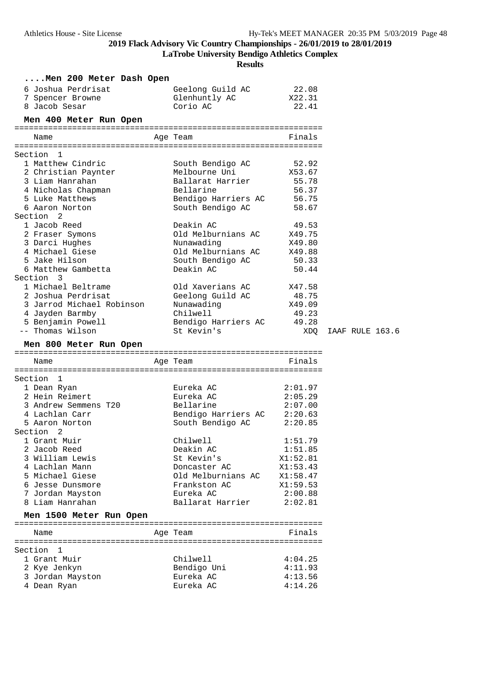**LaTrobe University Bendigo Athletics Complex**

| Men 200 Meter Dash Open         |                             |                    |                 |
|---------------------------------|-----------------------------|--------------------|-----------------|
| 6 Joshua Perdrisat              | Geelong Guild AC            | 22.08              |                 |
| 7 Spencer Browne                | Glenhuntly AC               | X22.31             |                 |
| 8 Jacob Sesar                   | Corio AC                    | 22.41              |                 |
| Men 400 Meter Run Open          |                             |                    |                 |
|                                 |                             |                    |                 |
| Name                            | Age Team                    | Finals             |                 |
| Section 1                       |                             |                    |                 |
| 1 Matthew Cindric               | South Bendigo AC            | 52.92              |                 |
| 2 Christian Paynter             | Melbourne Uni               | X53.67             |                 |
| 3 Liam Hanrahan                 | Ballarat Harrier            | 55.78              |                 |
| 4 Nicholas Chapman              | Bellarine                   | 56.37              |                 |
| 5 Luke Matthews                 | Bendigo Harriers AC         | 56.75              |                 |
| 6 Aaron Norton                  | South Bendigo AC            | 58.67              |                 |
| Section 2                       |                             |                    |                 |
| 1 Jacob Reed                    | Deakin AC                   | 49.53              |                 |
| 2 Fraser Symons                 | Old Melburnians AC          | X49.75             |                 |
| 3 Darci Hughes                  | Nunawading                  | X49.80             |                 |
| 4 Michael Giese                 | Old Melburnians AC          | X49.88             |                 |
| 5 Jake Hilson                   | South Bendigo AC            | 50.33              |                 |
| 6 Matthew Gambetta              | Deakin AC                   | 50.44              |                 |
| Section 3                       |                             |                    |                 |
| 1 Michael Beltrame              | Old Xaverians AC            | X47.58             |                 |
| 2 Joshua Perdrisat              | Geelong Guild AC            | 48.75              |                 |
| 3 Jarrod Michael Robinson       | Nunawading                  | X49.09             |                 |
| 4 Jayden Barmby                 | Chilwell                    | 49.23              |                 |
| 5 Benjamin Powell               | Bendigo Harriers AC         | 49.28              |                 |
| -- Thomas Wilson                | St Kevin's                  | XDQ                | IAAF RULE 163.6 |
| Men 800 Meter Run Open          |                             |                    |                 |
|                                 |                             |                    |                 |
|                                 |                             |                    |                 |
| Name                            | Age Team                    | Finals             |                 |
|                                 |                             |                    |                 |
| Section<br>1                    |                             |                    |                 |
| 1 Dean Ryan                     | Eureka AC                   | 2:01.97            |                 |
| 2 Hein Reimert                  | Eureka AC                   | 2:05.29            |                 |
| 3 Andrew Semmens T20            | Bellarine                   | 2:07.00            |                 |
| 4 Lachlan Carr                  | Bendigo Harriers AC 2:20.63 |                    |                 |
| 5 Aaron Norton                  | South Bendigo AC            | 2:20.85            |                 |
| Section 2                       |                             |                    |                 |
| 1 Grant Muir                    | Chilwell                    | 1:51.79            |                 |
| 2 Jacob Reed                    | Deakin AC                   | 1:51.85            |                 |
| 3 William Lewis                 | St Kevin's                  | X1:52.81           |                 |
| 4 Lachlan Mann                  | Doncaster AC                | X1:53.43           |                 |
| 5 Michael Giese                 | Old Melburnians AC          | X1:58.47           |                 |
| 6 Jesse Dunsmore                | Frankston AC                | X1:59.53           |                 |
| 7 Jordan Mayston                | Eureka AC                   | 2:00.88            |                 |
| 8 Liam Hanrahan                 | Ballarat Harrier            | 2:02.81            |                 |
| Men 1500 Meter Run Open         |                             |                    |                 |
| Name                            | Age Team                    | Finals             |                 |
|                                 |                             |                    |                 |
| Section 1                       |                             |                    |                 |
| 1 Grant Muir                    | Chilwell                    | 4:04.25            |                 |
| 2 Kye Jenkyn                    | Bendigo Uni                 | 4:11.93            |                 |
| 3 Jordan Mayston<br>4 Dean Ryan | Eureka AC<br>Eureka AC      | 4:13.56<br>4:14.26 |                 |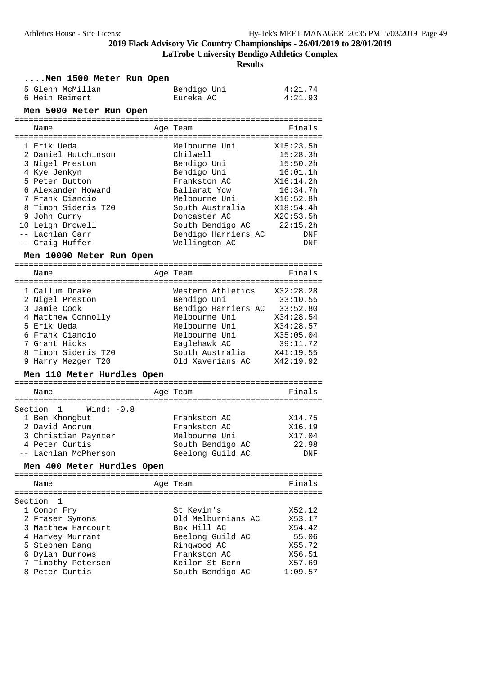**LaTrobe University Bendigo Athletics Complex**

|         | Men 1500 Meter Run Open                            |                                      |                       |
|---------|----------------------------------------------------|--------------------------------------|-----------------------|
|         | 5 Glenn McMillan<br>6 Hein Reimert                 | Bendigo Uni<br>Eureka AC             | 4:21.74<br>4:21.93    |
|         | Men 5000 Meter Run Open                            |                                      |                       |
|         |                                                    |                                      |                       |
|         | Name                                               | Age Team                             | Finals                |
|         | 1 Erik Ueda                                        | Melbourne Uni                        | X15:23.5h             |
|         | 2 Daniel Hutchinson                                | Chilwell                             | 15:28.3h              |
|         | 3 Nigel Preston                                    | Bendigo Uni                          | 15:50.2h              |
|         | 4 Kye Jenkyn<br>5 Peter Dutton                     | Bendigo Uni<br>Frankston AC          | 16:01.1h<br>X16:14.2h |
|         | 6 Alexander Howard                                 | Ballarat Ycw                         | 16:34.7h              |
|         | 7 Frank Ciancio                                    | Melbourne Uni                        | X16:52.8h             |
|         | 8 Timon Sideris T20                                | South Australia                      | X18:54.4h             |
|         | 9 John Curry                                       | Doncaster AC                         | X20:53.5h             |
|         | 10 Leigh Browell                                   | South Bendigo AC                     | 22:15.2h              |
|         | -- Lachlan Carr<br>-- Craig Huffer                 | Bendigo Harriers AC<br>Wellington AC | DNF<br>DNF            |
|         | Men 10000 Meter Run Open                           |                                      |                       |
|         | Name                                               | Age Team                             | Finals                |
|         | 1 Callum Drake                                     | Western Athletics                    | X32:28.28             |
|         | 2 Nigel Preston                                    | Bendigo Uni                          | 33:10.55              |
|         | 3 Jamie Cook                                       | Bendigo Harriers AC 33:52.80         |                       |
|         | 4 Matthew Connolly                                 | Melbourne Uni                        | X34:28.54             |
|         | 5 Erik Ueda                                        | Melbourne Uni                        | X34:28.57             |
|         | 6 Frank Ciancio                                    | Melbourne Uni                        | X35:05.04             |
|         | 7 Grant Hicks<br>8 Timon Sideris T20               | Eaglehawk AC<br>South Australia      | 39:11.72<br>X41:19.55 |
|         | 9 Harry Mezger T20                                 | Old Xaverians AC                     | X42:19.92             |
|         | Men 110 Meter Hurdles Open                         |                                      |                       |
|         | Name                                               | Age Team                             | Finals                |
| Section | 1<br>Wind: -0.8                                    |                                      |                       |
|         | 1 Ben Khongbut                                     | Frankston AC                         | X14.75                |
|         | 2 David Ancrum                                     | Frankston AC                         | X16.19                |
|         | 3 Christian Paynter                                | Melbourne Uni                        | X17.04                |
|         | 4 Peter Curtis                                     | South Bendigo AC                     | 22.98                 |
|         | -- Lachlan McPherson<br>Men 400 Meter Hurdles Open | Geelong Guild AC                     | DNF                   |
|         |                                                    |                                      |                       |
|         | Name                                               | Age Team                             | Finals                |
| Section | 1                                                  |                                      |                       |
|         | 1 Conor Fry                                        | St Kevin's                           | X52.12                |
|         | 2 Fraser Symons                                    | Old Melburnians AC                   | X53.17                |
|         | 3 Matthew Harcourt                                 | Box Hill AC                          | X54.42                |
|         | 4 Harvey Murrant<br>5 Stephen Dang                 | Geelong Guild AC<br>Ringwood AC      | 55.06<br>X55.72       |
|         | 6 Dylan Burrows                                    | Frankston AC                         | X56.51                |
|         | 7 Timothy Petersen                                 | Keilor St Bern                       | X57.69                |
|         | 8 Peter Curtis                                     | South Bendigo AC                     | 1:09.57               |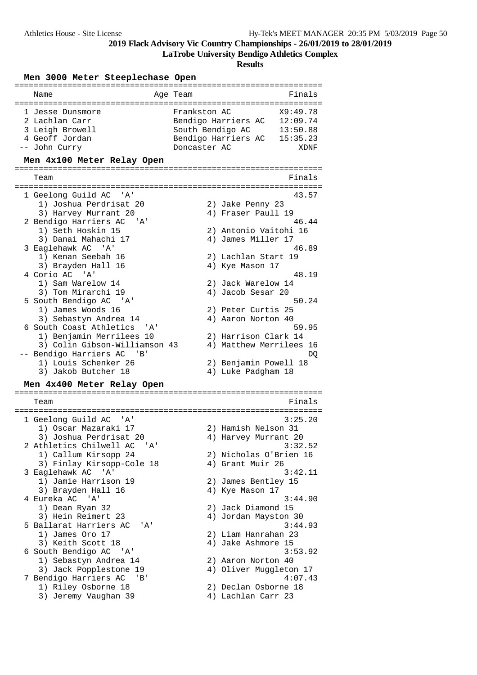**LaTrobe University Bendigo Athletics Complex**

| Men 3000 Meter Steeplechase Open                      |                                                |
|-------------------------------------------------------|------------------------------------------------|
| Name<br>=====================================         | Age Team<br>Finals<br>======================== |
| 1 Jesse Dunsmore                                      | Frankston AC<br>X9:49.78                       |
| 2 Lachlan Carr                                        | Bendigo Harriers AC<br>12:09.74                |
| 3 Leigh Browell                                       | South Bendigo AC<br>13:50.88                   |
| 4 Geoff Jordan                                        | Bendigo Harriers AC<br>15:35.23                |
| -- John Curry                                         | Doncaster AC<br>XDNF                           |
| Men 4x100 Meter Relay Open                            |                                                |
|                                                       |                                                |
| Team                                                  | Finals                                         |
| 1 Geelong Guild AC<br>' A'                            | 43.57                                          |
| 1) Joshua Perdrisat 20                                | 2) Jake Penny 23                               |
| 3) Harvey Murrant 20                                  | 4) Fraser Paull 19                             |
| 2 Bendigo Harriers AC<br>' A '                        | 46.44                                          |
| 1) Seth Hoskin 15                                     | 2) Antonio Vaitohi 16                          |
| 3) Danai Mahachi 17                                   | 4) James Miller 17                             |
| 3 Eaglehawk AC 'A'                                    | 46.89                                          |
| 1) Kenan Seebah 16                                    | 2) Lachlan Start 19                            |
| 3) Brayden Hall 16                                    | 4) Kye Mason 17                                |
| 4 Corio AC 'A'                                        | 48.19                                          |
| 1) Sam Warelow 14                                     | 2) Jack Warelow 14                             |
| 3) Tom Mirarchi 19                                    | 4) Jacob Sesar 20                              |
| 5 South Bendigo AC 'A'                                | 50.24                                          |
| 1) James Woods 16                                     | 2)<br>Peter Curtis 25                          |
| 3) Sebastyn Andrea 14                                 | 4) Aaron Norton 40                             |
| 6 South Coast Athletics<br>'A'                        | 59.95                                          |
| 1) Benjamin Merrilees 10                              | 2) Harrison Clark 14                           |
| 3) Colin Gibson-Williamson 43                         | 4) Matthew Merrilees 16                        |
| -- Bendigo Harriers AC<br>1) Louis Schenker 26        | DQ                                             |
| 3) Jakob Butcher 18                                   | 2) Benjamin Powell 18<br>4) Luke Padgham 18    |
|                                                       |                                                |
| Men 4x400 Meter Relay Open                            |                                                |
| Team                                                  | Finals                                         |
|                                                       |                                                |
| 1 Geelong Guild AC<br>' A '                           | 3:25.20                                        |
| 1) Oscar Mazaraki 17                                  | Hamish Nelson 31<br>2)                         |
| 3) Joshua Perdrisat 20<br>2 Athletics Chilwell AC 'A' | 4) Harvey Murrant 20<br>3:32.52                |
| 1) Callum Kirsopp 24                                  | 2) Nicholas O'Brien 16                         |
| 3) Finlay Kirsopp-Cole 18                             | 4) Grant Muir 26                               |
| 3 Eaglehawk AC<br>' A '                               | 3:42.11                                        |
| 1) Jamie Harrison 19                                  |                                                |
| 3) Brayden Hall 16                                    | 2) James Bentley 15<br>4) Kye Mason 17         |
| 4 Eureka AC 'A'                                       | 3:44.90                                        |
| 1) Dean Ryan 32                                       | 2) Jack Diamond 15                             |
| 3) Hein Reimert 23                                    | 4) Jordan Mayston 30                           |
| 5 Ballarat Harriers AC<br>' A '                       | 3:44.93                                        |
| 1) James Oro 17                                       | 2) Liam Hanrahan 23                            |
| 3) Keith Scott 18                                     | 4) Jake Ashmore 15                             |
| 6 South Bendigo AC 'A'                                | 3:53.92                                        |
| 1) Sebastyn Andrea 14                                 | 2) Aaron Norton 40                             |
| 3) Jack Popplestone 19                                | 4) Oliver Muggleton 17                         |
| 7 Bendigo Harriers AC<br>$\mathbf{B}$                 | 4:07.43                                        |
| 1) Riley Osborne 18                                   | 2) Declan Osborne 18                           |
| 3) Jeremy Vaughan 39                                  | 4) Lachlan Carr 23                             |
|                                                       |                                                |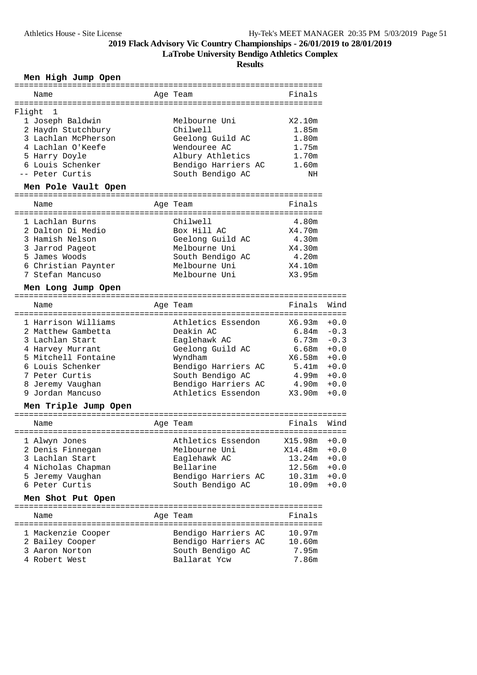**LaTrobe University Bendigo Athletics Complex**

**Results**

### **Men High Jump Open**

| Name                                    | Age Team                        | Finals         |        |
|-----------------------------------------|---------------------------------|----------------|--------|
|                                         |                                 |                |        |
| Flight<br>1                             |                                 |                |        |
| 1 Joseph Baldwin                        | Melbourne Uni                   | X2.10m         |        |
| 2 Haydn Stutchbury                      | Chilwell                        | 1.85m          |        |
| 3 Lachlan McPherson                     | Geelong Guild AC                | 1.80m          |        |
| 4 Lachlan O'Keefe                       | Wendouree AC                    | 1.75m          |        |
| 5 Harry Doyle                           | Albury Athletics                | 1.70m          |        |
| 6 Louis Schenker                        | Bendigo Harriers AC             | 1.60m          |        |
| -- Peter Curtis                         | South Bendigo AC                | ΝH             |        |
| Men Pole Vault Open                     |                                 |                |        |
| Name                                    | Age Team                        | Finals         |        |
|                                         |                                 |                |        |
| 1 Lachlan Burns                         | Chilwell                        | 4.80m          |        |
| 2 Dalton Di Medio                       | Box Hill AC                     | X4.70m         |        |
| 3 Hamish Nelson                         | Geelong Guild AC                | 4.30m          |        |
| 3 Jarrod Pageot                         | Melbourne Uni                   | X4.30m         |        |
| 5 James Woods                           | South Bendigo AC                | 4.20m          |        |
| 6 Christian Paynter                     | Melbourne Uni                   | X4.10m         |        |
| 7 Stefan Mancuso                        | Melbourne Uni                   | X3.95m         |        |
|                                         |                                 |                |        |
| Men Long Jump Open                      |                                 |                |        |
| Name                                    | Age Team                        | Finals         | Wind   |
| 1 Harrison Williams                     | Athletics Essendon              | X6.93m         | $+0.0$ |
| 2 Matthew Gambetta                      | Deakin AC                       | $6.84m - 0.3$  |        |
| 3 Lachlan Start                         | Eaglehawk AC                    | 6.73m          | $-0.3$ |
|                                         |                                 | 6.68m          | $+0.0$ |
| 4 Harvey Murrant<br>5 Mitchell Fontaine | Geelong Guild AC                | X6.58m         |        |
|                                         | Wyndham                         |                | $+0.0$ |
| 6 Louis Schenker                        | Bendigo Harriers AC             | 5.41m          | $+0.0$ |
| 7 Peter Curtis                          | South Bendigo AC                | 4.99m          | $+0.0$ |
| 8 Jeremy Vaughan                        | Bendigo Harriers AC             | 4.90m          | $+0.0$ |
| 9 Jordan Mancuso                        | Athletics Essendon              | X3.90m         | $+0.0$ |
| Men Triple Jump Open                    |                                 |                |        |
| Name                                    | Age Team                        | Finals         | Wind   |
| 1 Alwyn Jones                           | Athletics Essendon X15.98m +0.0 |                |        |
| 2 Denis Finnegan                        | Melbourne Uni                   | X14.48m        | $+0.0$ |
| 3 Lachlan Start                         | Eaglehawk AC                    | $13.24m + 0.0$ |        |
| 4 Nicholas Chapman                      | Bellarine                       | $12.56m + 0.0$ |        |
| 5 Jeremy Vaughan                        | Bendigo Harriers AC             | $10.31m + 0.0$ |        |
| 6 Peter Curtis                          | South Bendigo AC                | $10.09m + 0.0$ |        |
|                                         |                                 |                |        |
| Men Shot Put Open                       |                                 |                |        |
| Name                                    | Age Team                        | Finals         |        |
|                                         |                                 |                |        |
| 1 Mackenzie Cooper                      | Bendigo Harriers AC 10.97m      |                |        |
| 2 Bailey Cooper                         | Bendigo Harriers AC             | 10.60m         |        |
| 3 Aaron Norton                          | South Bendigo AC                | 7.95m          |        |
| 4 Robert West                           | Ballarat Ycw                    | 7.86m          |        |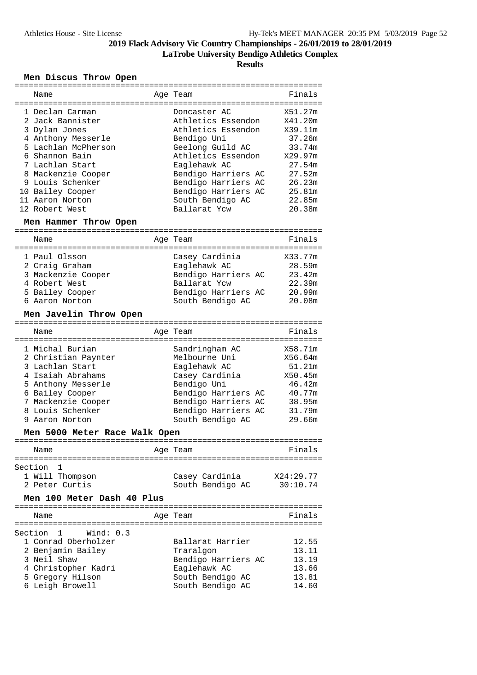**LaTrobe University Bendigo Athletics Complex**

**Results**

### **Men Discus Throw Open**

| ===========                          |                     |           |
|--------------------------------------|---------------------|-----------|
| Name                                 | Age Team            | Finals    |
|                                      |                     |           |
| 1 Declan Carman                      | Doncaster AC        | X51.27m   |
| 2 Jack Bannister                     | Athletics Essendon  | X41.20m   |
| 3 Dylan Jones                        | Athletics Essendon  | X39.11m   |
| 4 Anthony Messerle                   | Bendigo Uni         | 37.26m    |
| 5 Lachlan McPherson                  | Geelong Guild AC    | 33.74m    |
| 6 Shannon Bain                       | Athletics Essendon  | X29.97m   |
| 7 Lachlan Start                      | Eaglehawk AC        | 27.54m    |
| 8 Mackenzie Cooper                   | Bendigo Harriers AC | 27.52m    |
| 9 Louis Schenker                     | Bendigo Harriers AC | 26.23m    |
| 10 Bailey Cooper                     | Bendigo Harriers AC | 25.81m    |
| 11 Aaron Norton                      | South Bendigo AC    | 22.85m    |
| 12 Robert West                       | Ballarat Ycw        | 20.38m    |
| Men Hammer Throw Open                |                     |           |
|                                      |                     |           |
| Name                                 | Age Team            | Finals    |
| 1 Paul Olsson                        | Casey Cardinia      | X33.77m   |
| 2 Craig Graham                       | Eaglehawk AC        | 28.59m    |
|                                      |                     | 23.42m    |
| 3 Mackenzie Cooper                   | Bendigo Harriers AC |           |
| 4 Robert West                        | Ballarat Ycw        | 22.39m    |
| 5 Bailey Cooper                      | Bendigo Harriers AC | 20.99m    |
| 6 Aaron Norton                       | South Bendigo AC    | 20.08m    |
| Men Javelin Throw Open               |                     |           |
|                                      |                     |           |
| Name                                 | Age Team            | Finals    |
|                                      |                     |           |
| 1 Michal Burian                      | Sandringham AC      | X58.71m   |
| 2 Christian Paynter                  | Melbourne Uni       | X56.64m   |
| 3 Lachlan Start                      | Eaglehawk AC        | 51.21m    |
| 4 Isaiah Abrahams                    | Casey Cardinia      | X50.45m   |
| 5 Anthony Messerle                   | Bendigo Uni         | 46.42m    |
| 6 Bailey Cooper                      | Bendigo Harriers AC | 40.77m    |
| 7 Mackenzie Cooper                   | Bendigo Harriers AC | 38.95m    |
| 8 Louis Schenker                     | Bendigo Harriers AC | 31.79m    |
| 9 Aaron Norton                       | South Bendigo AC    | 29.66m    |
| Men 5000 Meter Race Walk Open        |                     |           |
|                                      |                     |           |
| Name                                 | Age Team            | Finals    |
| Section<br>ı                         |                     |           |
| 1 Will Thompson                      | Casey Cardinia      | X24:29.77 |
| 2 Peter Curtis                       | South Bendigo AC    | 30:10.74  |
|                                      |                     |           |
| Men 100 Meter Dash 40 Plus           |                     |           |
| Name                                 | Age Team            | Finals    |
|                                      |                     |           |
| $\mathbf{1}$<br>Wind: 0.3<br>Section |                     |           |
| 1 Conrad Oberholzer                  | Ballarat Harrier    | 12.55     |
| 2 Benjamin Bailey                    | Traralgon           | 13.11     |
| 3 Neil Shaw                          | Bendigo Harriers AC | 13.19     |
| 4 Christopher Kadri                  | Eaglehawk AC        | 13.66     |
| 5 Gregory Hilson                     | South Bendigo AC    | 13.81     |
| 6 Leigh Browell                      | South Bendigo AC    | 14.60     |
|                                      |                     |           |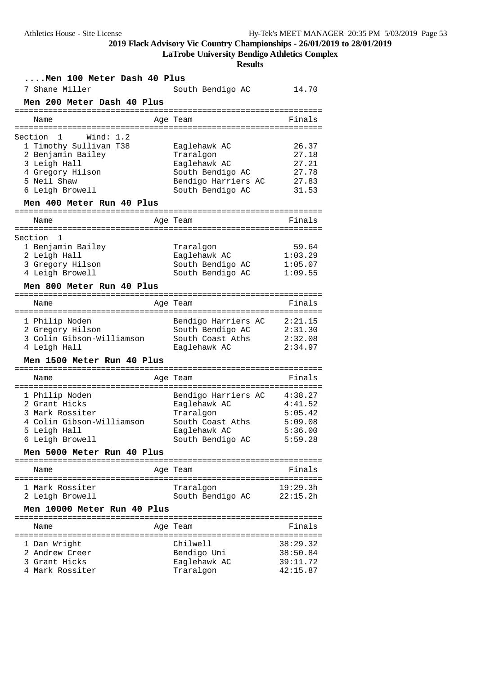**LaTrobe University Bendigo Athletics Complex**

| Men 100 Meter Dash 40 Plus      |                                  |                      |
|---------------------------------|----------------------------------|----------------------|
| 7 Shane Miller                  | South Bendigo AC                 | 14.70                |
| Men 200 Meter Dash 40 Plus      |                                  |                      |
| Name<br>======================= | Age Team                         | Finals               |
| Wind: $1.2$<br>Section 1        |                                  |                      |
| 1 Timothy Sullivan T38          | Eaglehawk AC                     | 26.37                |
| 2 Benjamin Bailey               | Traralgon                        | 27.18                |
| 3 Leigh Hall                    | Eaglehawk AC<br>South Bendigo AC | 27.21<br>27.78       |
| 4 Gregory Hilson<br>5 Neil Shaw | Bendigo Harriers AC              | 27.83                |
| 6 Leigh Browell                 | South Bendigo AC                 | 31.53                |
| Men 400 Meter Run 40 Plus       |                                  |                      |
| Name                            | Age Team                         | Finals               |
| Section<br>1                    |                                  |                      |
| 1 Benjamin Bailey               | Traralgon                        | 59.64                |
| 2 Leigh Hall                    | Eaglehawk AC                     | 1:03.29              |
| 3 Gregory Hilson                | South Bendigo AC                 | 1:05.07              |
| 4 Leigh Browell                 | South Bendigo AC                 | 1:09.55              |
| Men 800 Meter Run 40 Plus       |                                  |                      |
| Name                            | Age Team                         | Finals               |
|                                 |                                  |                      |
| 1 Philip Noden                  | Bendigo Harriers AC              | 2:21.15              |
| 2 Gregory Hilson                | South Bendigo AC                 | 2:31.30              |
| 3 Colin Gibson-Williamson       | South Coast Aths                 | 2:32.08              |
| 4 Leigh Hall                    | Eaglehawk AC                     | 2:34.97              |
| Men 1500 Meter Run 40 Plus      |                                  | =================    |
| Name                            | Age Team                         | Finals               |
| 1 Philip Noden                  | Bendigo Harriers AC              | 4:38.27              |
| 2 Grant Hicks                   | Eaglehawk AC                     | 4:41.52              |
| 3 Mark Rossiter                 | Traralgon                        | 5:05.42              |
| 4 Colin Gibson-Williamson       | South Coast Aths                 | 5:09.08              |
| 5 Leigh Hall                    | Eaglehawk AC                     | 5:36.00              |
| 6 Leigh Browell                 | South Bendigo AC                 | 5:59.28              |
| Men 5000 Meter Run 40 Plus      |                                  |                      |
| Name                            | Age Team                         | Finals               |
| 1 Mark Rossiter                 | Traralgon                        | 19:29.3h             |
| 2 Leigh Browell                 | South Bendigo AC                 | 22:15.2h             |
| Men 10000 Meter Run 40 Plus     |                                  |                      |
| Name                            | Age Team                         | Finals               |
|                                 |                                  |                      |
| 1 Dan Wright<br>2 Andrew Creer  | Chilwell                         | 38:29.32<br>38:50.84 |
| 3 Grant Hicks                   | Bendigo Uni<br>Eaglehawk AC      | 39:11.72             |
| 4 Mark Rossiter                 | Traralgon                        | 42:15.87             |
|                                 |                                  |                      |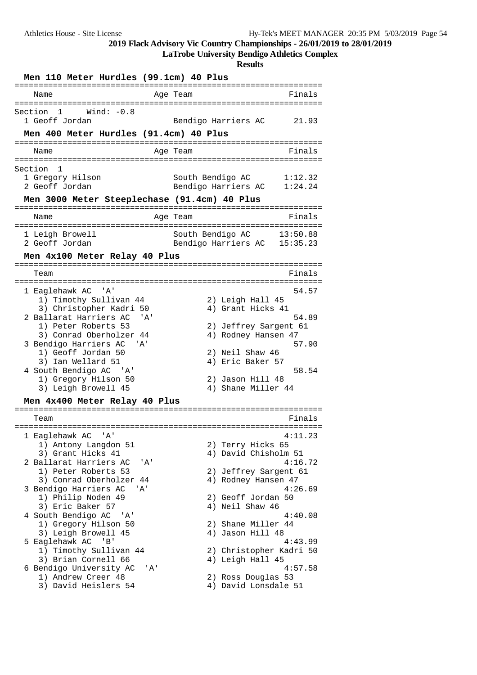**LaTrobe University Bendigo Athletics Complex**

| Men 110 Meter Hurdles (99.1cm) 40 Plus                                                     |                                                               |
|--------------------------------------------------------------------------------------------|---------------------------------------------------------------|
| =====================<br>============<br>Name                                              | ==============<br>Finals<br>Age Team                          |
|                                                                                            |                                                               |
| 1<br>Wind: $-0.8$<br>Section<br>1 Geoff Jordan                                             | Bendigo Harriers AC<br>21.93                                  |
| Men 400 Meter Hurdles (91.4cm) 40 Plus<br>:================================<br>=========== | :====================                                         |
| Name                                                                                       | Finals<br>Age Team                                            |
| =============<br>============                                                              | ========                                                      |
| Section<br>1                                                                               |                                                               |
| 1 Gregory Hilson<br>2 Geoff Jordan                                                         | South Bendigo AC<br>1:12.32<br>Bendigo Harriers AC<br>1:24.24 |
|                                                                                            |                                                               |
| Men 3000 Meter Steeplechase (91.4cm) 40 Plus<br>======================                     |                                                               |
| Name                                                                                       | Finals<br>Age Team                                            |
|                                                                                            |                                                               |
| 1 Leigh Browell                                                                            | South Bendigo AC<br>13:50.88                                  |
| 2 Geoff Jordan                                                                             | Bendigo Harriers AC<br>15:35.23                               |
| Men 4x100 Meter Relay 40 Plus                                                              |                                                               |
| Team                                                                                       | Finals                                                        |
| ===================                                                                        | ----------                                                    |
| 1 Eaglehawk AC<br>' A '                                                                    | 54.57                                                         |
| 1) Timothy Sullivan 44<br>3) Christopher Kadri 50                                          | 2) Leigh Hall 45<br>4) Grant Hicks 41                         |
| 2 Ballarat Harriers AC<br>' A'                                                             | 54.89                                                         |
| 1) Peter Roberts 53                                                                        | 2) Jeffrey Sargent 61                                         |
| 3) Conrad Oberholzer 44                                                                    | Rodney Hansen 47<br>4)                                        |
| 3 Bendigo Harriers AC<br>' A '                                                             | 57.90                                                         |
| 1) Geoff Jordan 50                                                                         | 2)<br>Neil Shaw 46                                            |
| 3) Ian Wellard 51                                                                          | Eric Baker 57<br>4)                                           |
| 4 South Bendigo AC 'A'                                                                     | 58.54                                                         |
| 1) Gregory Hilson 50<br>3) Leigh Browell 45                                                | Jason Hill 48<br>2)<br>Shane Miller 44<br>4)                  |
|                                                                                            |                                                               |
| Men 4x400 Meter Relay 40 Plus                                                              |                                                               |
| Team                                                                                       | Finals                                                        |
| =================================<br>1 Eaglehawk AC 'A'                                    | 4:11.23                                                       |
| 1) Antony Langdon 51                                                                       | 2) Terry Hicks 65                                             |
| 3) Grant Hicks 41                                                                          | 4) David Chisholm 51                                          |
| 2 Ballarat Harriers AC<br>' A '                                                            | 4:16.72                                                       |
| 1) Peter Roberts 53                                                                        | 2) Jeffrey Sargent 61                                         |
| 3) Conrad Oberholzer 44                                                                    | 4) Rodney Hansen 47                                           |
| 3 Bendigo Harriers AC<br>'A'                                                               | 4:26.69                                                       |
| 1) Philip Noden 49<br>3) Eric Baker 57                                                     | 2) Geoff Jordan 50<br>4) Neil Shaw 46                         |
| 4 South Bendigo AC<br>' 'A '                                                               | 4:40.08                                                       |
| 1) Gregory Hilson 50                                                                       | 2) Shane Miller 44                                            |
| 3) Leigh Browell 45                                                                        | 4) Jason Hill 48                                              |
| 5 Eaglehawk AC 'B'                                                                         | 4:43.99                                                       |
| 1) Timothy Sullivan 44                                                                     | 2) Christopher Kadri 50                                       |
| 3) Brian Cornell 66                                                                        | 4) Leigh Hall 45                                              |
| 6 Bendigo University AC<br>' A '<br>1) Andrew Creer 48                                     | 4:57.58<br>2) Ross Douglas 53                                 |
| 3) David Heislers 54                                                                       | 4) David Lonsdale 51                                          |
|                                                                                            |                                                               |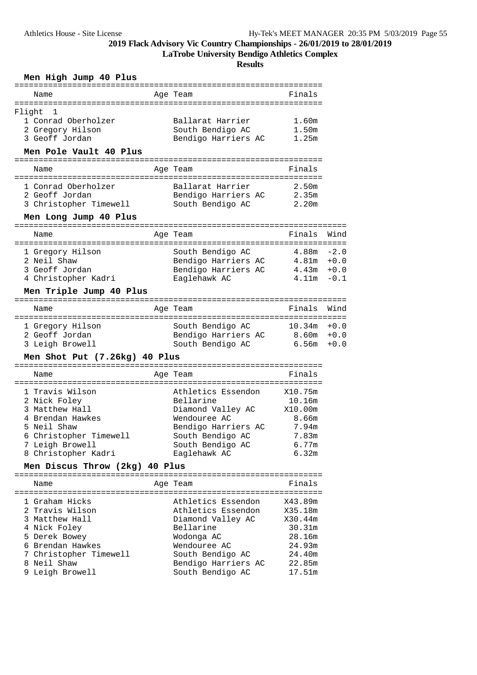**LaTrobe University Bendigo Athletics Complex**

**Results**

|  | Men High Jump 40 Plus |  |  |  |  |
|--|-----------------------|--|--|--|--|
|--|-----------------------|--|--|--|--|

| Name                                                                                                                                                     | Age Team                                                                                                                                                    | Finals                                                           |                            |
|----------------------------------------------------------------------------------------------------------------------------------------------------------|-------------------------------------------------------------------------------------------------------------------------------------------------------------|------------------------------------------------------------------|----------------------------|
| Flight<br>1<br>1 Conrad Oberholzer<br>2 Gregory Hilson<br>3 Geoff Jordan                                                                                 | Ballarat Harrier<br>South Bendigo AC<br>Bendigo Harriers AC                                                                                                 | 1.60m<br>1.50m<br>1.25m                                          |                            |
| Men Pole Vault 40 Plus                                                                                                                                   |                                                                                                                                                             |                                                                  |                            |
| Name                                                                                                                                                     | Age Team                                                                                                                                                    | Finals                                                           |                            |
| 1 Conrad Oberholzer<br>2 Geoff Jordan<br>3 Christopher Timewell                                                                                          | Ballarat Harrier<br>Bendigo Harriers AC<br>South Bendigo AC                                                                                                 | 2.50m<br>2.35m<br>2.20m                                          |                            |
| Men Long Jump 40 Plus                                                                                                                                    |                                                                                                                                                             |                                                                  |                            |
| Name                                                                                                                                                     | Age Team                                                                                                                                                    | Finals                                                           | Wind                       |
| 1 Gregory Hilson<br>2 Neil Shaw<br>3 Geoff Jordan<br>4 Christopher Kadri                                                                                 | South Bendigo AC<br>Bendigo Harriers AC 4.81m +0.0<br>Bendigo Harriers AC<br>Eaglehawk AC                                                                   | 4.88m<br>4.43m<br>4.11m                                          | $-2.0$<br>$+0.0$<br>$-0.1$ |
| Men Triple Jump 40 Plus                                                                                                                                  |                                                                                                                                                             |                                                                  |                            |
| Name                                                                                                                                                     | Age Team                                                                                                                                                    | Finals                                                           | Wind                       |
| 1 Gregory Hilson<br>2 Geoff Jordan<br>3 Leigh Browell                                                                                                    | South Bendigo AC<br>Bendigo Harriers AC<br>South Bendigo AC                                                                                                 | 10.34m<br>8.60m +0.0<br>6.56m                                    | $+0.0$<br>$+0.0$           |
| Men Shot Put (7.26kg) 40 Plus                                                                                                                            |                                                                                                                                                             |                                                                  |                            |
| Name                                                                                                                                                     | Age Team                                                                                                                                                    | Finals                                                           |                            |
| 1 Travis Wilson<br>2 Nick Foley<br>3 Matthew Hall<br>4 Brendan Hawkes<br>5 Neil Shaw<br>6 Christopher Timewell<br>7 Leigh Browell<br>8 Christopher Kadri | Athletics Essendon<br>Bellarine<br>Diamond Valley AC X10.00m<br>Wendouree AC<br>Bendigo Harriers AC<br>South Bendigo AC<br>South Bendigo AC<br>Eaglehawk AC | X10.75m<br>10.16m<br>8.66m<br>7.94m<br>7.83m<br>$6.77m$<br>6.32m |                            |
| Men Discus Throw (2kg) 40 Plus                                                                                                                           |                                                                                                                                                             |                                                                  |                            |
| Name<br>1 Graham Hicks<br>2 Travis Wilson<br>3 Matthew Hall<br>4 Nick Foley<br>5 Derek Bowey                                                             | Age Team<br>Athletics Essendon<br>Athletics Essendon<br>Diamond Valley AC<br>Bellarine<br>Wodonga AC                                                        | Finals<br>X43.89m<br>X35.18m<br>X30.44m<br>30.31m<br>28.16m      |                            |
| 6 Brendan Hawkes                                                                                                                                         | Wendouree AC                                                                                                                                                | 24.93m                                                           |                            |

 7 Christopher Timewell South Bendigo AC 24.40m 8 Neil Shaw Bendigo Harriers AC 22.85m 9 Leigh Browell South Bendigo AC 17.51m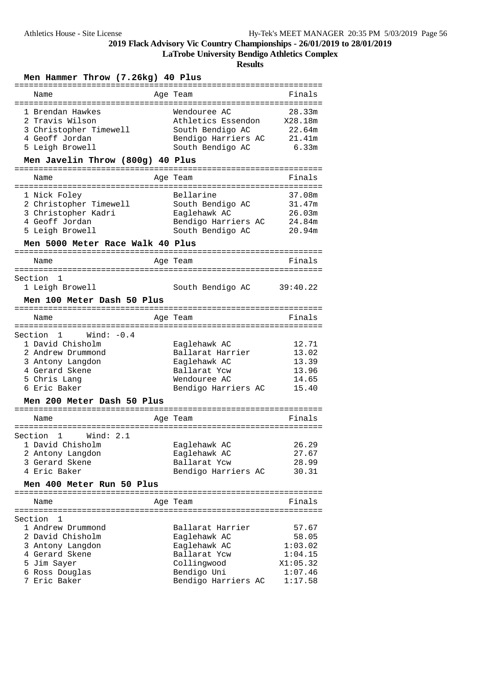**LaTrobe University Bendigo Athletics Complex**

|                                                                                                                                              | <b>Results</b>                                                                                                        |                                                                        |
|----------------------------------------------------------------------------------------------------------------------------------------------|-----------------------------------------------------------------------------------------------------------------------|------------------------------------------------------------------------|
| Men Hammer Throw (7.26kg) 40 Plus                                                                                                            |                                                                                                                       |                                                                        |
| =================================<br>Name                                                                                                    | ===============================<br>Age Team                                                                           | Finals                                                                 |
| 1 Brendan Hawkes<br>2 Travis Wilson<br>3 Christopher Timewell<br>4 Geoff Jordan<br>5 Leigh Browell                                           | Wendouree AC<br>Athletics Essendon<br>South Bendigo AC<br>Bendigo Harriers AC<br>South Bendigo AC                     | 28.33m<br>X28.18m<br>22.64m<br>21.41m<br>6.33m                         |
| Men Javelin Throw (800g) 40 Plus<br>--------------------------------------                                                                   | ===========================                                                                                           |                                                                        |
| Name<br>===============                                                                                                                      | Age Team                                                                                                              | Finals                                                                 |
| 1 Nick Foley<br>2 Christopher Timewell<br>3 Christopher Kadri<br>4 Geoff Jordan<br>5 Leigh Browell<br>Men 5000 Meter Race Walk 40 Plus       | Bellarine<br>South Bendigo AC<br>Eaglehawk AC<br>Bendigo Harriers AC<br>South Bendigo AC                              | 37.08m<br>31.47m<br>26.03m<br>24.84m<br>20.94m                         |
| Name                                                                                                                                         | Age Team                                                                                                              | Finals                                                                 |
| Section<br>1<br>1 Leigh Browell<br>Men 100 Meter Dash 50 Plus                                                                                | South Bendigo AC                                                                                                      | 39:40.22                                                               |
| Name                                                                                                                                         | Age Team                                                                                                              | Finals                                                                 |
| Wind: $-0.4$<br>Section 1<br>1 David Chisholm<br>2 Andrew Drummond<br>3 Antony Langdon<br>4 Gerard Skene<br>5 Chris Lang<br>6 Eric Baker     | Eaglehawk AC<br>Ballarat Harrier<br>Eaglehawk AC<br>Ballarat Ycw<br>Wendouree AC<br>Bendigo Harriers AC               | 12.71<br>13.02<br>13.39<br>13.96<br>14.65<br>15.40                     |
| Men 200 Meter Dash 50 Plus                                                                                                                   |                                                                                                                       |                                                                        |
| Name                                                                                                                                         | Age Team                                                                                                              | Finals                                                                 |
| Section 1<br>Wind: 2.1<br>1 David Chisholm<br>2 Antony Langdon<br>3 Gerard Skene<br>4 Eric Baker<br>Men 400 Meter Run 50 Plus                | Eaglehawk AC<br>Eaglehawk AC<br>Ballarat Ycw<br>Bendigo Harriers AC                                                   | 26.29<br>27.67<br>28.99<br>30.31                                       |
|                                                                                                                                              |                                                                                                                       |                                                                        |
| Name                                                                                                                                         | Age Team                                                                                                              | Finals                                                                 |
| Section<br>1<br>1 Andrew Drummond<br>2 David Chisholm<br>3 Antony Langdon<br>4 Gerard Skene<br>5 Jim Sayer<br>6 Ross Douglas<br>7 Eric Baker | Ballarat Harrier<br>Eaglehawk AC<br>Eaglehawk AC<br>Ballarat Ycw<br>Collingwood<br>Bendigo Uni<br>Bendigo Harriers AC | 57.67<br>58.05<br>1:03.02<br>1:04.15<br>X1:05.32<br>1:07.46<br>1:17.58 |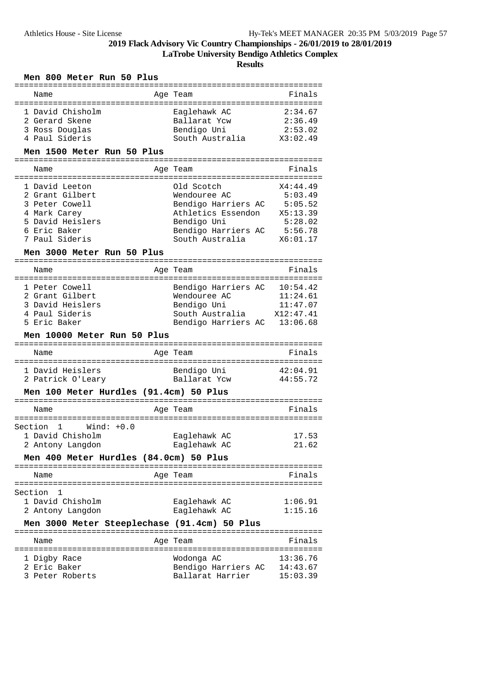**LaTrobe University Bendigo Athletics Complex**

|  |  | Men 800 Meter Run 50 Plus |  |  |  |
|--|--|---------------------------|--|--|--|
|--|--|---------------------------|--|--|--|

| Name                                                                                          | Age Team                                | Finals               |
|-----------------------------------------------------------------------------------------------|-----------------------------------------|----------------------|
| =====================                                                                         |                                         |                      |
| 1 David Chisholm                                                                              | Eaglehawk AC                            | 2:34.67              |
| 2 Gerard Skene                                                                                | Ballarat Ycw                            | 2:36.49              |
| 3 Ross Douglas                                                                                | Bendigo Uni                             | 2:53.02              |
| 4 Paul Sideris                                                                                | South Australia                         | X3:02.49             |
| Men 1500 Meter Run 50 Plus                                                                    |                                         |                      |
|                                                                                               |                                         |                      |
| Name                                                                                          | Age Team                                | Finals               |
| =====================                                                                         |                                         |                      |
| 1 David Leeton                                                                                | Old Scotch                              | X4:44.49             |
| 2 Grant Gilbert                                                                               | Wendouree AC                            | 5:03.49              |
| 3 Peter Cowell                                                                                | Bendigo Harriers AC                     | 5:05.52              |
| 4 Mark Carey                                                                                  | Athletics Essendon                      | X5:13.39             |
| 5 David Heislers                                                                              |                                         | 5:28.02              |
| 6 Eric Baker                                                                                  | Bendigo Uni                             |                      |
| 7 Paul Sideris                                                                                | Bendigo Harriers AC<br>South Australia  | 5:56.78<br>X6:01.17  |
|                                                                                               |                                         |                      |
| Men 3000 Meter Run 50 Plus                                                                    |                                         |                      |
|                                                                                               |                                         |                      |
| Name                                                                                          | Age Team                                | Finals               |
|                                                                                               |                                         |                      |
| 1 Peter Cowell                                                                                | Bendigo Harriers AC                     | 10:54.42             |
| 2 Grant Gilbert                                                                               | Wendouree AC                            | 11:24.61             |
| 3 David Heislers                                                                              | Bendigo Uni                             | 11:47.07             |
| 4 Paul Sideris                                                                                | South Australia X12:47.41               |                      |
| 5 Eric Baker                                                                                  | Bendigo Harriers AC                     | 13:06.68             |
|                                                                                               |                                         |                      |
| Men 10000 Meter Run 50 Plus                                                                   |                                         |                      |
|                                                                                               | =======================                 |                      |
| Name                                                                                          | Aqe Team                                | Finals               |
| ---------                                                                                     | --------------------                    |                      |
| 1 David Heislers                                                                              | Bendigo Uni                             | 42:04.91             |
| 2 Patrick O'Leary                                                                             | Ballarat Ycw                            | 44:55.72             |
| Men 100 Meter Hurdles (91.4cm) 50 Plus                                                        |                                         |                      |
|                                                                                               |                                         |                      |
| Name                                                                                          | Age Team                                | Finals               |
| =============================                                                                 |                                         |                      |
| $Wind: +0.0$<br>Section<br>1                                                                  |                                         |                      |
| 1 David Chisholm                                                                              | Eaglehawk AC                            | 17.53                |
| 2 Antony Langdon                                                                              | Eaglehawk AC                            | 21.62                |
| Men 400 Meter Hurdles (84.0cm) 50 Plus                                                        |                                         |                      |
|                                                                                               |                                         | :======:             |
| Name<br>=====================                                                                 | Age Team                                | Finals               |
| 1                                                                                             |                                         |                      |
| Section                                                                                       |                                         |                      |
| 1 David Chisholm                                                                              | Eaglehawk AC                            | 1:06.91              |
| 2 Antony Langdon                                                                              | Eaglehawk AC                            | 1:15.16              |
| Men 3000 Meter Steeplechase (91.4cm) 50 Plus<br>=========================<br>================ | =======================                 |                      |
| Name                                                                                          | Aqe Team                                | Finals               |
|                                                                                               |                                         |                      |
| 1 Digby Race                                                                                  | Wodonga AC                              | 13:36.76             |
| 2 Eric Baker<br>3 Peter Roberts                                                               | Bendigo Harriers AC<br>Ballarat Harrier | 14:43.67<br>15:03.39 |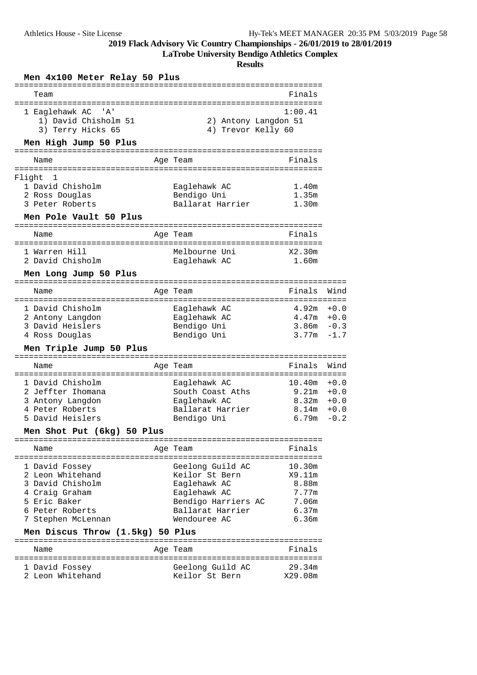**LaTrobe University Bendigo Athletics Complex**

| Men 4x100 Meter Relay 50 Plus                                                                                                                                         |                                                                                                                               |                                                                                       |
|-----------------------------------------------------------------------------------------------------------------------------------------------------------------------|-------------------------------------------------------------------------------------------------------------------------------|---------------------------------------------------------------------------------------|
| Team<br>------------------                                                                                                                                            |                                                                                                                               | Finals                                                                                |
| 1 Eaglehawk AC 'A'<br>1) David Chisholm 51<br>3) Terry Hicks 65                                                                                                       | :=================<br>2) Antony Langdon 51<br>4) Trevor Kelly 60                                                              | 1:00.41                                                                               |
| Men High Jump 50 Plus                                                                                                                                                 |                                                                                                                               |                                                                                       |
| Name                                                                                                                                                                  | Age Team                                                                                                                      | Finals                                                                                |
| Flight<br>1                                                                                                                                                           |                                                                                                                               |                                                                                       |
| 1 David Chisholm<br>2 Ross Douglas<br>3 Peter Roberts                                                                                                                 | Eaglehawk AC<br>Bendigo Uni<br>Ballarat Harrier                                                                               | 1.40m<br>1.35m<br>1.30m                                                               |
| Men Pole Vault 50 Plus                                                                                                                                                |                                                                                                                               |                                                                                       |
| Name                                                                                                                                                                  | Age Team                                                                                                                      | Finals                                                                                |
| 1 Warren Hill<br>2 David Chisholm                                                                                                                                     | Melbourne Uni<br>Eaglehawk AC                                                                                                 | X2.30m<br>1.60m                                                                       |
| Men Long Jump 50 Plus                                                                                                                                                 |                                                                                                                               |                                                                                       |
| Name                                                                                                                                                                  | Age Team                                                                                                                      | Wind<br>Finals                                                                        |
| 1 David Chisholm<br>2 Antony Langdon<br>3 David Heislers                                                                                                              | Eaglehawk AC<br>Eaglehawk AC<br>Bendigo Uni                                                                                   | 4.92m +0.0<br>$4.47m + 0.0$<br>$3.86m - 0.3$<br>3.77m<br>$-1.7$                       |
| 4 Ross Douglas<br>Men Triple Jump 50 Plus                                                                                                                             | Bendigo Uni                                                                                                                   |                                                                                       |
| Name                                                                                                                                                                  | Age Team                                                                                                                      | Finals<br>Wind                                                                        |
| 1 David Chisholm<br>2 Jeffter Ihomana<br>3 Antony Langdon<br>4 Peter Roberts<br>5 David Heislers                                                                      | Eaglehawk AC<br>South Coast Aths<br>Eaglehawk AC<br>Ballarat Harrier<br>Bendigo Uni                                           | 10.40m<br>$+0.0$<br>9.21m<br>$+0.0$<br>8.32m +0.0<br>$8.14m + 0.0$<br>6.79m<br>$-0.2$ |
| Men Shot Put (6kg) 50 Plus                                                                                                                                            |                                                                                                                               |                                                                                       |
| Name                                                                                                                                                                  | Age Team                                                                                                                      | Finals                                                                                |
| 1 David Fossey<br>2 Leon Whitehand<br>3 David Chisholm<br>4 Craig Graham<br>5 Eric Baker<br>6 Peter Roberts<br>7 Stephen McLennan<br>Men Discus Throw (1.5kg) 50 Plus | Geelong Guild AC<br>Keilor St Bern<br>Eaglehawk AC<br>Eaglehawk AC<br>Bendigo Harriers AC<br>Ballarat Harrier<br>Wendouree AC | 10.30m<br>X9.11m<br>8.88m<br>7.77m<br>7.06m<br>6.37m<br>6.36m                         |
| Name                                                                                                                                                                  | Age Team                                                                                                                      | Finals                                                                                |
| 1 David Fossey<br>2 Leon Whitehand                                                                                                                                    | Geelong Guild AC<br>Keilor St Bern                                                                                            | 29.34m<br>X29.08m                                                                     |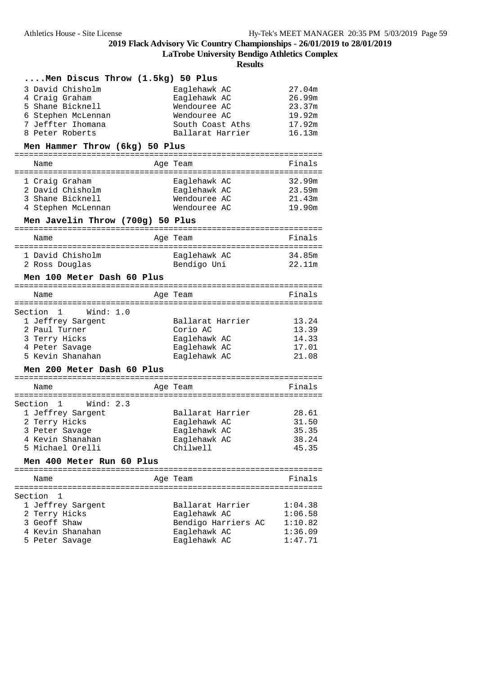**LaTrobe University Bendigo Athletics Complex**

| Men Discus Throw (1.5kg) 50 Plus |                     |         |
|----------------------------------|---------------------|---------|
| 3 David Chisholm                 | Eaglehawk AC        | 27.04m  |
| 4 Craig Graham                   | Eaglehawk AC        | 26.99m  |
| 5 Shane Bicknell                 | Wendouree AC        | 23.37m  |
| 6 Stephen McLennan               | Wendouree AC        | 19.92m  |
|                                  |                     |         |
| 7 Jeffter Ihomana                | South Coast Aths    | 17.92m  |
| 8 Peter Roberts                  | Ballarat Harrier    | 16.13m  |
| Men Hammer Throw (6kg) 50 Plus   |                     |         |
| Name                             | Age Team            | Finals  |
|                                  |                     |         |
| 1 Craig Graham                   | Eaglehawk AC        | 32.99m  |
| 2 David Chisholm                 | Eaglehawk AC        | 23.59m  |
| 3 Shane Bicknell                 | Wendouree AC        | 21.43m  |
| 4 Stephen McLennan               | Wendouree AC        | 19.90m  |
| Men Javelin Throw (700g) 50 Plus |                     |         |
| Name                             | Age Team            | Finals  |
|                                  |                     |         |
| 1 David Chisholm                 | Eaglehawk AC        | 34.85m  |
| 2 Ross Douglas                   | Bendigo Uni         | 22.11m  |
| Men 100 Meter Dash 60 Plus       |                     |         |
|                                  |                     |         |
| Name                             | Age Team            | Finals  |
| Section 1<br>Wind: 1.0           |                     |         |
| 1 Jeffrey Sargent                | Ballarat Harrier    | 13.24   |
| 2 Paul Turner                    | Corio AC            | 13.39   |
|                                  |                     |         |
| 3 Terry Hicks                    | Eaglehawk AC        | 14.33   |
| 4 Peter Savage                   | Eaglehawk AC        | 17.01   |
| 5 Kevin Shanahan                 | Eaglehawk AC        | 21.08   |
| Men 200 Meter Dash 60 Plus       |                     |         |
| Name                             | Age Team            | Finals  |
|                                  |                     |         |
| Section 1<br>Wind: 2.3           |                     |         |
| 1 Jeffrey Sargent                | Ballarat Harrier    | 28.61   |
| 2 Terry Hicks                    | Eaglehawk AC        | 31.50   |
| 3 Peter Savage                   | Eaglehawk AC        | 35.35   |
| 4 Kevin Shanahan                 | Eaglehawk AC        | 38.24   |
| 5 Michael Orelli                 | Chilwell            | 45.35   |
| Men 400 Meter Run 60 Plus        |                     |         |
|                                  |                     |         |
| Name                             | Age Team            | Finals  |
| Section 1                        |                     |         |
| 1 Jeffrey Sargent                | Ballarat Harrier    | 1:04.38 |
| 2 Terry Hicks                    | Eaglehawk AC        | 1:06.58 |
| 3 Geoff Shaw                     |                     |         |
|                                  | Bendigo Harriers AC | 1:10.82 |
| 4 Kevin Shanahan                 | Eaglehawk AC        | 1:36.09 |
| 5 Peter Savage                   | Eaglehawk AC        | 1:47.71 |
|                                  |                     |         |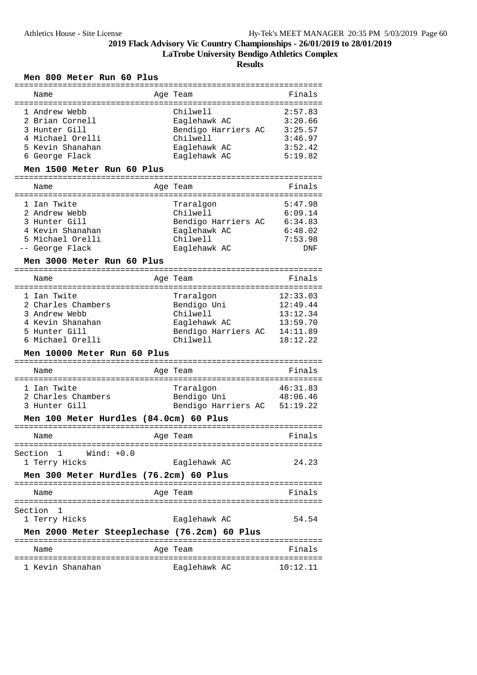**LaTrobe University Bendigo Athletics Complex**

**Results**

### **Men 800 Meter Run 60 Plus**

| Name                                         |           | Age Team                     | Finals     |
|----------------------------------------------|-----------|------------------------------|------------|
| :=================<br>:===================   |           | :====================        |            |
| 1 Andrew Webb                                |           | Chilwell                     | 2:57.83    |
| 2 Brian Cornell                              |           | Eaglehawk AC                 | 3:20.66    |
| 3 Hunter Gill                                |           | Bendigo Harriers AC          | 3:25.57    |
| 4 Michael Orelli                             |           | Chilwell                     | 3:46.97    |
| 5 Kevin Shanahan                             |           | Eaglehawk AC                 | 3:52.42    |
| 6 George Flack                               |           | Eaglehawk AC                 | 5:19.82    |
|                                              |           |                              |            |
| Men 1500 Meter Run 60 Plus                   |           |                              |            |
| Name                                         |           | Age Team                     | Finals     |
|                                              |           |                              |            |
| 1 Ian Twite                                  |           | Traralgon                    | 5:47.98    |
| 2 Andrew Webb                                |           | Chilwell                     | 6:09.14    |
| 3 Hunter Gill                                |           | Bendigo Harriers AC          | 6:34.83    |
| 4 Kevin Shanahan                             |           | Eaglehawk AC                 | 6:48.02    |
| 5 Michael Orelli                             |           | Chilwell                     | 7:53.98    |
|                                              |           |                              |            |
| -- George Flack                              |           | Eaglehawk AC                 | <b>DNF</b> |
| Men 3000 Meter Run 60 Plus                   |           |                              |            |
|                                              |           |                              |            |
| Name                                         |           | Age Team                     | Finals     |
| 1 Ian Twite                                  |           | Traralgon                    | 12:33.03   |
| 2 Charles Chambers                           |           |                              | 12:49.44   |
|                                              |           | Bendigo Uni                  |            |
| 3 Andrew Webb                                |           | Chilwell                     | 13:12.34   |
| 4 Kevin Shanahan                             |           | Eaglehawk AC                 | 13:59.70   |
| 5 Hunter Gill                                |           | Bendigo Harriers AC          | 14:11.89   |
| 6 Michael Orelli                             |           | Chilwell                     | 18:12.22   |
| Men 10000 Meter Run 60 Plus                  |           |                              |            |
|                                              | --------- | ----------------             |            |
| Name                                         |           | Age Team                     | Finals     |
|                                              |           |                              |            |
| 1 Ian Twite                                  |           | Traralgon                    | 46:31.83   |
| 2 Charles Chambers                           |           | Bendigo Uni                  | 48:06.46   |
| 3 Hunter Gill                                |           | Bendigo Harriers AC 51:19.22 |            |
| Men 100 Meter Hurdles (84.0cm) 60 Plus       |           |                              |            |
|                                              |           | =======================      |            |
| Name                                         |           | Age Team                     | Finals     |
| Section<br>1<br>$Wind: +0.0$                 |           |                              |            |
|                                              |           |                              |            |
| 1 Terry Hicks                                |           | Eaglehawk AC                 | 24.23      |
| Men 300 Meter Hurdles (76.2cm) 60 Plus       |           |                              |            |
|                                              |           |                              | Finals     |
| Name                                         |           | Age Team                     |            |
| Section<br>1                                 |           |                              |            |
| 1 Terry Hicks                                |           | Eaglehawk AC                 | 54.54      |
|                                              |           |                              |            |
| Men 2000 Meter Steeplechase (76.2cm) 60 Plus |           |                              |            |
|                                              |           |                              |            |
| Name                                         |           | Age Team                     | Finals     |
| 1 Kevin Shanahan                             |           | Eaglehawk AC                 | 10:12.11   |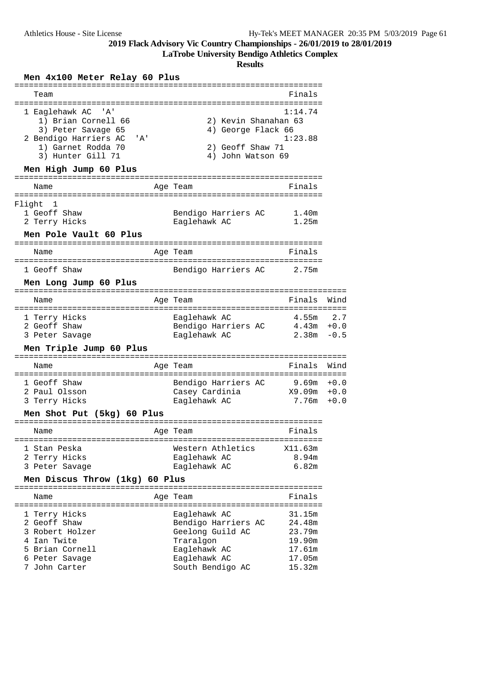**LaTrobe University Bendigo Athletics Complex**

| Team<br>Finals<br>1:14.74<br>1 Eaglehawk AC<br>' A '<br>1) Brian Cornell 66<br>2) Kevin Shanahan 63<br>3) Peter Savage 65<br>4) George Flack 66<br>2 Bendigo Harriers AC<br>1:23.88<br>'A'<br>1) Garnet Rodda 70<br>2) Geoff Shaw 71<br>3) Hunter Gill 71<br>4) John Watson 69<br>Men High Jump 60 Plus<br>Finals<br>Age Team<br>Name<br>Flight<br>$\mathbf{1}$<br>1 Geoff Shaw<br>Bendigo Harriers AC<br>1.40m<br>2 Terry Hicks<br>Eaglehawk AC<br>1.25m<br>Men Pole Vault 60 Plus<br>Age Team<br>Finals<br>Name<br>1 Geoff Shaw<br>Bendigo Harriers AC<br>2.75m<br>Men Long Jump 60 Plus<br>Finals<br>Age Team<br>Name<br>1 Terry Hicks<br>Eaglehawk AC<br>2 Geoff Shaw<br>Bendigo Harriers AC<br>4.43m<br>3 Peter Savage<br>Eaglehawk AC<br>2.38m<br>Men Triple Jump 60 Plus<br>Finals<br>Age Team<br>Name<br>1 Geoff Shaw<br>$9.69m + 0.0$<br>Bendigo Harriers AC<br>2 Paul Olsson<br>Casey Cardinia<br>3 Terry Hicks<br>7.76m<br>Eaglehawk AC<br>Men Shot Put (5kg) 60 Plus<br>Finals<br>Age Team<br>Name<br>1 Stan Peska<br>Western Athletics<br>X11.63m<br>8.94m<br>2 Terry Hicks<br>Eaglehawk AC<br>6.82m<br>3 Peter Savage<br>Eaglehawk AC<br>Men Discus Throw (1kg) 60 Plus<br>Finals<br>Age Team<br>Name<br>Eaglehawk AC<br>31.15m<br>1 Terry Hicks<br>2 Geoff Shaw<br>Bendigo Harriers AC<br>24.48m<br>3 Robert Holzer<br>Geelong Guild AC<br>23.79m<br>4 Ian Twite<br>19.90m<br>Traralgon<br>5 Brian Cornell<br>17.61m<br>Eaglehawk AC<br>6 Peter Savage<br>Eaglehawk AC<br>17.05m<br>7 John Carter<br>South Bendigo AC<br>15.32m | Men 4x100 Meter Relay 60 Plus |                                 |
|------------------------------------------------------------------------------------------------------------------------------------------------------------------------------------------------------------------------------------------------------------------------------------------------------------------------------------------------------------------------------------------------------------------------------------------------------------------------------------------------------------------------------------------------------------------------------------------------------------------------------------------------------------------------------------------------------------------------------------------------------------------------------------------------------------------------------------------------------------------------------------------------------------------------------------------------------------------------------------------------------------------------------------------------------------------------------------------------------------------------------------------------------------------------------------------------------------------------------------------------------------------------------------------------------------------------------------------------------------------------------------------------------------------------------------------------------------------------------------------------------------------------------------------------|-------------------------------|---------------------------------|
|                                                                                                                                                                                                                                                                                                                                                                                                                                                                                                                                                                                                                                                                                                                                                                                                                                                                                                                                                                                                                                                                                                                                                                                                                                                                                                                                                                                                                                                                                                                                                |                               |                                 |
|                                                                                                                                                                                                                                                                                                                                                                                                                                                                                                                                                                                                                                                                                                                                                                                                                                                                                                                                                                                                                                                                                                                                                                                                                                                                                                                                                                                                                                                                                                                                                |                               |                                 |
|                                                                                                                                                                                                                                                                                                                                                                                                                                                                                                                                                                                                                                                                                                                                                                                                                                                                                                                                                                                                                                                                                                                                                                                                                                                                                                                                                                                                                                                                                                                                                |                               |                                 |
|                                                                                                                                                                                                                                                                                                                                                                                                                                                                                                                                                                                                                                                                                                                                                                                                                                                                                                                                                                                                                                                                                                                                                                                                                                                                                                                                                                                                                                                                                                                                                |                               |                                 |
|                                                                                                                                                                                                                                                                                                                                                                                                                                                                                                                                                                                                                                                                                                                                                                                                                                                                                                                                                                                                                                                                                                                                                                                                                                                                                                                                                                                                                                                                                                                                                |                               |                                 |
|                                                                                                                                                                                                                                                                                                                                                                                                                                                                                                                                                                                                                                                                                                                                                                                                                                                                                                                                                                                                                                                                                                                                                                                                                                                                                                                                                                                                                                                                                                                                                |                               |                                 |
|                                                                                                                                                                                                                                                                                                                                                                                                                                                                                                                                                                                                                                                                                                                                                                                                                                                                                                                                                                                                                                                                                                                                                                                                                                                                                                                                                                                                                                                                                                                                                |                               |                                 |
|                                                                                                                                                                                                                                                                                                                                                                                                                                                                                                                                                                                                                                                                                                                                                                                                                                                                                                                                                                                                                                                                                                                                                                                                                                                                                                                                                                                                                                                                                                                                                |                               |                                 |
|                                                                                                                                                                                                                                                                                                                                                                                                                                                                                                                                                                                                                                                                                                                                                                                                                                                                                                                                                                                                                                                                                                                                                                                                                                                                                                                                                                                                                                                                                                                                                |                               | Wind                            |
|                                                                                                                                                                                                                                                                                                                                                                                                                                                                                                                                                                                                                                                                                                                                                                                                                                                                                                                                                                                                                                                                                                                                                                                                                                                                                                                                                                                                                                                                                                                                                |                               | $4.55m$ 2.7<br>$+0.0$<br>$-0.5$ |
|                                                                                                                                                                                                                                                                                                                                                                                                                                                                                                                                                                                                                                                                                                                                                                                                                                                                                                                                                                                                                                                                                                                                                                                                                                                                                                                                                                                                                                                                                                                                                |                               |                                 |
|                                                                                                                                                                                                                                                                                                                                                                                                                                                                                                                                                                                                                                                                                                                                                                                                                                                                                                                                                                                                                                                                                                                                                                                                                                                                                                                                                                                                                                                                                                                                                |                               | Wind                            |
|                                                                                                                                                                                                                                                                                                                                                                                                                                                                                                                                                                                                                                                                                                                                                                                                                                                                                                                                                                                                                                                                                                                                                                                                                                                                                                                                                                                                                                                                                                                                                |                               | X9.09m +0.0<br>$+0.0$           |
|                                                                                                                                                                                                                                                                                                                                                                                                                                                                                                                                                                                                                                                                                                                                                                                                                                                                                                                                                                                                                                                                                                                                                                                                                                                                                                                                                                                                                                                                                                                                                |                               |                                 |
|                                                                                                                                                                                                                                                                                                                                                                                                                                                                                                                                                                                                                                                                                                                                                                                                                                                                                                                                                                                                                                                                                                                                                                                                                                                                                                                                                                                                                                                                                                                                                |                               |                                 |
|                                                                                                                                                                                                                                                                                                                                                                                                                                                                                                                                                                                                                                                                                                                                                                                                                                                                                                                                                                                                                                                                                                                                                                                                                                                                                                                                                                                                                                                                                                                                                |                               |                                 |
|                                                                                                                                                                                                                                                                                                                                                                                                                                                                                                                                                                                                                                                                                                                                                                                                                                                                                                                                                                                                                                                                                                                                                                                                                                                                                                                                                                                                                                                                                                                                                |                               |                                 |
|                                                                                                                                                                                                                                                                                                                                                                                                                                                                                                                                                                                                                                                                                                                                                                                                                                                                                                                                                                                                                                                                                                                                                                                                                                                                                                                                                                                                                                                                                                                                                |                               |                                 |
|                                                                                                                                                                                                                                                                                                                                                                                                                                                                                                                                                                                                                                                                                                                                                                                                                                                                                                                                                                                                                                                                                                                                                                                                                                                                                                                                                                                                                                                                                                                                                |                               |                                 |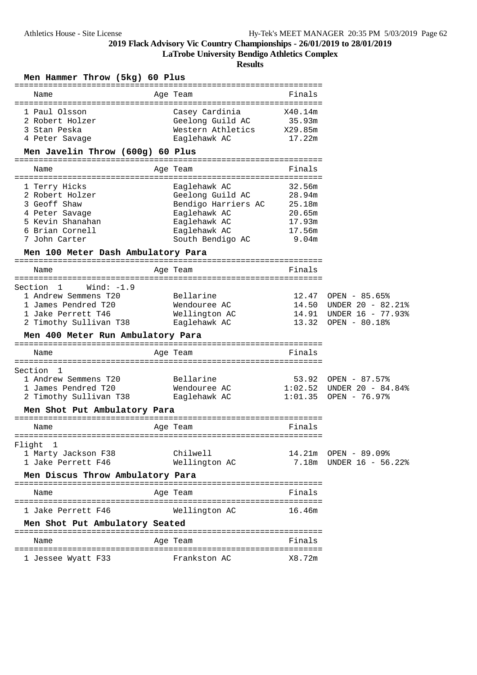**LaTrobe University Bendigo Athletics Complex**

| Men Hammer Throw (5kg) 60 Plus                              |                                                         |                                        |                             |
|-------------------------------------------------------------|---------------------------------------------------------|----------------------------------------|-----------------------------|
| Name                                                        | Age Team                                                | Finals                                 |                             |
| 1 Paul Olsson<br>2 Robert Holzer<br>3 Stan Peska            | Casey Cardinia<br>Geelong Guild AC<br>Western Athletics | X40.14m<br>35.93m<br>X29.85m<br>17.22m |                             |
| 4 Peter Savage<br>Men Javelin Throw (600g) 60 Plus          | Eaglehawk AC                                            |                                        |                             |
|                                                             |                                                         |                                        |                             |
| Name                                                        | Age Team<br>=============================               | Finals                                 |                             |
| 1 Terry Hicks<br>2 Robert Holzer<br>3 Geoff Shaw            | Eaglehawk AC<br>Geelong Guild AC<br>Bendigo Harriers AC | 32.56m<br>28.94m<br>25.18m             |                             |
| 4 Peter Savage                                              | Eaglehawk AC                                            | 20.65m                                 |                             |
| 5 Kevin Shanahan<br>6 Brian Cornell                         | Eaglehawk AC<br>Eaglehawk AC                            | 17.93m<br>17.56m                       |                             |
| 7 John Carter                                               | South Bendigo AC                                        | 9.04m                                  |                             |
| Men 100 Meter Dash Ambulatory Para                          |                                                         |                                        |                             |
| Name                                                        | Age Team                                                | Finals                                 |                             |
| Wind: $-1.9$                                                |                                                         |                                        |                             |
| Section 1<br>1 Andrew Semmens T20                           | Bellarine                                               |                                        | 12.47 OPEN - 85.65%         |
| 1 James Pendred T20                                         | Wendouree AC                                            |                                        | 14.50 UNDER 20 - 82.21%     |
| 1 Jake Perrett T46                                          | Wellington AC                                           |                                        | 14.91 UNDER 16 - 77.93%     |
| 2 Timothy Sullivan T38                                      | Eaglehawk AC                                            | 13.32                                  | OPEN - 80.18%               |
| Men 400 Meter Run Ambulatory Para                           |                                                         |                                        |                             |
| Name                                                        | Age Team                                                | Finals                                 |                             |
|                                                             |                                                         |                                        |                             |
| Section<br>- 1<br>1 Andrew Semmens T20                      | Bellarine                                               |                                        | $53.92$ OPEN - 87.57%       |
| 1 James Pendred T20                                         | Wendouree AC                                            |                                        | $1:02.52$ UNDER 20 - 84.84% |
| 2 Timothy Sullivan T38                                      | Eaglehawk AC                                            |                                        | $1:01.35$ OPEN - 76.97%     |
| Men Shot Put Ambulatory Para                                |                                                         |                                        |                             |
| Name                                                        | Age Team                                                | Finals                                 |                             |
| Flight<br>1                                                 |                                                         |                                        |                             |
| 1 Marty Jackson F38                                         | Chilwell                                                |                                        | 14.21m OPEN - 89.09%        |
| 1 Jake Perrett F46                                          | Wellington AC                                           |                                        | 7.18m UNDER 16 - 56.22%     |
| Men Discus Throw Ambulatory Para                            |                                                         |                                        |                             |
| Name                                                        | Age Team                                                | Finals                                 |                             |
| =====================================<br>1 Jake Perrett F46 | =============================<br>Wellington AC          | 16.46m                                 |                             |
| Men Shot Put Ambulatory Seated                              |                                                         |                                        |                             |
|                                                             |                                                         |                                        |                             |
| Name<br>=====================================               | Age Team<br>=============================               | Finals                                 |                             |
| 1 Jessee Wyatt F33                                          | Frankston AC                                            | X8.72m                                 |                             |